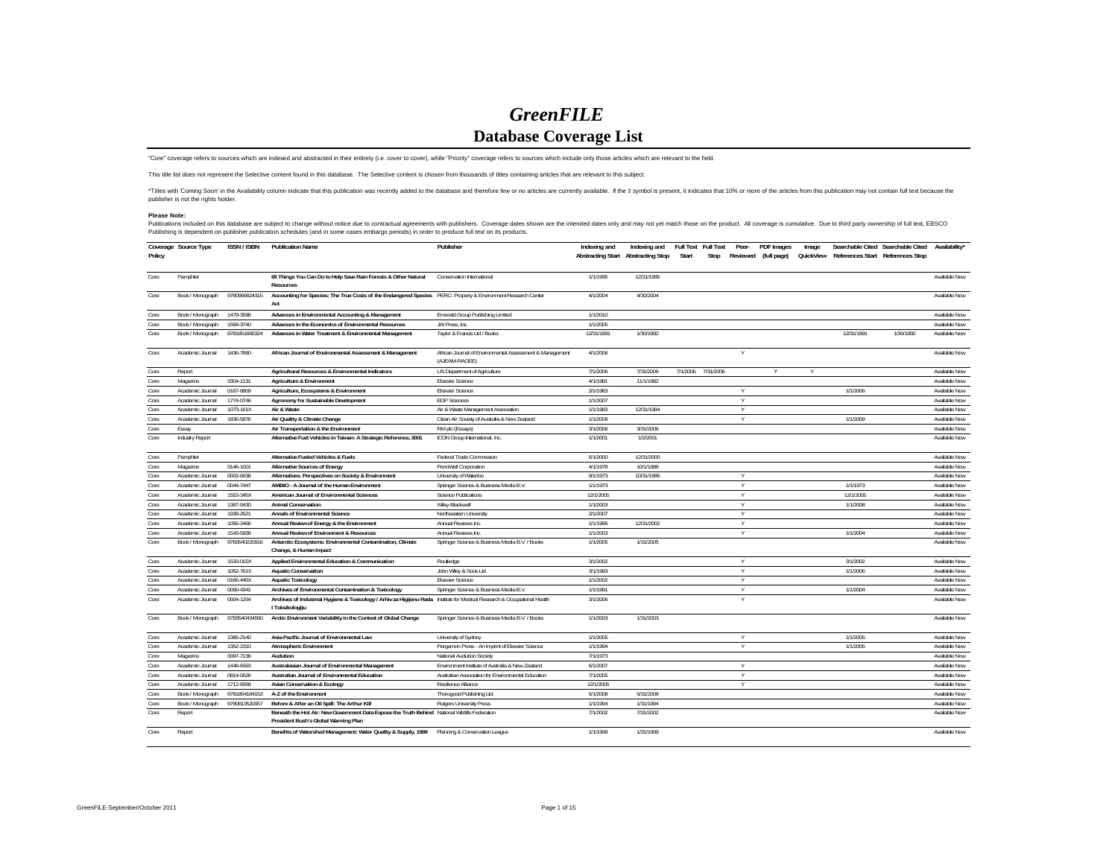## *GreenFILE***Database Coverage List**

"Core" coverage refers to sources which are indexed and abstracted in their entirety (i.e. cover to cover), while "Priority" coverage refers to sources which include only those articles which are relevant to the field.

This title list does not represent the Selective content found in this database. The Selective content is chosen from thousands of titles containing articles that are relevant to this subject.

\*Titles with "Coming Soon" in the Availability column indicate that this publication was recently added to the database and therefore few or no articles are currently available. If the ‡ symbol is present, it indicates tha

## **Please Note:**

Publications included on this database are subject to change without notice due to contractual agreements with publishers. Coverage dates shown are the intended dates only and may not yet match those on the products.<br>Publi

| Policy | Coverage Source Type | <b>ISSN / ISBN</b> | <b>Publication Name</b>                                                                                                                      | Publisher                                                                 | Indexing and | Indexing and<br>Abstracting Start Abstracting Stop | Full Text Full Text<br>Start | Stop | Peer- | PDF Images<br>Reviewed (full page) | Image<br>QuickView |            | Searchable Cited Searchable Cited<br>References Start References Stop | Availability*        |
|--------|----------------------|--------------------|----------------------------------------------------------------------------------------------------------------------------------------------|---------------------------------------------------------------------------|--------------|----------------------------------------------------|------------------------------|------|-------|------------------------------------|--------------------|------------|-----------------------------------------------------------------------|----------------------|
| Core   | Pamphlet             |                    | 65 Things You Can Do to Help Save Rain Forests & Other Natural<br><b>Resources</b>                                                           | Conservation International                                                | 1/1/1995     | 12/31/1995                                         |                              |      |       |                                    |                    |            |                                                                       | Available Now        |
| Core   | Book / Monograph     | 9780966824315      | Accounting for Species: The True Costs of the Endangered Species PERC: Property & Environment Research Center<br>Act                         |                                                                           | 4/1/2004     | 4/30/2004                                          |                              |      |       |                                    |                    |            |                                                                       | Available Now        |
| Core   | Book / Monograph     | 1479-3598          | Advances in Environmental Accounting & Management                                                                                            | Emerald Group Publishing Limited                                          | 1/1/2010     |                                                    |                              |      |       |                                    |                    |            |                                                                       | Available Now        |
| Core   | Book / Monograph     | 1569-3740          | Advances in the Economics of Environmental Resources                                                                                         | JAI Press. Inc.                                                           | 1/1/2005     |                                                    |                              |      |       |                                    |                    |            |                                                                       | Available Now        |
| Core   | Book / Monograph     | 9781851666324      | Advances in Water Treatment & Environmental Management                                                                                       | Taylor & Francis Ltd / Books                                              | 12/31/1991   | 1/30/1992                                          |                              |      |       |                                    |                    | 12/31/1991 | 1/30/1992                                                             | Available Now        |
| Core   | Academic Journal     | 1436-7890          | African Journal of Environmental Assessment & Management                                                                                     | African Journal of Environmental Assessment & Management<br>(AJEAM-RAGEE) | 4/1/2006     |                                                    |                              |      |       |                                    |                    |            |                                                                       | Available Now        |
| Core   | Report               |                    | Agricultural Resources & Environmental Indicators                                                                                            | US Department of Agriculture                                              | 7/1/2006     | 7/31/2006                                          | 7/1/2006 7/31/2006           |      |       |                                    | Υ                  |            |                                                                       | Available Now        |
| Core   | Magazine             | 0304-1131          | Agriculture & Environment                                                                                                                    | <b>Elsevier Science</b>                                                   | 4/1/1981     | 11/1/1982                                          |                              |      |       |                                    |                    |            |                                                                       | Available Now        |
| Core   | Academic Journal     | 0167-8809          | Agriculture, Ecosystems & Environment                                                                                                        | <b>Elsevier Science</b>                                                   | 2/1/1983     |                                                    |                              |      | Y     |                                    |                    | 1/1/2006   |                                                                       | Available Now        |
| Core   | Academic Journal     | 1774-0746          | Agronomy for Sustainable Development                                                                                                         | <b>EDP</b> Sciences                                                       | 1/1/2007     |                                                    |                              |      | Y     |                                    |                    |            |                                                                       | Available Now        |
| Core   | Academic Journal     | 1073-161X          | Air & Waste                                                                                                                                  | Air & Waste Management Association                                        | 1/1/1993     | 12/31/1994                                         |                              |      | Y     |                                    |                    |            |                                                                       | Available Now        |
| Core   | Academic Journal     | 1836-5876          | Air Quality & Climate Change                                                                                                                 | Clean Air Society of Australia & New Zealand                              | 1/1/2009     |                                                    |                              |      | Y     |                                    |                    | 1/1/2009   |                                                                       | <b>Available Now</b> |
| Core   | Essay                |                    | Air Transportation & the Environment                                                                                                         | RM plc (Essays)                                                           | 3/1/2006     | 3/31/2006                                          |                              |      |       |                                    |                    |            |                                                                       | Available Now        |
| Core   | Industry Report      |                    | Alternative Fuel Vehicles in Taiwan: A Strategic Reference, 2001                                                                             | ICON Group International, Inc.                                            | 1/1/2001     | 1/2/2001                                           |                              |      |       |                                    |                    |            |                                                                       | Available Now        |
| Core   | Pamphlet             |                    | Alternative Fueled Vehicles & Fuels                                                                                                          | Federal Trade Commission                                                  | 6/1/2000     | 12/31/2000                                         |                              |      |       |                                    |                    |            |                                                                       | Available Now        |
| Core   | Magazine             | 0146-1001          | Alternative Sources of Energy                                                                                                                | PennWell Corporation                                                      | 4/1/1978     | 10/1/1988                                          |                              |      |       |                                    |                    |            |                                                                       | Available Now        |
| Core   | Academic Journal     | 0002-6638          | Alternatives: Perspectives on Society & Environment                                                                                          | University of Waterloo                                                    | 9/1/1973     | 10/31/1995                                         |                              |      |       |                                    |                    |            |                                                                       | <b>Available Now</b> |
| Core   | Academic Journal     | 0044-7447          | AMBIO - A Journal of the Human Environment                                                                                                   | Springer Science & Business Media B.V.                                    | 1/1/1973     |                                                    |                              |      | Y     |                                    |                    | 1/1/1973   |                                                                       | Available Now        |
| Core   | Academic Journal     | 1553-345X          | American Journal of Environmental Sciences                                                                                                   | <b>Science Publications</b>                                               | 12/1/2005    |                                                    |                              |      | Y     |                                    |                    | 12/1/2005  |                                                                       | Available Now        |
| Core   | Academic Journal     | 1367-9430          | <b>Animal Conservation</b>                                                                                                                   | Wiley-Blackwell                                                           | 1/1/2003     |                                                    |                              |      | Y     |                                    |                    | 1/1/2008   |                                                                       | Available Now        |
| Core   | Academic Journal     | 1939-2621          | <b>Annals of Environmental Science</b>                                                                                                       | Northeastern University                                                   | 2/1/2007     |                                                    |                              |      | Y     |                                    |                    |            |                                                                       | Available Now        |
| Core   | Academic Journal     | 1056-3466          | Annual Review of Energy & the Environment                                                                                                    | Annual Reviews Inc.                                                       | 1/1/1996     | 12/31/2002                                         |                              |      | Y     |                                    |                    |            |                                                                       | Available Now        |
| Core   | Academic Journal     | 1543-5938          | Annual Review of Environment & Resources                                                                                                     | Annual Reviews Inc.                                                       | 1/1/2003     |                                                    |                              |      | Y     |                                    |                    | 1/1/2004   |                                                                       | Available Now        |
| Core   | Book / Monograph     | 9783540220916      | Antarctic Ecosystems: Environmental Contamination, Climate<br>Change, & Human Impact                                                         | Springer Science & Business Media B.V. / Books                            | 1/1/2005     | 1/31/2005                                          |                              |      |       |                                    |                    |            |                                                                       | Available Now        |
| Core   | Academic Journal     | 1533-015X          | Applied Environmental Education & Communication                                                                                              | Routledge                                                                 | 3/1/2002     |                                                    |                              |      |       |                                    |                    | 3/1/2002   |                                                                       | Available Now        |
| Core   | Academic Journal     | 1052-7613          | <b>Aquatic Conservation</b>                                                                                                                  | John Wiley & Sons Ltd                                                     | 3/1/1993     |                                                    |                              |      | Y     |                                    |                    | 1/1/2006   |                                                                       | Available Now        |
| Core   | Academic Journal     | 0166-445X          | <b>Aquatic Toxicology</b>                                                                                                                    | <b>Elsevier Science</b>                                                   | 1/1/2002     |                                                    |                              |      | Y     |                                    |                    |            |                                                                       | Available Now        |
| Core   | Academic Journal     | 0090-4341          | Archives of Environmental Contamination & Toxicology                                                                                         | Springer Science & Business Media B.V.                                    | 1/1/1991     |                                                    |                              |      | Υ     |                                    |                    | 1/1/2004   |                                                                       | Available Now        |
| Core   | Academic Journal     | 0004-1254          | Archives of Industrial Hygiene & Toxicology / Arhiv za Higijenu Rada Institute for Medical Research & Occupational Health<br>I Toksikologiju |                                                                           | 3/1/2006     |                                                    |                              |      | Y     |                                    |                    |            |                                                                       | Available Now        |
| Core   | Book / Monograph     | 9783540434580      | Arctic Environment Variability in the Context of Global Change                                                                               | Springer Science & Business Media B.V. / Books                            | 1/1/2003     | 1/31/2003                                          |                              |      |       |                                    |                    |            |                                                                       | Available Now        |
| Core   | Academic Journal     | 1385-2140          | Asia Pacific Journal of Environmental Law                                                                                                    | University of Sydney                                                      | 1/1/2005     |                                                    |                              |      | Y     |                                    |                    | 1/1/2005   |                                                                       | Available Now        |
| Core   | Academic Journal     | 1352-2310          | Atmospheric Environment                                                                                                                      | Pergamon Press - An Imprint of Elsevier Science                           | 1/1/1994     |                                                    |                              |      | Υ     |                                    |                    | 1/1/2006   |                                                                       | Available Now        |
| Core   | Magazine             | 0097-7136          | Audubon                                                                                                                                      | National Audubon Society                                                  | 7/1/1973     |                                                    |                              |      |       |                                    |                    |            |                                                                       | Available Now        |
| Core   | Academic Journal     | 1448-6563          | Australasian Journal of Environmental Management                                                                                             | Environment Institute of Australia & New Zealand                          | 6/1/2007     |                                                    |                              |      | Υ     |                                    |                    |            |                                                                       | Available Now        |
| Core   | Academic Journal     | 0814-0626          | Australian Journal of Environmental Education                                                                                                | Australian Association for Environmental Education                        | 7/1/2005     |                                                    |                              |      | Y     |                                    |                    |            |                                                                       | Available Now        |
| Core   | Academic Journal     | 1712-6568          | <b>Avian Conservation &amp; Ecology</b>                                                                                                      | Resilience Alliance                                                       | 12/1/2005    |                                                    |                              |      | Υ     |                                    |                    |            |                                                                       | Available Now        |
| Core   | Book / Monograph     | 9781854184153      | A-Z of the Environment                                                                                                                       | Thorogood Publishing Ltd.                                                 | 5/1/2008     | 5/31/2008                                          |                              |      |       |                                    |                    |            |                                                                       | Available Now        |
| Core   | Book / Monograph     | 9780813520957      | Before & After an Oil Spill: The Arthur Kill                                                                                                 | <b>Rutgers University Press</b>                                           | 1/1/1994     | 1/31/1994                                          |                              |      |       |                                    |                    |            |                                                                       | Available Now        |
| Core   | Report               |                    | Beneath the Hot Air: New Government Data Expose the Truth Behind National Wildlife Federation<br>President Bush's Global Warming Plan        |                                                                           | 7/1/2002     | 7/31/2002                                          |                              |      |       |                                    |                    |            |                                                                       | Available Now        |
| Core   | Report               |                    | Benefits of Watershed Management: Water Quality & Supply, 1999 Planning & Conservation League                                                |                                                                           | 1/1/1999     | 1/31/1999                                          |                              |      |       |                                    |                    |            |                                                                       | Available Now        |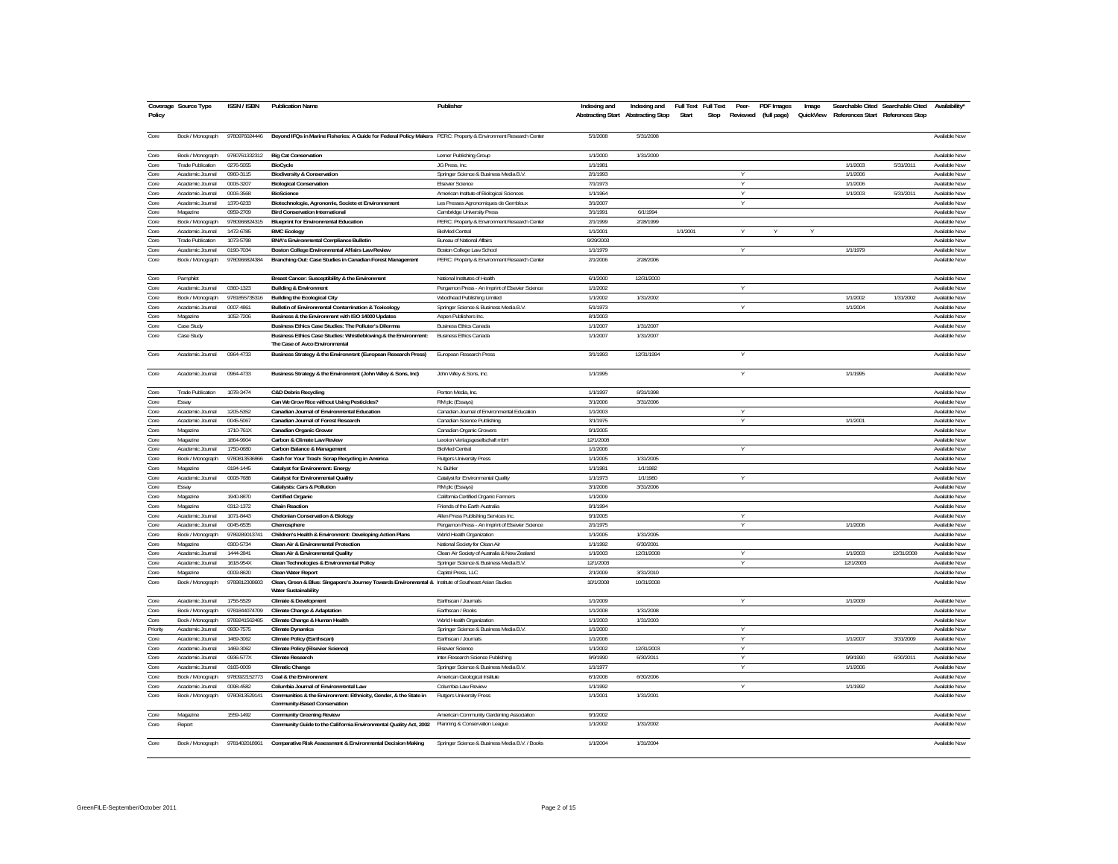| Policy       | Coverage Source Type     | <b>ISSN / ISBN</b> | <b>Publication Name</b>                                                                                                              | Publisher                                       | Indexing and | Indexing and<br>Abstracting Start Abstracting Stop | Full Text<br>Start | <b>Full Text</b><br>Peer-<br>Stop | PDF Images<br>Reviewed (full page) | Image<br>QuickView | References Start References Stop | Searchable Cited Searchable Cited | Availability*                  |
|--------------|--------------------------|--------------------|--------------------------------------------------------------------------------------------------------------------------------------|-------------------------------------------------|--------------|----------------------------------------------------|--------------------|-----------------------------------|------------------------------------|--------------------|----------------------------------|-----------------------------------|--------------------------------|
| Core         | Book / Monograph         | 9780976024446      | Beyond IFQs in Marine Fisheries: A Guide for Federal Policy Makers PERC: Property & Environment Research Center                      |                                                 | 5/1/2008     | 5/31/2008                                          |                    |                                   |                                    |                    |                                  |                                   | Available Now                  |
| Core         | Book / Monograph         | 9780761332312      | <b>Big Cat Conservation</b>                                                                                                          | Lerner Publishing Group                         | 1/1/2000     | 1/31/2000                                          |                    |                                   |                                    |                    |                                  |                                   | Available Now                  |
| Core         | Trade Publication        | 0276-5055          | <b>BioCycle</b>                                                                                                                      | JG Press, Inc.                                  | 1/1/1981     |                                                    |                    |                                   |                                    |                    | 1/1/2003                         | 5/31/2011                         | Available Now                  |
| Core         | Academic Journal         | 0960-3115          | <b>Biodiversity &amp; Conservation</b>                                                                                               | Springer Science & Business Media B.V.          | 2/1/1993     |                                                    |                    | v                                 |                                    |                    | 1/1/2006                         |                                   | Available Now                  |
| Core         | Academic Journal         | 0006-3207          | <b>Biological Conservation</b>                                                                                                       | <b>Elsevier Science</b>                         | 7/1/1973     |                                                    |                    |                                   |                                    |                    | 1/1/2006                         |                                   | Available Now                  |
| Core         | Academic Journal         | 0006-3568          | <b>BioScience</b>                                                                                                                    | American Institute of Biological Sciences       | 1/1/1964     |                                                    |                    | Y                                 |                                    |                    | 1/1/2003                         | 5/31/2011                         | Available Now                  |
| Core         | Academic Journal         | 1370-6233          | Biotechnologie, Agronomie, Societe et Environnement                                                                                  | Les Presses Agronomiques de Gembloux            | 3/1/2003     |                                                    |                    | Y                                 |                                    |                    |                                  |                                   | Available Now                  |
| Core         | Magazine                 | 0959-2709          | <b>Bird Conservation International</b>                                                                                               | Cambridge University Press                      | 3/1/1991     | 6/1/1994                                           |                    |                                   |                                    |                    |                                  |                                   | Available Now                  |
| Core         | Book / Monograph         | 9780966824315      | <b>Blueprint for Environmental Education</b>                                                                                         | PERC: Property & Environment Research Center    | 2/1/1999     | 2/28/1999                                          |                    |                                   |                                    |                    |                                  |                                   | Available Now                  |
| Core         | Academic Journal         | 1472-6785          | <b>BMC Ecology</b>                                                                                                                   | <b>BioMed Central</b>                           | 1/1/2001     |                                                    | 1/1/2001           | $\vee$                            |                                    | Y                  |                                  |                                   | Available Now                  |
| Core         | <b>Trade Publication</b> | 1073-5798          | <b>BNA's Environmental Compliance Bulletin</b>                                                                                       | Bureau of National Affairs                      | 9/29/2003    |                                                    |                    |                                   |                                    |                    |                                  |                                   | Available Now                  |
| Core         | Academic Journal         | 0190-7034          | Boston College Environmental Affairs Law Review                                                                                      | Boston College Law School                       | 1/1/1979     |                                                    |                    |                                   |                                    |                    | 1/1/1979                         |                                   | Available Now                  |
| Core         | Book / Monograph         | 9780966824384      | Branching Out: Case Studies in Canadian Forest Management                                                                            | PERC: Property & Environment Research Center    | 2/1/2006     | 2/28/2006                                          |                    |                                   |                                    |                    |                                  |                                   | Available Now                  |
| Core         | Pamphlet                 |                    | Breast Cancer: Susceptibility & the Environment                                                                                      | National Institutes of Health                   | 6/1/2000     | 12/31/2000                                         |                    |                                   |                                    |                    |                                  |                                   | Available Now                  |
| Core         | Academic Journal         | 0360-1323          | <b>Building &amp; Environment</b>                                                                                                    | Pergamon Press - An Imprint of Elsevier Science | 1/1/2002     |                                                    |                    | ٧                                 |                                    |                    |                                  |                                   | <b>Available Now</b>           |
| Core         | Book / Monograph         | 9781855735316      | <b>Building the Ecological City</b>                                                                                                  | Woodhead Publishing Limited                     | 1/1/2002     | 1/31/2002                                          |                    |                                   |                                    |                    | 1/1/2002                         | 1/31/2002                         | Available Now                  |
| Core         | Academic Journal         | 0007-4861          | <b>Bulletin of Environmental Contamination &amp; Toxicology</b>                                                                      | Springer Science & Business Media B.V.          | 5/1/1973     |                                                    |                    | Y                                 |                                    |                    | 1/1/2004                         |                                   | Available Now                  |
| Core         | Magazine                 | 1052-7206          | Business & the Environment with ISO 14000 Updates                                                                                    | Aspen Publishers Inc.                           | 8/1/2003     |                                                    |                    |                                   |                                    |                    |                                  |                                   | Available Now                  |
| Core         | Case Study               |                    | Business Ethics Case Studies: The Polluter's Dilemma                                                                                 | <b>Business Ethics Canada</b>                   | 1/1/2007     | 1/31/2007                                          |                    |                                   |                                    |                    |                                  |                                   | Available Now                  |
| Core         | Case Study               |                    | Business Ethics Case Studies: Whistleblowing & the Environment:<br>The Case of Avco Environmental                                    | <b>Business Ethics Canada</b>                   | 1/1/2007     | 1/31/2007                                          |                    |                                   |                                    |                    |                                  |                                   | Available Now                  |
| Core         | Academic Journal         | 0964-4733          | Business Strategy & the Environment (European Research Press)                                                                        | European Research Press                         | 3/1/1993     | 12/31/1994                                         |                    |                                   |                                    |                    |                                  |                                   | Available Now                  |
| Core         | Academic Journal         | 0964-4733          | Business Strategy & the Environment (John Wiley & Sons, Inc)                                                                         | John Wiley & Sons, Inc.                         | 1/1/1995     |                                                    |                    |                                   |                                    |                    | 1/1/1995                         |                                   | Available Now                  |
| Core         | Trade Publication        | 1078-3474          | <b>C&amp;D Debris Recycling</b>                                                                                                      | Penton Media, Inc.                              | 1/1/1997     | 8/31/1998                                          |                    |                                   |                                    |                    |                                  |                                   | Available Now                  |
| Core         | Essay                    |                    | Can We Grow Rice without Using Pesticides?                                                                                           | RM plc (Essays)                                 | 3/1/2006     | 3/31/2006                                          |                    |                                   |                                    |                    |                                  |                                   | Available Now                  |
| Core         | Academic Journal         | 1205-5352          | Canadian Journal of Environmental Education                                                                                          | Canadian Journal of Environmental Education     | 1/1/2003     |                                                    |                    | Y                                 |                                    |                    |                                  |                                   | Available Now                  |
| Core         | Academic Journal         | 0045-5067          | Canadian Journal of Forest Research                                                                                                  | Canadian Science Publishing                     | 3/1/1975     |                                                    |                    | $\vee$                            |                                    |                    | 1/1/2001                         |                                   | Available Now                  |
| Core         | Magazine                 | 1710-761X          | Canadian Organic Grower                                                                                                              | Canadian Organic Growers                        | 9/1/2005     |                                                    |                    |                                   |                                    |                    |                                  |                                   | Available Now                  |
| Core         | Magazine                 | 1864-9904          | Carbon & Climate Law Review                                                                                                          | Lexxion Verlagsgesellschaft mbH                 | 12/1/2008    |                                                    |                    |                                   |                                    |                    |                                  |                                   | Available Now                  |
| Core         | Academic Journal         | 1750-0680          | Carbon Balance & Management                                                                                                          | <b>BioMed Central</b>                           | 1/1/2006     |                                                    |                    | Υ                                 |                                    |                    |                                  |                                   | Available Now                  |
| Core         | Book / Monograph         | 9780813536866      | Cash for Your Trash: Scrap Recycling in America                                                                                      | Rutgers University Press                        | 1/1/2005     | 1/31/2005                                          |                    |                                   |                                    |                    |                                  |                                   | Available Now                  |
| Core         | Magazine                 | 0194-1445          | Catalyst for Environment: Energy                                                                                                     | N. Buhler                                       | 1/1/1981     | 1/1/1982                                           |                    |                                   |                                    |                    |                                  |                                   | Available Now                  |
| Core         | Academic Journal         | 0008-7688          | <b>Catalyst for Environmental Quality</b>                                                                                            | Catalyst for Environmental Quality              | 1/1/1973     | 1/1/1980                                           |                    | ٧                                 |                                    |                    |                                  |                                   | Available Now                  |
| Core         | Essay                    |                    | Catalysts: Cars & Pollution                                                                                                          | RM plc (Essays)                                 | 3/1/2006     | 3/31/2006                                          |                    |                                   |                                    |                    |                                  |                                   | Available Now                  |
| Core         | Magazine                 | 1940-8870          | Certified Organic                                                                                                                    | California Certified Organic Farmers            | 1/1/2009     |                                                    |                    |                                   |                                    |                    |                                  |                                   | Available Now                  |
| Core         | Magazine                 | 0312-1372          | <b>Chain Reaction</b>                                                                                                                | Friends of the Earth Australia                  | 9/1/1994     |                                                    |                    |                                   |                                    |                    |                                  |                                   | Available Now                  |
| Core         | Academic Journal         | 1071-8443          | <b>Chelonian Conservation &amp; Biology</b>                                                                                          | Allen Press Publishing Services Inc.            | 9/1/2005     |                                                    |                    | Y                                 |                                    |                    |                                  |                                   | Available Now                  |
| Core         | Academic Journal         | 0045-6535          | Chemosphere                                                                                                                          | Pergamon Press - An Imprint of Elsevier Science | 2/1/1975     |                                                    |                    | $\overline{V}$                    |                                    |                    | 1/1/2006                         |                                   | Available Now                  |
| Core         | Book / Monograph         | 9789289013741      | Children's Health & Environment: Developing Action Plans                                                                             | World Health Organization                       | 1/1/2005     | 1/31/2005                                          |                    |                                   |                                    |                    |                                  |                                   | Available Now                  |
| Core         | Magazine                 | 0300-5734          | Clean Air & Environmental Protection                                                                                                 | National Society for Clean Air                  | 1/1/1992     | 6/30/2001                                          |                    |                                   |                                    |                    |                                  |                                   | Available Now                  |
| Core         | Academic Journal         | 1444-2841          | Clean Air & Environmental Quality                                                                                                    | Clean Air Society of Australia & New Zealand    | 1/1/2003     | 12/31/2008                                         |                    | Υ                                 |                                    |                    | 1/1/2003                         | 12/31/2008                        | Available Now                  |
| Core         | Academic Journa          | 1618-954X          | Clean Technologies & Environmental Policy                                                                                            | Springer Science & Business Media B.V           | 12/1/2003    |                                                    |                    | Y                                 |                                    |                    | 12/1/2003                        |                                   | Available Now                  |
| Core         | Magazine                 | 0009-8620          | Clean Water Report                                                                                                                   | Capitol Press, LLC                              | 2/1/2009     | 3/31/2010                                          |                    |                                   |                                    |                    |                                  |                                   | Available Now                  |
| Core         | Book / Monograph         | 9789812308603      | Clean, Green & Blue: Singapore's Journey Towards Environmental & Institute of Southeast Asian Studies<br><b>Water Sustainability</b> |                                                 | 10/1/2008    | 10/31/2008                                         |                    |                                   |                                    |                    |                                  |                                   | Available Now                  |
| Core         | Academic Journal         | 1756-5529          | <b>Climate &amp; Development</b>                                                                                                     | Earthscan / Journals                            | 1/1/2009     |                                                    |                    | Y                                 |                                    |                    | 1/1/2009                         |                                   | Available Now                  |
| Core         | Book / Monograph         | 9781844074709      | <b>Climate Change &amp; Adaptation</b>                                                                                               | Farthscan / Books                               | 1/1/2008     | 1/31/2008                                          |                    |                                   |                                    |                    |                                  |                                   | Available Now                  |
| Core         | Book / Monograph         | 9789241562485      | Climate Change & Human Health                                                                                                        | World Health Organization                       | 1/1/2003     | 1/31/2003                                          |                    |                                   |                                    |                    |                                  |                                   | Available Now                  |
| Priority     | Academic Journa          | 0930-757           | <b>Climate Dynamics</b>                                                                                                              | Springer Science & Business Media B.V.          | 1/1/2000     |                                                    |                    | Y                                 |                                    |                    |                                  |                                   | Available Now                  |
| Core         | Academic Journa          | 1469-3062          | Climate Policy (Earthscan)                                                                                                           | Earthscan / Journals                            | 1/1/2006     |                                                    |                    |                                   |                                    |                    | 1/1/2007                         | 3/31/2009                         | Available Now                  |
| Core         | Academic Journal         | 1469-3062          | <b>Climate Policy (Elsevier Science)</b>                                                                                             | <b>Elsevier Science</b>                         | 1/1/2002     | 12/31/2003                                         |                    | Y                                 |                                    |                    |                                  |                                   | Available Now                  |
| Core         | Academic Journal         | 0936-577X          | Climate Research                                                                                                                     | Inter-Research Science Publishing               | 9/9/1990     | 6/30/2011                                          |                    | Y                                 |                                    |                    | 9/9/1990                         | 6/30/2011                         | Available Now                  |
| Core         | Academic Journal         | 0165-0009          | <b>Climatic Change</b>                                                                                                               | Springer Science & Business Media B.V           | 1/1/197      |                                                    |                    |                                   |                                    |                    | 1/1/2006                         |                                   | Available Now                  |
|              |                          |                    |                                                                                                                                      |                                                 |              |                                                    |                    |                                   |                                    |                    |                                  |                                   |                                |
| Core         | Book / Monograph         | 9780922152773      | Coal & the Environment                                                                                                               | American Geological Institute                   | 6/1/2006     | 6/30/2006                                          |                    | Υ                                 |                                    |                    |                                  |                                   | Available Now<br>Available Now |
| Core<br>Core | Academic Journal         | 0098-4582          | Columbia Journal of Environmental Law                                                                                                | Columbia Law Review                             | 1/1/1992     |                                                    |                    |                                   |                                    |                    | 1/1/1992                         |                                   |                                |
|              | Book / Monograph         | 9780813529141      | Communities & the Environment: Ethnicity, Gender, & the State in<br><b>Community-Based Conservation</b>                              | Rutgers University Press                        | 1/1/2001     | 1/31/2001                                          |                    |                                   |                                    |                    |                                  |                                   | Available Now                  |
| Core         | Magazine                 | 1559-1492          | <b>Community Greening Review</b>                                                                                                     | American Community Gardening Association        | 9/1/2002     |                                                    |                    |                                   |                                    |                    |                                  |                                   | Available Now                  |
| Core         | Report                   |                    | Community Guide to the California Environmental Quality Act, 2002  Planning & Conservation League                                    |                                                 | 1/1/2002     | 1/31/2002                                          |                    |                                   |                                    |                    |                                  |                                   | Available Now                  |
| Core         | Book / Monograph         | 9781402018961      | Comparative Risk Assessment & Environmental Decision Making                                                                          | Springer Science & Business Media B.V. / Books  | 1/1/2004     | 1/31/2004                                          |                    |                                   |                                    |                    |                                  |                                   | Available Now                  |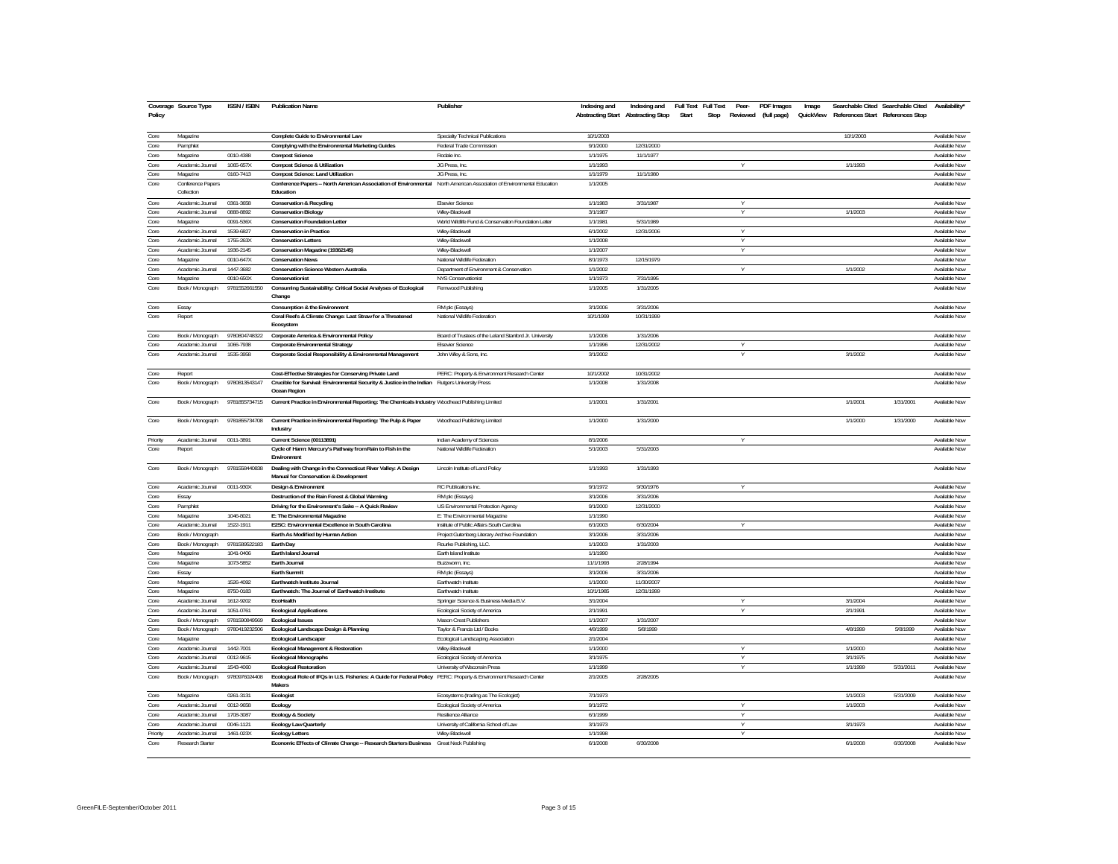| Policy           | Coverage Source Type            | <b>ISSN / ISBN</b>         | <b>Publication Name</b>                                                                                                             | Publisher                                                  | Indexing and          | Indexing and<br>Abstracting Start Abstracting Stop | Full Text<br><b>Full Text</b><br>Start<br>Stop | Peer-        | PDF Images<br>Reviewed (full page) | Image |           | Searchable Cited Searchable Cited<br>QuickView References Start References Stop | "Availability                  |
|------------------|---------------------------------|----------------------------|-------------------------------------------------------------------------------------------------------------------------------------|------------------------------------------------------------|-----------------------|----------------------------------------------------|------------------------------------------------|--------------|------------------------------------|-------|-----------|---------------------------------------------------------------------------------|--------------------------------|
| Core             | Magazine                        |                            | Complete Guide to Environmental Law                                                                                                 | Specialty Technical Publications                           | 10/1/2003             |                                                    |                                                |              |                                    |       | 10/1/2003 |                                                                                 | Available Now                  |
| Core             | Pamphlet                        |                            | Complying with the Environmental Marketing Guides                                                                                   | Federal Trade Commission                                   | 9/1/2000              | 12/31/2000                                         |                                                |              |                                    |       |           |                                                                                 | Available Now                  |
| Core             | Magazine                        | 0010-4388                  | <b>Compost Science</b>                                                                                                              | Rodale Inc.                                                | 1/1/1975              | 11/1/1977                                          |                                                |              |                                    |       |           |                                                                                 | Available Now                  |
| Core             | Academic Journal                | 1065-657X                  | <b>Compost Science &amp; Utilization</b>                                                                                            | JG Press, Inc.                                             | 1/1/1993              |                                                    |                                                |              |                                    |       | 1/1/1993  |                                                                                 | Available Now                  |
| Core             | Magazine                        | 0160-7413                  | <b>Compost Science: Land Utilization</b>                                                                                            | JG Press, Inc.                                             | 1/1/1979              | 11/1/1980                                          |                                                |              |                                    |       |           |                                                                                 | Available Now                  |
| Core             | Conference Papers<br>Collection |                            | Conference Papers -- North American Association of Environmental North American Association of Environmental Education<br>Education |                                                            | 1/1/2005              |                                                    |                                                |              |                                    |       |           |                                                                                 | Available Now                  |
| Core             | Academic Journal                | 0361-3658                  | <b>Conservation &amp; Recycling</b>                                                                                                 | <b>Elsevier Science</b>                                    | 1/1/1983              | 3/31/1987                                          |                                                | v            |                                    |       |           |                                                                                 | Available Now                  |
| Core             | Academic Journal                | 0888-8892                  | <b>Conservation Biology</b>                                                                                                         | Wiley-Blackwell                                            | 3/1/1987              |                                                    |                                                | Y            |                                    |       | 1/1/2003  |                                                                                 | Available Now                  |
| Core             | Magazine                        | 0091-536X                  | <b>Conservation Foundation Letter</b>                                                                                               | World Wildlife Fund & Conservation Foundation Letter       | 1/1/1981              | 5/31/1989                                          |                                                |              |                                    |       |           |                                                                                 | Available Now                  |
| Core             | Academic Journal                | 1539-6827                  | <b>Conservation in Practice</b>                                                                                                     | Wiley-Blackwe                                              | 6/1/2002              | 12/31/2006                                         |                                                | $\vee$       |                                    |       |           |                                                                                 | Available Now                  |
| Core             | Academic Journal                | 1755-263X                  | <b>Conservation Letters</b>                                                                                                         | Wilev-Blackwell                                            | 1/1/2008              |                                                    |                                                | Y            |                                    |       |           |                                                                                 | Available Now                  |
| Core             | Academic Journal                | 1936-2145                  | Conservation Magazine (19362145)                                                                                                    | Wiley-Blackwell                                            | 1/1/2007              |                                                    |                                                | $\vee$       |                                    |       |           |                                                                                 | Available Now                  |
| Core             | Magazine                        | 0010-647X                  | <b>Conservation News</b>                                                                                                            | National Wildlife Federation                               | 8/1/1973              | 12/15/1979                                         |                                                |              |                                    |       |           |                                                                                 | Available Now                  |
| Core             | Academic Journal                | 1447-3682                  | Conservation Science Western Australia                                                                                              | Department of Environment & Conservation                   | 1/1/2002              |                                                    |                                                | v            |                                    |       | 1/1/2002  |                                                                                 | Available Now                  |
| Core             | Magazine                        | 0010-650X                  | Conservationist                                                                                                                     | NYS Conservationist                                        | 1/1/1973              | 7/31/1995                                          |                                                |              |                                    |       |           |                                                                                 | Available Now                  |
| Core             | Book / Monograph                | 9781552661550              | Consuming Sustainability: Critical Social Analyses of Ecological<br>Change                                                          | Fernwood Publishing                                        | 1/1/2005              | 1/31/2005                                          |                                                |              |                                    |       |           |                                                                                 | Available Now                  |
| Core             | Essay                           |                            | Consumption & the Environment                                                                                                       | RM plc (Essays)                                            | 3/1/2006              | 3/31/2006                                          |                                                |              |                                    |       |           |                                                                                 | Available Now                  |
| Core             | Report                          |                            | Coral Reefs & Climate Change: Last Straw for a Threatened<br>Ecosystem                                                              | National Wildlife Federation                               | 10/1/1999             | 10/31/1999                                         |                                                |              |                                    |       |           |                                                                                 | Available Now                  |
| Core             | Book / Monograph                | 9780804748322              | Corporate America & Environmental Policy                                                                                            | Board of Trustees of the Leland Stanford Jr. University    | 1/1/2006              | 1/31/2006                                          |                                                |              |                                    |       |           |                                                                                 | Available Now                  |
| Core             | Academic Journal                | 1066-7938                  | Corporate Environmental Strategy                                                                                                    | <b>Elsevier Science</b>                                    | 1/1/1996              | 12/31/2002                                         |                                                |              |                                    |       |           |                                                                                 | Available Now                  |
| Core             | Academic Journal                | 1535-3958                  | Corporate Social Responsibility & Environmental Management                                                                          | John Wiley & Sons, Inc.                                    | 3/1/2002              |                                                    |                                                |              |                                    |       | 3/1/2002  |                                                                                 | Available Now                  |
| Core             | Report                          |                            | Cost-Effective Strategies for Conserving Private Land                                                                               | PERC: Property & Environment Research Center               | 10/1/2002             | 10/31/2002                                         |                                                |              |                                    |       |           |                                                                                 | Available Now                  |
| Core             | Book / Monograph                | 9780813543147              | Crucible for Survival: Environmental Security & Justice in the Indian Rutgers University Press<br>Ocean Region                      |                                                            | 1/1/2008              | 1/31/2008                                          |                                                |              |                                    |       |           |                                                                                 | Available Now                  |
| Core             | Book / Monograph                | 9781855734715              | Current Practice in Environmental Reporting: The Chemicals Industry Woodhead Publishing Limited                                     |                                                            | 1/1/2001              | 1/31/2001                                          |                                                |              |                                    |       | 1/1/2001  | 1/31/2001                                                                       | Available Now                  |
| Core             | Book / Monograph                | 9781855734708              | Current Practice in Environmental Reporting: The Pulp & Paper<br>Industry                                                           | Woodhead Publishing Limited                                | 1/1/2000              | 1/31/2000                                          |                                                |              |                                    |       | 1/1/2000  | 1/31/2000                                                                       | Available Now                  |
|                  | Academic Journal                | 0011-3891                  |                                                                                                                                     |                                                            | 8/1/2006              |                                                    |                                                | v            |                                    |       |           |                                                                                 | <b>Available Now</b>           |
| Priority<br>Core | Report                          |                            | Current Science (00113891)<br>Cycle of Harm: Mercury's Pathway from Rain to Fish in the                                             | Indian Academy of Sciences<br>National Wildlife Federation | 5/1/2003              | 5/31/2003                                          |                                                |              |                                    |       |           |                                                                                 | Available Now                  |
|                  |                                 |                            | Environment                                                                                                                         |                                                            |                       |                                                    |                                                |              |                                    |       |           |                                                                                 |                                |
| Core             | Book / Monograph                | 9781558440838              | Dealing with Change in the Connecticut River Valley: A Design<br>Manual for Conservation & Development                              | Lincoln Institute of Land Policy                           | 1/1/1993              | 1/31/1993                                          |                                                |              |                                    |       |           |                                                                                 | Available Now                  |
| Core             | Academic Journal                | 0011-930X                  | Design & Environment                                                                                                                | RC Publications Inc.                                       | 9/1/1972              | 9/30/1976                                          |                                                | v            |                                    |       |           |                                                                                 | Available Now                  |
| Core             | Essay                           |                            | Destruction of the Rain Forest & Global Warming                                                                                     | RM plc (Essays)                                            | 3/1/2006              | 3/31/2006                                          |                                                |              |                                    |       |           |                                                                                 | Available Now                  |
| Core             | Pamphlet                        |                            | Driving for the Environment's Sake -- A Quick Review                                                                                | US Environmental Protection Agency                         | 9/1/2000              | 12/31/2000                                         |                                                |              |                                    |       |           |                                                                                 | Available Now                  |
| Core             | Magazine                        | 1046-8021                  | E: The Environmental Magazine                                                                                                       | E: The Environmental Magazine                              | 1/1/1990              |                                                    |                                                |              |                                    |       |           |                                                                                 | Available Now                  |
| Core             | Academic Journal                | 1522-1911                  | E2SC: Environmental Excellence in South Carolina                                                                                    | Institute of Public Affairs South Carolina                 | 6/1/2003              | 6/30/2004<br>3/31/2006                             |                                                | $\vee$       |                                    |       |           |                                                                                 | Available Now                  |
| Core             | Book / Monograph                |                            | Earth As Modified by Human Action                                                                                                   | Project Gutenberg Literary Archive Foundation              | 3/1/2006              |                                                    |                                                |              |                                    |       |           |                                                                                 | Available Now                  |
| Core<br>Core     | Book / Monograph                | 9781589522183<br>1041-0406 | Earth Dav<br>Earth Island Journal                                                                                                   | Rourke Publishing, LLC<br>Earth Island Institute           | 1/1/2003<br>1/1/1990  | 1/31/2003                                          |                                                |              |                                    |       |           |                                                                                 | Available Now<br>Available Now |
| Core             | Magazine                        | 1073-5852                  |                                                                                                                                     |                                                            |                       | 2/28/1994                                          |                                                |              |                                    |       |           |                                                                                 | Available Now                  |
| Core             | Magazine<br>Essay               |                            | Earth Journal<br>Earth Summit                                                                                                       | Buzzworm, Inc.<br>RM plc (Essays)                          | 11/1/1993<br>3/1/2006 | 3/31/2006                                          |                                                |              |                                    |       |           |                                                                                 | Available Now                  |
| Core             | Magazine                        | 1526-4092                  | <b>Farthwatch Institute Journal</b>                                                                                                 | Earthwatch Institute                                       | 1/1/2000              | 11/30/2007                                         |                                                |              |                                    |       |           |                                                                                 | Available Now                  |
| Core             | Magazine                        | 8750-0183                  | Earthwatch: The Journal of Earthwatch Institute                                                                                     | Earthwatch Institute                                       | 10/1/1985             | 12/31/1999                                         |                                                |              |                                    |       |           |                                                                                 | Available Now                  |
| Core             | Academic Journal                | 1612-9202                  | <b>FcoHealth</b>                                                                                                                    | Springer Science & Business Media B.V.                     | 3/1/2004              |                                                    |                                                | Y            |                                    |       | 3/1/2004  |                                                                                 | Available Now                  |
| Core             | Academic Journal                | 1051-0761                  | <b>Ecological Applications</b>                                                                                                      | Ecological Society of America                              | 2/1/1991              |                                                    |                                                | V            |                                    |       | 2/1/1991  |                                                                                 | Available Now                  |
| Core             | Book / Monograph                | 9781590849569              | <b>Ecological Issues</b>                                                                                                            | Mason Crest Publishers                                     | 1/1/2007              | 1/31/2007                                          |                                                |              |                                    |       |           |                                                                                 | Available Now                  |
| Core             | Book / Monograph                | 9780419232506              | Ecological Landscape Design & Planning                                                                                              | Taylor & Francis Ltd / Books                               | 4/8/1999              | 5/8/1999                                           |                                                |              |                                    |       | 4/8/1999  | 5/8/1999                                                                        | Available Now                  |
| Core             | Magazine                        |                            | <b>Ecological Landscaper</b>                                                                                                        | Ecological Landscaping Association                         | 2/1/2004              |                                                    |                                                |              |                                    |       |           |                                                                                 | Available Now                  |
| Core             | Academic Journal                | 1442-7001                  | Ecological Management & Restoration                                                                                                 | Wiley-Blackwell                                            | 1/1/2000              |                                                    |                                                |              |                                    |       | 1/1/2000  |                                                                                 | Available Now                  |
| Core             | Academic Journal                | 0012-9615                  | <b>Ecological Monographs</b>                                                                                                        | Ecological Society of America                              | 3/1/1975              |                                                    |                                                | v            |                                    |       | 3/1/1975  |                                                                                 | Available Now                  |
| Core             | Academic Journal                | 1543-4060                  | <b>Ecological Restoration</b>                                                                                                       | University of Wisconsin Press                              | 1/1/1999              |                                                    |                                                | $\mathsf{v}$ |                                    |       | 1/1/1999  | 5/31/2011                                                                       | Available Now                  |
| Core             | Book / Monograph                | 9780976024408              | Ecological Role of IFQs in U.S. Fisheries: A Guide for Federal Policy PERC: Property & Environment Research Center<br><b>Makers</b> |                                                            | 2/1/2005              | 2/28/2005                                          |                                                |              |                                    |       |           |                                                                                 | Available Now                  |
| Core             | Magazine                        | 0261-3131                  | Ecologist                                                                                                                           | Ecosystems (trading as The Ecologist)                      | 7/1/1973              |                                                    |                                                |              |                                    |       | 1/1/2003  | 5/31/2009                                                                       | Available Now                  |
| Core             | Academic Journal                | 0012-9658                  | Ecology                                                                                                                             | Ecological Society of America                              | 9/1/1972              |                                                    |                                                | v            |                                    |       | 1/1/2003  |                                                                                 | Available Now                  |
| Core             | Academic Journal                | 1708-3087                  | <b>Ecology &amp; Society</b>                                                                                                        | Resilience Alliance                                        | 6/1/1999              |                                                    |                                                | $\mathsf{v}$ |                                    |       |           |                                                                                 | Available Now                  |
| Core             | Academic Journal                | 0046-1121                  | <b>Ecology Law Quarterly</b>                                                                                                        | University of California School of Law                     | 3/1/1973              |                                                    |                                                | Y            |                                    |       | 3/1/1973  |                                                                                 | Available Now                  |
| Priority         | Academic Journal                | 1461-023X                  | <b>Ecology Letters</b>                                                                                                              | Wiley-Blackwell                                            | 1/1/1998              |                                                    |                                                |              |                                    |       |           |                                                                                 | Available Now                  |
| Core             | Research Starter                |                            | Economic Effects of Climate Change -- Research Starters Business Great Neck Publishing                                              |                                                            | 6/1/2008              | 6/30/2008                                          |                                                |              |                                    |       | 6/1/2008  | 6/30/2008                                                                       | Available Now                  |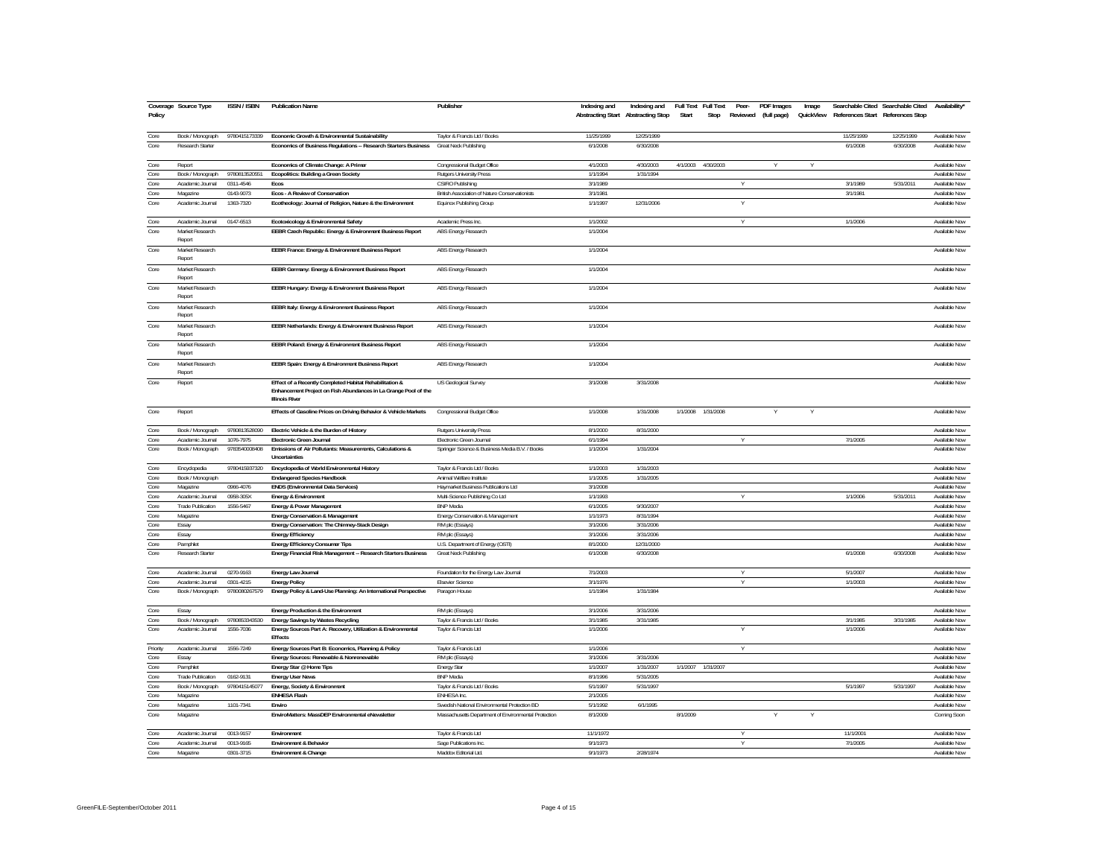| Policy       | Coverage Source Type         | ISSN / ISBN   | <b>Publication Name</b>                                                                                                                             | Publisher                                                 | Indexing and         | Indexing and Full Text<br>Abstracting Start Abstracting Stop | Full Text<br>Stop<br>Start | Peer-  | PDF Images<br>Reviewed (full page) | Image | QuickView References Start References Stop | Searchable Cited Searchable Cited | Availability'                  |
|--------------|------------------------------|---------------|-----------------------------------------------------------------------------------------------------------------------------------------------------|-----------------------------------------------------------|----------------------|--------------------------------------------------------------|----------------------------|--------|------------------------------------|-------|--------------------------------------------|-----------------------------------|--------------------------------|
| Core         | Book / Monograph             | 9780415173339 | Economic Growth & Environmental Sustainability                                                                                                      | Taylor & Francis Ltd / Books                              | 11/25/1999           | 12/25/1999                                                   |                            |        |                                    |       | 11/25/1999                                 | 12/25/1999                        | Available Now                  |
| Core         | Research Starter             |               | Economics of Business Regulations -- Research Starters Business                                                                                     | Great Neck Publishing                                     | 6/1/2008             | 6/30/2008                                                    |                            |        |                                    |       | 6/1/2008                                   | 6/30/2008                         | Available Now                  |
| Core         | Report                       |               | Economics of Climate Change: A Primer                                                                                                               | Congressional Budget Office                               | 4/1/2003             | 4/30/2003                                                    | 4/30/2003<br>4/1/2003      |        |                                    |       |                                            |                                   | Available Now                  |
| Core         | Book / Monograph             | 9780813520551 | Ecopolitics: Building a Green Society                                                                                                               | <b>Rutgers University Press</b>                           | 1/1/1994             | 1/31/1994                                                    |                            |        |                                    |       |                                            |                                   | Available Now                  |
| Core         | Academic Journal             | 0311-4546     | Ecos                                                                                                                                                | CSIRO Publishing                                          | 3/1/1989             |                                                              |                            |        |                                    |       | 3/1/1989                                   | 5/31/2011                         | Available Now                  |
| Core         | Magazine                     | 0143-9073     | Ecos - A Review of Conservation                                                                                                                     | British Association of Nature Conservationists            | 3/1/1981             |                                                              |                            |        |                                    |       | 3/1/1981                                   |                                   | Available Now                  |
| Core         | Academic Journal             | 1363-7320     | Ecotheology: Journal of Religion, Nature & the Environment                                                                                          | Equinox Publishing Group                                  | 1/1/1997             | 12/31/2006                                                   |                            |        |                                    |       |                                            |                                   | Available Now                  |
| Core         | Academic Journal             | 0147-6513     | Ecotoxicology & Environmental Safety                                                                                                                | Academic Press Inc.                                       | 1/1/2002             |                                                              |                            |        |                                    |       | 1/1/2006                                   |                                   | Available Now                  |
| Core         | Market Research<br>Renort    |               | EEBR Czech Republic: Energy & Environment Business Report                                                                                           | ABS Energy Research                                       | 1/1/2004             |                                                              |                            |        |                                    |       |                                            |                                   | Available Now                  |
| Core         | Market Research<br>Report    |               | EEBR France: Energy & Environment Business Report                                                                                                   | ABS Energy Research                                       | 1/1/2004             |                                                              |                            |        |                                    |       |                                            |                                   | Available Now                  |
| Core         | Market Research<br>Report    |               | EEBR Germany: Energy & Environment Business Report                                                                                                  | ABS Energy Research                                       | 1/1/2004             |                                                              |                            |        |                                    |       |                                            |                                   | Available Now                  |
| Core         | Market Research<br>Report    |               | EEBR Hungary: Energy & Environment Business Report                                                                                                  | ABS Energy Research                                       | 1/1/2004             |                                                              |                            |        |                                    |       |                                            |                                   | Available Now                  |
| Core         | Market Research<br>Renort    |               | EEBR Italy: Energy & Environment Business Report                                                                                                    | <b>ABS Energy Research</b>                                | 1/1/2004             |                                                              |                            |        |                                    |       |                                            |                                   | Available Now                  |
| Core         | Market Research<br>Report    |               | EEBR Netherlands: Energy & Environment Business Report                                                                                              | ABS Energy Research                                       | 1/1/2004             |                                                              |                            |        |                                    |       |                                            |                                   | Available Now                  |
| Core         | Market Research<br>Report    |               | EEBR Poland: Energy & Environment Business Report                                                                                                   | ABS Energy Research                                       | 1/1/2004             |                                                              |                            |        |                                    |       |                                            |                                   | Available Now                  |
| Core         | Market Research<br>Report    |               | EEBR Spain: Energy & Environment Business Report                                                                                                    | ABS Energy Research                                       | 1/1/2004             |                                                              |                            |        |                                    |       |                                            |                                   | Available Now                  |
| Core         | Report                       |               | Effect of a Recently Completed Habitat Rehabilitation &<br>Enhancement Project on Fish Abundances in La Grange Pool of the<br><b>Illinois River</b> | US Geological Survey                                      | 3/1/2008             | 3/31/2008                                                    |                            |        |                                    |       |                                            |                                   | <b>Available Now</b>           |
| Core         | Report                       |               | Effects of Gasoline Prices on Driving Behavior & Vehicle Markets                                                                                    | Congressional Budget Office                               | 1/1/2008             | 1/31/2008                                                    | 1/1/2008<br>1/31/2008      |        |                                    |       |                                            |                                   | Available Now                  |
| Core         | Book / Monograph             | 9780813528090 | Electric Vehicle & the Burden of History                                                                                                            | <b>Rutgers University Press</b>                           | 8/1/2000             | 8/31/2000                                                    |                            |        |                                    |       |                                            |                                   | Available Now                  |
| Core         | Academic Journal             | 1076-7975     | Electronic Green Journal                                                                                                                            | Electronic Green Journal                                  | 6/1/1994             |                                                              |                            |        |                                    |       | 7/1/2005                                   |                                   | Available Now                  |
| Core         | Book / Monograph             | 9783540008408 | Emissions of Air Pollutants: Measurements, Calculations &<br>Uncertainties                                                                          | Springer Science & Business Media B.V. / Books            | 1/1/2004             | 1/31/2004                                                    |                            |        |                                    |       |                                            |                                   | Available Now                  |
| Core         | Encyclopedia                 | 9780415937320 | Encyclopedia of World Environmental History                                                                                                         | Taylor & Francis Ltd / Books                              | 1/1/2003             | 1/31/2003                                                    |                            |        |                                    |       |                                            |                                   | Available Now                  |
| Core         | Book / Monograph             |               | <b>Endangered Species Handbook</b>                                                                                                                  | Animal Welfare Institute                                  | 1/1/2005             | 1/31/2005                                                    |                            |        |                                    |       |                                            |                                   | Available Now                  |
| Core         | Magazine                     | 0966-4076     | <b>ENDS (Environmental Data Services)</b>                                                                                                           | Haymarket Business Publications Ltd                       | 3/1/2008             |                                                              |                            |        |                                    |       |                                            |                                   | Available Now                  |
| Core         | Academic Journal             | 0958-305X     | Energy & Environment                                                                                                                                | Multi-Science Publishing Co Ltd                           | 1/1/1993             |                                                              |                            |        |                                    |       | 1/1/2006                                   | 5/31/2011                         | Available Now                  |
| Core         | <b>Trade Publication</b>     | 1556-5467     | Energy & Power Management                                                                                                                           | <b>BNP</b> Media                                          | 6/1/2005             | 9/30/2007                                                    |                            |        |                                    |       |                                            |                                   | Available Now                  |
| Core         | Magazine                     |               | Energy Conservation & Management                                                                                                                    | Energy Conservation & Management                          | 1/1/1973             | 8/31/1994                                                    |                            |        |                                    |       |                                            |                                   | Available Now                  |
| Core         | Essay                        |               | Energy Conservation: The Chimney-Stack Design                                                                                                       | RM plc (Essays)                                           | 3/1/2006             | 3/31/2006                                                    |                            |        |                                    |       |                                            |                                   | Available Now                  |
| Core         | Essay                        |               | <b>Energy Efficiency</b>                                                                                                                            | RM plc (Essays)                                           | 3/1/2006             | 3/31/2006                                                    |                            |        |                                    |       |                                            |                                   | Available Now                  |
| Core<br>Core | Pamphlet<br>Research Starter |               | <b>Energy Efficiency Consumer Tips</b><br>Energy Financial Risk Management -- Research Starters Business                                            | U.S. Department of Energy (OSTI)<br>Great Neck Publishing | 8/1/2000<br>6/1/2008 | 12/31/2000<br>6/30/2008                                      |                            |        |                                    |       | 6/1/2008                                   | 6/30/2008                         | Available Now<br>Available Now |
| Core         | Academic Journal             | 0270-9163     | Energy Law Journal                                                                                                                                  | Foundation for the Energy Law Journal                     | 7/1/2003             |                                                              |                            |        |                                    |       | 5/1/2007                                   |                                   | Available Now                  |
| Core         | Academic Journal             | 0301-4215     | <b>Energy Policy</b>                                                                                                                                | <b>Elsevier Science</b>                                   | 3/1/1976             |                                                              |                            |        |                                    |       | 1/1/2003                                   |                                   | Available Now                  |
| Core         | Book / Monograph             | 9780080267579 | Energy Policy & Land-Use Planning: An International Perspective                                                                                     | Paragon House                                             | 1/1/1984             | 1/31/1984                                                    |                            |        |                                    |       |                                            |                                   | Available Now                  |
| Core         | Essay                        |               | Energy Production & the Environment                                                                                                                 | RM plc (Essays)                                           | 3/1/2006             | 3/31/2006                                                    |                            |        |                                    |       |                                            |                                   | Available Now                  |
| Core         | Book / Monograph             | 9780853343530 | Energy Savings by Wastes Recycling                                                                                                                  | Taylor & Francis Ltd / Books                              | 3/1/1985             | 3/31/1985                                                    |                            |        |                                    |       | 3/1/1985                                   | 3/31/1985                         | Available Now                  |
| Core         | Academic Journal             | 1556-7036     | Energy Sources Part A: Recovery, Utilization & Environmental<br>Effects                                                                             | Taylor & Francis Ltd                                      | 1/1/2006             |                                                              |                            | $\vee$ |                                    |       | 1/1/2006                                   |                                   | Available Now                  |
| Priority     | Academic Journal             | 1556-7249     | Energy Sources Part B: Economics, Planning & Policy                                                                                                 | Taylor & Francis Ltd                                      | 1/1/2006             |                                                              |                            |        |                                    |       |                                            |                                   | Available Now                  |
| Core         | Essay                        |               | Energy Sources: Renewable & Nonrenewable                                                                                                            | RM plc (Essays)                                           | 3/1/2006             | 3/31/2006                                                    |                            |        |                                    |       |                                            |                                   | Available Now                  |
| Core         | Pamphlet                     |               | Energy Star @ Home Tips                                                                                                                             | <b>Energy Star</b>                                        | 1/1/2007             | 1/31/2007                                                    | 1/1/2007<br>1/31/2007      |        |                                    |       |                                            |                                   | Available Now                  |
| Core         | <b>Trade Publication</b>     | 0162-9131     | <b>Energy User News</b>                                                                                                                             | <b>BNP</b> Media                                          | 8/1/1996             | 5/31/2005                                                    |                            |        |                                    |       |                                            |                                   | Available Now                  |
| Core         | Book / Monograph             | 9780415145077 | Energy, Society & Environment                                                                                                                       | Taylor & Francis Ltd / Books                              | 5/1/1997             | 5/31/1997                                                    |                            |        |                                    |       | 5/1/1997                                   | 5/31/1997                         | Available Now                  |
| Core         | Magazine                     |               | <b>ENHESA Flash</b>                                                                                                                                 | ENHESA Inc.                                               | 2/1/2005             |                                                              |                            |        |                                    |       |                                            |                                   | Available Now                  |
| Core         | Magazine                     | 1101-7341     | Fnviro                                                                                                                                              | Swedish National Environmental Protection BD              | 5/1/1992             | 6/1/1995                                                     |                            |        |                                    |       |                                            |                                   | Available Now                  |
| Core         | Magazine                     |               | EnviroMatters: MassDEP Environmental eNewsletter                                                                                                    | Massachusetts Department of Environmental Protection      | 8/1/2009             |                                                              | 8/1/2009                   |        |                                    |       |                                            |                                   | Coming Soon                    |
| Core         | Academic Journal             | 0013-9157     | Environment                                                                                                                                         | Taylor & Francis Ltd                                      | 11/1/1972            |                                                              |                            |        |                                    |       | 11/1/2001                                  |                                   | Available Now                  |
| Core         | Academic Journal             | 0013-9165     | Environment & Behavior                                                                                                                              | Sage Publications Inc.                                    | 9/1/1973             |                                                              |                            |        |                                    |       | 7/1/2005                                   |                                   | Available Now                  |
| Core         | Magazine                     | 0301-3715     | Environment & Change                                                                                                                                | Maddox Editorial Ltd.                                     | 9/1/1973             | 2/28/1974                                                    |                            |        |                                    |       |                                            |                                   | Available Now                  |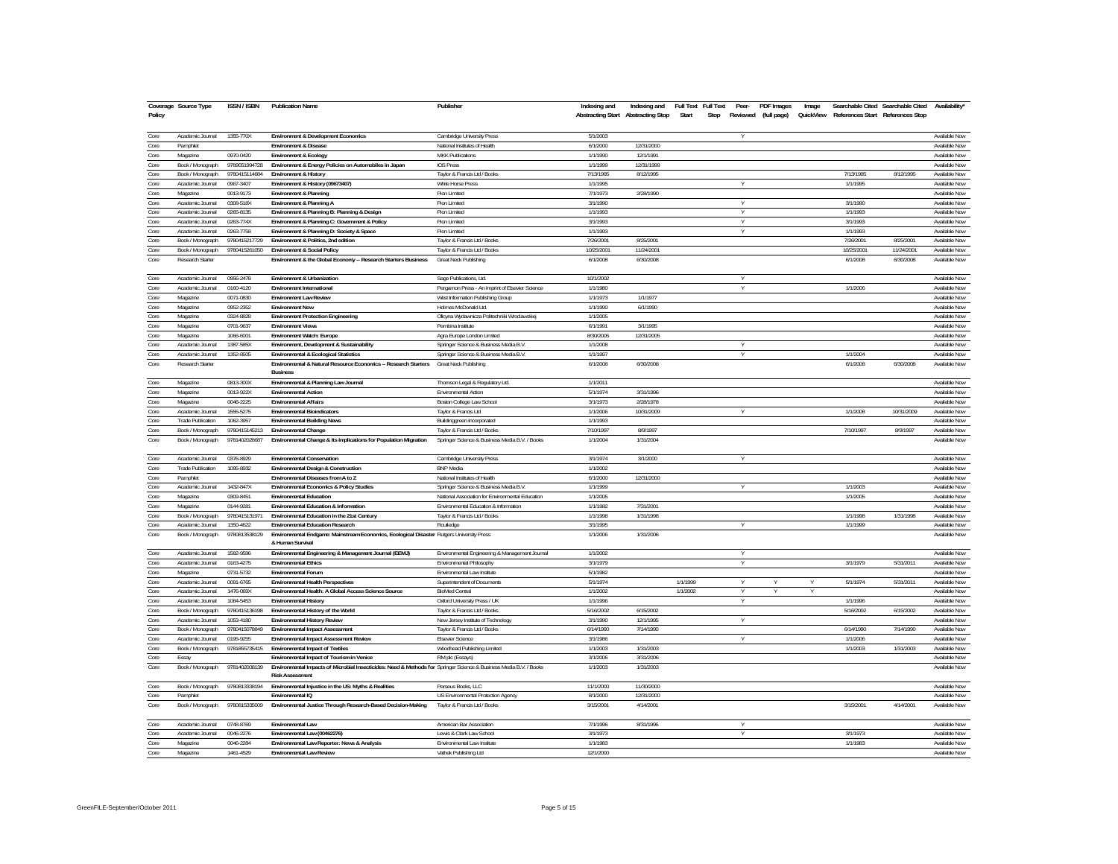| Policy | Coverage Source Type     | <b>ISSN / ISBN</b> | <b>Publication Name</b>                                                                                                                      | Publisher                                        | Indexing and | Indexing and<br>Abstracting Start Abstracting Stop | Full Text Full Text<br>Start | Peer-<br>Stop | PDF Images | Image |            | Searchable Cited Searchable Cited Availability'<br>Reviewed (full page) QuickView References Start References Stop |                      |
|--------|--------------------------|--------------------|----------------------------------------------------------------------------------------------------------------------------------------------|--------------------------------------------------|--------------|----------------------------------------------------|------------------------------|---------------|------------|-------|------------|--------------------------------------------------------------------------------------------------------------------|----------------------|
| Core   | Academic Journal         | 1355-770X          | <b>Environment &amp; Development Economics</b>                                                                                               | Cambridge University Press                       | 5/1/2003     |                                                    |                              | Y             |            |       |            |                                                                                                                    | Available Now        |
| Core   | Pamphlet                 |                    | <b>Environment &amp; Disease</b>                                                                                                             | National Institutes of Health                    | 6/1/2000     | 12/31/2000                                         |                              |               |            |       |            |                                                                                                                    | Available Now        |
| Core   | Magazine                 | 0970-0420          | <b>Environment &amp; Ecology</b>                                                                                                             | MKK Publications                                 | 1/1/1990     | 12/1/1991                                          |                              |               |            |       |            |                                                                                                                    | Available Now        |
| Core   | Book / Monograph         | 9789051994728      | Environment & Energy Policies on Automobiles in Japan                                                                                        | <b>IOS Press</b>                                 | 1/1/1999     | 12/31/1999                                         |                              |               |            |       |            |                                                                                                                    | Available Now        |
| Core   | Book / Monograph         | 9780415114684      | <b>Environment &amp; History</b>                                                                                                             | Taylor & Francis Ltd / Books                     | 7/13/1995    | 8/12/1995                                          |                              |               |            |       | 7/13/1995  | 8/12/1995                                                                                                          | Available Now        |
| Core   | Academic Journal         | 0967-3407          | Environment & History (09673407)                                                                                                             | White Horse Press                                | 1/1/1995     |                                                    |                              | V             |            |       | 1/1/1995   |                                                                                                                    | Available Now        |
| Core   | Magazine                 | 0013-9173          | <b>Environment &amp; Planning</b>                                                                                                            | Pion Limited                                     | 7/1/1973     | 2/28/1990                                          |                              |               |            |       |            |                                                                                                                    | Available Now        |
| Core   | Academic Journal         | 0308-518X          | Environment & Planning A                                                                                                                     | Pion Limited                                     | 3/1/1990     |                                                    |                              | ٧             |            |       | 3/1/1990   |                                                                                                                    | Available Now        |
| Core   | Academic Journal         | 0265-8135          | Environment & Planning B: Planning & Design                                                                                                  | Pion Limited                                     | 1/1/1993     |                                                    |                              | Y             |            |       | 1/1/1993   |                                                                                                                    | Available Now        |
| Core   | Academic Journal         | 0263-774X          | Environment & Planning C: Government & Policy                                                                                                | Pion Limited                                     | 3/1/1993     |                                                    |                              | Y             |            |       | 3/1/1993   |                                                                                                                    | Available Now        |
| Core   | Academic Journal         | 0263-7758          | Environment & Planning D: Society & Space                                                                                                    | Pion Limited                                     | 1/1/1993     |                                                    |                              | Y             |            |       | 1/1/1993   |                                                                                                                    | Available Now        |
| Core   | Book / Monograph         | 9780415217729      | Environment & Politics, 2nd edition                                                                                                          | Taylor & Francis Ltd / Books                     | 7/26/2001    | 8/25/2001                                          |                              |               |            |       | 7/26/2001  | 8/25/2001                                                                                                          | Available Now        |
| Core   | Book / Monograph         | 9780415261050      | <b>Environment &amp; Social Policy</b>                                                                                                       | Taylor & Francis Ltd / Books                     | 10/25/2001   | 11/24/2001                                         |                              |               |            |       | 10/25/2001 | 11/24/2001                                                                                                         | Available Now        |
| Core   | <b>Research Starter</b>  |                    | Environment & the Global Economy -- Research Starters Business                                                                               | Great Neck Publishing                            | 6/1/2008     | 6/30/2008                                          |                              |               |            |       | 6/1/2008   | 6/30/2008                                                                                                          | Available Now        |
| Core   | Academic Journal         | 0956-2478          | Environment & Urbanization                                                                                                                   | Sage Publications, Ltd.                          | 10/1/2002    |                                                    |                              | Υ             |            |       |            |                                                                                                                    | Available Now        |
| Core   | Academic Journal         | 0160-4120          | <b>Fnvironment International</b>                                                                                                             | Pergamon Press - An Imprint of Elsevier Science  | 1/1/1980     |                                                    |                              | Y             |            |       | 1/1/2006   |                                                                                                                    | Available Now        |
| Core   | Magazine                 | 0071-0830          | <b>Environment Law Review</b>                                                                                                                | West Information Publishing Group                | 1/1/1973     | 1/1/1977                                           |                              |               |            |       |            |                                                                                                                    | Available Now        |
| Core   | Magazine                 | 0952-2352          | <b>Environment Now</b>                                                                                                                       | Holmes McDonald Ltd                              | 1/1/1990     | 6/1/1990                                           |                              |               |            |       |            |                                                                                                                    | Available Now        |
| Core   | Magazine                 | 0324-8828          | <b>Environment Protection Engineering</b>                                                                                                    | Oficyna Wydawnicza Politechniki Wroclawskiej     | 1/1/2005     |                                                    |                              |               |            |       |            |                                                                                                                    | Available Now        |
| Core   | Magazine                 | 0701-9637          | <b>Environment Views</b>                                                                                                                     | Pembina Institute                                | 6/1/1991     | 3/1/1995                                           |                              |               |            |       |            |                                                                                                                    | Available Now        |
| Core   | Magazine                 | 1066-6001          | Environment Watch: Europe                                                                                                                    | Agra Europe London Limited                       | 8/30/2005    | 12/31/2005                                         |                              |               |            |       |            |                                                                                                                    | Available Now        |
| Core   | Academic Journal         | 1387-585X          | Environment, Development & Sustainability                                                                                                    | Springer Science & Business Media B.V.           | 1/1/2008     |                                                    |                              | Υ             |            |       |            |                                                                                                                    | Available Now        |
| Core   | Academic Journal         | 1352-8505          | <b>Environmental &amp; Ecological Statistics</b>                                                                                             | Springer Science & Business Media B.V            | 1/1/1997     |                                                    |                              | $\vee$        |            |       | 1/1/2004   |                                                                                                                    | Available Now        |
| Core   | Research Starter         |                    | Environmental & Natural Resource Economics -- Research Starters<br><b>Business</b>                                                           | Great Neck Publishing                            | 6/1/2008     | 6/30/2008                                          |                              |               |            |       | 6/1/2008   | 6/30/2008                                                                                                          | Available Now        |
| Core   | Magazine                 | 0813-300X          | Environmental & Planning Law Journal                                                                                                         | Thomson Legal & Regulatory Ltd.                  | 1/1/2011     |                                                    |                              |               |            |       |            |                                                                                                                    | Available Now        |
| Core   | Magazine                 | 0013-922X          | <b>Environmental Action</b>                                                                                                                  | Environmental Action                             | 5/1/1974     | 3/31/1996                                          |                              |               |            |       |            |                                                                                                                    | Available Now        |
| Core   | Magazine                 | 0046-2225          | <b>Environmental Affairs</b>                                                                                                                 | Boston College Law School                        | 3/1/1973     | 2/28/1978                                          |                              |               |            |       |            |                                                                                                                    | Available Now        |
| Core   | Academic Journal         | 1555-5275          | <b>Environmental Bioindicators</b>                                                                                                           | Taylor & Francis Ltd                             | 1/1/2006     | 10/31/2009                                         |                              |               |            |       | 1/1/2008   | 10/31/2009                                                                                                         | Available Now        |
| Core   | Trade Publication        | 1062-3957          | <b>Environmental Building News</b>                                                                                                           | Buildinggreen Incorporated                       | 1/1/1993     |                                                    |                              |               |            |       |            |                                                                                                                    | Available Now        |
| Core   | Book / Monograph         | 9780415145213      | <b>Environmental Change</b>                                                                                                                  | Taylor & Francis Ltd / Books                     | 7/10/1997    | 8/9/1997                                           |                              |               |            |       | 7/10/1997  | 8/9/1997                                                                                                           | Available Now        |
| Core   | Book / Monograph         | 9781402028687      | Environmental Change & Its Implications for Population Migration                                                                             | Springer Science & Business Media B.V. / Books   | 1/1/2004     | 1/31/2004                                          |                              |               |            |       |            |                                                                                                                    | Available Now        |
| Core   | Academic Journal         | 0376-8929          | <b>Environmental Conservation</b>                                                                                                            | Cambridge University Press                       | 3/1/1974     | 3/1/2000                                           |                              | v             |            |       |            |                                                                                                                    | Available Now        |
| Core   | <b>Trade Publication</b> | 1095-8932          | Environmental Design & Construction                                                                                                          | <b>BNP</b> Media                                 | 1/1/2002     |                                                    |                              |               |            |       |            |                                                                                                                    | Available Now        |
| Core   | Pamphlet                 |                    | Environmental Diseases from A to Z                                                                                                           | National Institutes of Health                    | 6/1/2000     | 12/31/2000                                         |                              |               |            |       |            |                                                                                                                    | Available Now        |
| Core   | Academic Journal         | 1432-847X          | Environmental Economics & Policy Studies                                                                                                     | Springer Science & Business Media B.V            | 1/1/1999     |                                                    |                              |               |            |       | 1/1/2003   |                                                                                                                    | Available Now        |
| Core   | Magazine                 | 0309-8451          | <b>Environmental Education</b>                                                                                                               | National Association for Environmental Education | 1/1/2005     |                                                    |                              |               |            |       | 1/1/2005   |                                                                                                                    | Available Now        |
| Core   | Magazine                 | 0144-9281          | Environmental Education & Information                                                                                                        | Environmental Education & Information            | 1/1/1982     | 7/31/2001                                          |                              |               |            |       |            |                                                                                                                    | Available Now        |
| Core   | Book / Monograph         | 978041513197       | Environmental Education in the 21st Century                                                                                                  | Taylor & Francis Ltd / Books                     | 1/1/1998     | 1/31/1998                                          |                              |               |            |       | 1/1/1998   | 1/31/1998                                                                                                          | Available Now        |
| Core   | Academic Journal         | 1350-4622          | <b>Environmental Education Research</b>                                                                                                      | Routledge                                        | 3/1/1995     |                                                    |                              |               |            |       | 1/1/1999   |                                                                                                                    | Available Now        |
| Core   | Book / Monograph         | 9780813538129      | Environmental Endgame: Mainstream Economics, Ecological Disaster Rutgers University Press<br>& Human Survival                                |                                                  | 1/1/2006     | 1/31/2006                                          |                              |               |            |       |            |                                                                                                                    | Available Now        |
| Core   | Academic Journal         | 1582-9596          | Environmental Engineering & Management Journal (EEMJ)                                                                                        | Environmental Engineering & Management Journal   | 1/1/2002     |                                                    |                              | Y             |            |       |            |                                                                                                                    | Available Now        |
| Core   | Academic Journal         | 0163-4275          | <b>Environmental Ethics</b>                                                                                                                  | Environmental Philosophy                         | 3/1/1979     |                                                    |                              | Υ             |            |       | 3/1/1979   | 5/31/2011                                                                                                          | <b>Available Now</b> |
| Core   | Magazine                 | 0731-5732          | <b>Environmental Forum</b>                                                                                                                   | Environmental Law Institute                      | 5/1/1982     |                                                    |                              |               |            |       |            |                                                                                                                    | Available Now        |
| Core   | Academic Journal         | 0091-6765          | <b>Environmental Health Perspectives</b>                                                                                                     | Superintendent of Documents                      | 5/1/1974     |                                                    | 1/1/1999                     | Y             | Y          | Y     | 5/1/1974   | 5/31/2011                                                                                                          | Available Now        |
| Core   | Academic Journal         | 1476-069X          | Environmental Health: A Global Access Science Source                                                                                         | <b>BinMed Central</b>                            | 1/1/2002     |                                                    | 1/1/2002                     | ٧             |            |       |            |                                                                                                                    | Available Now        |
| Core   | Academic Journal         | 1084-5453          | <b>Environmental History</b>                                                                                                                 | Oxford University Press / UK                     | 1/1/1996     |                                                    |                              | Υ             |            |       | 1/1/1996   |                                                                                                                    | Available Now        |
| Core   | Book / Monograph         | 9780415136198      | Environmental History of the World                                                                                                           | Taylor & Francis Ltd / Books                     | 5/16/2002    | 6/15/2002                                          |                              |               |            |       | 5/16/2002  | 6/15/2002                                                                                                          | Available Now        |
| Core   | Academic Journal         | 1053-4180          | <b>Environmental History Review</b>                                                                                                          | New Jersey Institute of Technology               | 3/1/1990     | 12/1/1995                                          |                              | v             |            |       |            |                                                                                                                    | Available Now        |
| Core   | Book / Monograph         | 9780415078849      | <b>Environmental Impact Assessment</b>                                                                                                       | Taylor & Francis Ltd / Books                     | 6/14/1990    | 7/14/1990                                          |                              |               |            |       | 6/14/1990  | 7/14/1990                                                                                                          | Available Now        |
| Core   | Academic Journal         | 0195-9255          | Environmental Impact Assessment Review                                                                                                       | <b>Elsevier Science</b>                          | 3/1/1986     |                                                    |                              | v             |            |       | 1/1/2006   |                                                                                                                    | Available Now        |
| Core   | Book / Monograph         | 9781855735415      | <b>Environmental Impact of Textiles</b>                                                                                                      | Woodhead Publishing Limited                      | 1/1/2003     | 1/31/2003                                          |                              |               |            |       | 1/1/2003   | 1/31/2003                                                                                                          | Available Now        |
| Core   | Essay                    |                    | Environmental Impact of Tourism in Venice                                                                                                    | RM plc (Essays)                                  | 3/1/2006     | 3/31/2006                                          |                              |               |            |       |            |                                                                                                                    | Available Now        |
| Core   | Book / Monograph         | 9781402008139      | Environmental Impacts of Microbial Insecticides: Need & Methods for Springer Science & Business Media B.V. / Books<br><b>Risk Assessment</b> |                                                  | 1/1/2003     | 1/31/2003                                          |                              |               |            |       |            |                                                                                                                    | Available Now        |
| Core   | Book / Monograph         | 9780813338194      | Environmental Injustice in the US: Myths & Realities                                                                                         | Perseus Books, LLC                               | 11/1/2000    | 11/30/2000                                         |                              |               |            |       |            |                                                                                                                    | Available Now        |
| Core   | Pamphlet                 |                    | Fnvironmental IO                                                                                                                             | US Environmental Protection Agency               | 8/1/2000     | 12/31/2000                                         |                              |               |            |       |            |                                                                                                                    | Available Now        |
| Core   | Book / Monograph         | 9780815335009      | Environmental Justice Through Research-Based Decision-Making                                                                                 | Taylor & Francis Ltd / Books                     | 3/15/2001    | 4/14/2001                                          |                              |               |            |       | 3/15/2001  | 4/14/2001                                                                                                          | Available Now        |
| Core   | Academic Journal         | 0748-8769          | <b>Fnvironmental Law</b>                                                                                                                     | American Bar Association                         | 7/1/1996     | 8/31/1996                                          |                              |               |            |       |            |                                                                                                                    | Available Now        |
| Core   | Academic Journal         | 0046-2276          | Environmental Law (00462276)                                                                                                                 | Lewis & Clark Law School                         | 3/1/1973     |                                                    |                              | ٧             |            |       | 3/1/1973   |                                                                                                                    | Available Now        |
| Core   | Magazine                 | 0046-2284          | Environmental Law Reporter: News & Analysis                                                                                                  | Environmental Law Institute                      | 1/1/1983     |                                                    |                              |               |            |       | 1/1/1983   |                                                                                                                    | Available Now        |
| Core   | Magazine                 | 1461-4529          | <b>Environmental Law Review</b>                                                                                                              | Vathek Publishing Ltd                            | 12/1/2000    |                                                    |                              |               |            |       |            |                                                                                                                    | Available Now        |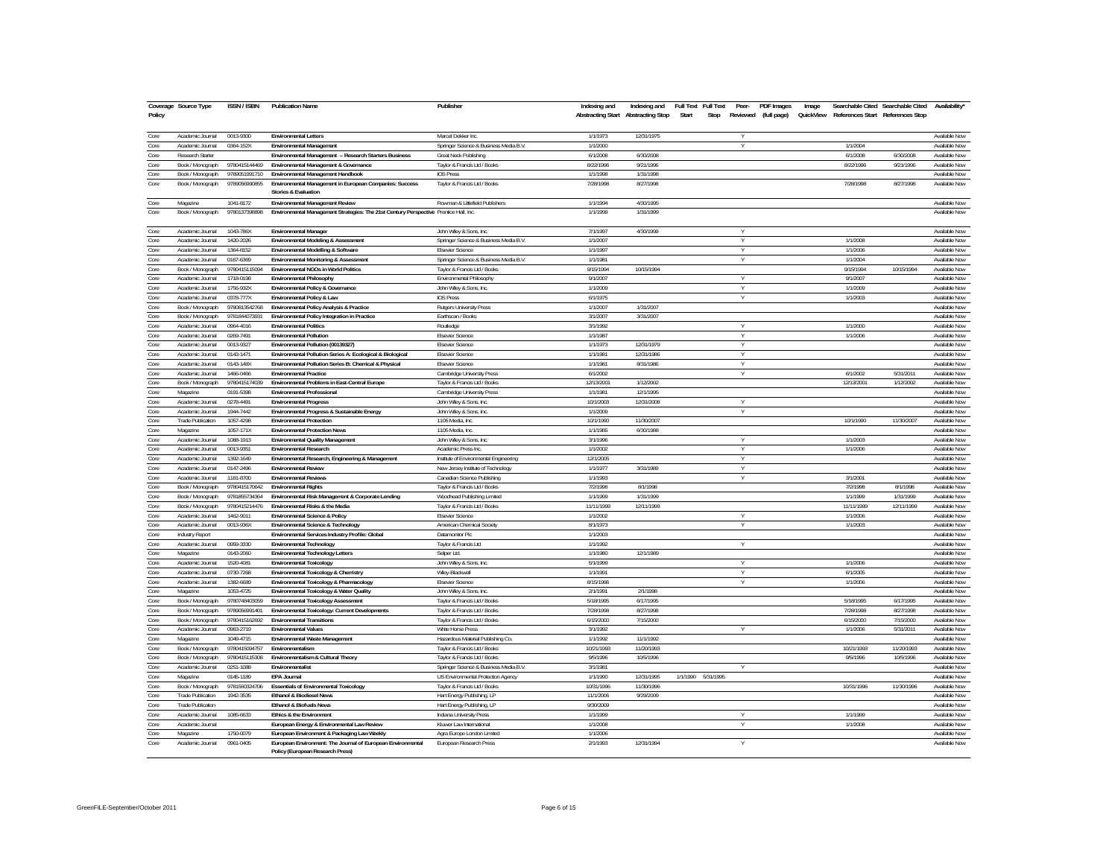| Policy       | Coverage Source Type                 | ISSN / ISBN            | <b>Publication Name</b>                                                                         | Publisher                                          | Indexing and          | Indexing and Full Text<br>Abstracting Start Abstracting Stop | Full Text<br>Peer-<br>PDF Images<br>Start<br>Stop<br>Reviewed (full page) | Image<br>QuickView References Start References Stop | Searchable Cited Searchable Cited Availability' |                                |
|--------------|--------------------------------------|------------------------|-------------------------------------------------------------------------------------------------|----------------------------------------------------|-----------------------|--------------------------------------------------------------|---------------------------------------------------------------------------|-----------------------------------------------------|-------------------------------------------------|--------------------------------|
| Core         | Academic Journal                     | 0013-9300              | <b>Environmental Letters</b>                                                                    | Marcel Dekker Inc                                  | 1/1/1973              | 12/31/1975                                                   |                                                                           |                                                     |                                                 | Available Now                  |
| Core         | Academic Journal                     | 0364-152X              | Environmental Management                                                                        | Springer Science & Business Media B.V.             | 1/1/2000              |                                                              |                                                                           | 1/1/2004                                            |                                                 | Available Now                  |
| Core         | Research Starter                     |                        | Environmental Management -- Research Starters Business                                          | Great Neck Publishing                              | 6/1/2008              | 6/30/2008                                                    |                                                                           | 6/1/2008                                            | 6/30/2008                                       | Available Now                  |
| Core         | Book / Monograph                     | 9780415144469          | Environmental Management & Governance                                                           | Taylor & Francis Ltd / Books                       | 8/22/1996             | 9/21/1996                                                    |                                                                           | 8/22/1996                                           | 9/21/1996                                       | Available Now                  |
| Core         | Book / Monograph                     | 9789051991710          | Environmental Management Handbook                                                               | <b>IOS Press</b>                                   | 1/1/1998              | 1/31/1998                                                    |                                                                           |                                                     |                                                 | Available Now                  |
| Core         | Book / Monograph                     | 9789056990855          | Environmental Management in European Companies: Success<br><b>Stories &amp; Evaluation</b>      | Taylor & Francis Ltd / Books                       | 7/28/1998             | 8/27/1998                                                    |                                                                           | 7/28/1998                                           | 8/27/1998                                       | Available Now                  |
| Core         | Magazine                             | 1041-8172              | Environmental Management Review                                                                 | Rowman & Littlefield Publishers                    | 1/1/1994              | 4/30/1995                                                    |                                                                           |                                                     |                                                 | Available Now                  |
| Core         | Book / Monograph                     | 9780137398898          | Environmental Management Strategies: The 21st Century Perspective Prentice Hall, Inc.           |                                                    | 1/1/1999              | 1/31/1999                                                    |                                                                           |                                                     |                                                 | Available Now                  |
| Core         | Academic Journal                     | 1043-786X              | <b>Environmental Manager</b>                                                                    | John Wiley & Sons, Inc.                            | 7/1/1997              | 4/30/1999                                                    |                                                                           |                                                     |                                                 | Available Now                  |
| Core         | Academic Journal                     | 1420-2026              | Environmental Modeling & Assessment                                                             | Springer Science & Business Media B.V.             | 1/1/2007              |                                                              |                                                                           | 1/1/2008                                            |                                                 | Available Now                  |
| Core         | Academic Journal                     | 1364-8152              | Environmental Modelling & Software                                                              | <b>Elsevier Science</b>                            | 1/1/1997              |                                                              |                                                                           | 1/1/2006                                            |                                                 | Available Now                  |
| Core         | Academic Journal                     | 0167-6369              | <b>Environmental Monitoring &amp; Assessment</b>                                                | Springer Science & Business Media B.V.             | 1/1/1981              |                                                              | $\vee$                                                                    | 1/1/2004                                            |                                                 | Available Now                  |
| Core         | Book / Monograph                     | 9780415115094          | Environmental NGOs in World Politics                                                            | Taylor & Francis Ltd / Books                       | 9/15/1994             | 10/15/1994                                                   |                                                                           | 9/15/1994                                           | 10/15/1994                                      | Available Now                  |
| Core         | Academic Inurnal                     | 1718-0198              | Environmental Philosophy                                                                        | Environmental Philosophy                           | 9/1/2007              |                                                              | $\vee$                                                                    | 9/1/2007                                            |                                                 | Available Now                  |
| Core         | Academic Journal                     | 1756-932X              | Environmental Policy & Governance                                                               | John Wiley & Sons, Inc.                            | 1/1/2009              |                                                              | $\checkmark$                                                              | 1/1/2009                                            |                                                 | Available Now                  |
| Core         | Academic Journal                     | 0378-777X              | Environmental Policy & Law                                                                      | <b>IOS Press</b>                                   | 6/1/1975              |                                                              |                                                                           | 1/1/2003                                            |                                                 | Available Now                  |
| Core         | Book / Monograph                     | 9780813542768          | Environmental Policy Analysis & Practice                                                        | Rutgers University Press                           | 1/1/2007              | 1/31/2007                                                    |                                                                           |                                                     |                                                 | Available Now<br>Available Now |
| Core         | Book / Monograph                     | 9781844073931          | Environmental Policy Integration in Practice                                                    | Earthscan / Books                                  | 3/1/2007              | 3/31/2007                                                    |                                                                           |                                                     |                                                 |                                |
| Core         | Academic Journal                     | 0964-4016<br>0269-7491 | <b>Environmental Politics</b><br><b>Environmental Pollution</b>                                 | Routledge                                          | 3/1/1992<br>1/1/1987  |                                                              |                                                                           | 1/1/2000<br>1/1/2006                                |                                                 | Available Now<br>Available Now |
| Core         | Academic Journal                     |                        |                                                                                                 | <b>Elsevier Science</b>                            |                       |                                                              | $\vee$                                                                    |                                                     |                                                 |                                |
| Core<br>Core | Academic Journal<br>Academic Journal | 0013-9327<br>0143-1471 | Environmental Pollution (00139327)                                                              | <b>Elsevier Science</b><br><b>Elsevier Science</b> | 1/1/1973<br>1/1/1981  | 12/31/1979<br>12/31/1986                                     | $\vee$                                                                    |                                                     |                                                 | Available Now<br>Available Now |
|              |                                      |                        | Environmental Pollution Series A: Ecological & Biological                                       |                                                    |                       |                                                              |                                                                           |                                                     |                                                 |                                |
| Core         | Academic Journal<br>Academic Journal | 0143-148><br>1466-0466 | Environmental Pollution Series B: Chemical & Physical<br><b>Environmental Practice</b>          | <b>Elsevier Science</b>                            | 1/1/1981<br>6/1/2002  | 8/31/1986                                                    |                                                                           | 6/1/2002                                            |                                                 | Available Now<br>Available Now |
| Core<br>Core |                                      | 9780415174039          |                                                                                                 | Cambridge University Press                         | 12/13/2001            | 1/12/2002                                                    |                                                                           |                                                     | 5/31/2011                                       | Available Now                  |
|              | Book / Monograph                     |                        | Environmental Problems in East-Central Europe                                                   | Taylor & Francis Ltd / Books                       |                       |                                                              |                                                                           | 12/13/2001                                          | 1/12/2002                                       |                                |
| Core         | Magazine                             | 0191-5398              | <b>Environmental Professional</b>                                                               | Cambridge University Press                         | 1/1/1981              | 12/1/1995                                                    |                                                                           |                                                     |                                                 | Available Now                  |
| Core<br>Core | Academic Journal<br>Academic Journal | 0278-4491<br>1944-7442 | <b>Environmental Progress</b><br>Environmental Progress & Sustainable Energy                    | John Wiley & Sons, Inc.                            | 10/1/2003<br>1/1/2009 | 12/31/2008                                                   |                                                                           |                                                     |                                                 | Available Now<br>Available Now |
| Core         | <b>Trade Publication</b>             | 1057-4298              | <b>Environmental Protection</b>                                                                 | John Wiley & Sons, Inc.<br>1105 Media, Inc.        | 10/1/1990             | 11/30/2007                                                   |                                                                           | 10/1/1990                                           | 11/30/2007                                      | Available Now                  |
| Core         | Magazine                             | 1057-171X              | <b>Environmental Protection News</b>                                                            | 1105 Media, Inc.                                   | 1/1/1985              | 6/30/1988                                                    |                                                                           |                                                     |                                                 | Available Now                  |
| Core         | Academic Journal                     | 1088-1913              | <b>Environmental Quality Management</b>                                                         | John Wiley & Sons, Inc.                            | 3/1/1996              |                                                              |                                                                           | 1/1/2003                                            |                                                 | Available Now                  |
| Core         | Academic Journal                     | 0013-9351              | <b>Environmental Research</b>                                                                   | Academic Press Inc.                                | 1/1/2002              |                                                              | $\vee$                                                                    | 1/1/2006                                            |                                                 | Available Now                  |
| Core         | Academic Journal                     | 1392-1649              | Environmental Research, Engineering & Management                                                | Institute of Environmental Engineering             | 12/1/2005             |                                                              |                                                                           |                                                     |                                                 | Available Now                  |
| Core         | Academic Journal                     | 0147-2496              | <b>Environmental Review</b>                                                                     | New Jersey Institute of Technology                 | 1/1/1977              | 3/31/1989                                                    |                                                                           |                                                     |                                                 | Available Now                  |
| Core         | Academic Journal                     | 1181-8700              | <b>Environmental Reviews</b>                                                                    | Canadian Science Publishing                        | 1/1/1993              |                                                              |                                                                           | 3/1/2001                                            |                                                 | Available Now                  |
| Core         | Book / Monograph                     | 9780415170642          | <b>Fnvironmental Rights</b>                                                                     | Taylor & Francis Ltd / Books                       | 7/2/1998              | 8/1/1998                                                     |                                                                           | 7/2/1998                                            | 8/1/1998                                        | Available Now                  |
| Core         | Book / Monograph                     | 9781855734364          | Environmental Risk Management & Corporate Lending                                               | Woodhead Publishing Limited                        | 1/1/1999              | 1/31/1999                                                    |                                                                           | 1/1/1999                                            | 1/31/1999                                       | Available Now                  |
| Core         | Book / Monograph                     | 9780415214476          | Environmental Risks & the Media                                                                 | Taylor & Francis Ltd / Books                       | 11/11/1999            | 12/11/1999                                                   |                                                                           | 11/11/1999                                          | 12/11/1999                                      | Available Now                  |
| Core         | Academic Journal                     | 1462-9011              | Environmental Science & Policy                                                                  | <b>Fisevier Science</b>                            | 1/1/2002              |                                                              |                                                                           | 1/1/2006                                            |                                                 | <b>Available Now</b>           |
| Core         | Academic Journal                     | 0013-936X              | Environmental Science & Technology                                                              | American Chemical Society                          | 8/1/1973              |                                                              |                                                                           | 1/1/2003                                            |                                                 | Available Now                  |
| Core         | <b>Industry Report</b>               |                        | Environmental Services Industry Profile: Global                                                 | Datamonitor Plo                                    | 1/1/2003              |                                                              |                                                                           |                                                     |                                                 | Available Now                  |
| Core         | Academic Journal                     | 0959-3330              | Environmental Technology                                                                        | Taylor & Francis Ltd                               | 1/1/1992              |                                                              | Y                                                                         |                                                     |                                                 | Available Now                  |
| Core         | Magazine                             | 0143-2060              | <b>Environmental Technology Letters</b>                                                         | Selper Ltd.                                        | 1/1/1980              | 12/1/1989                                                    |                                                                           |                                                     |                                                 | Available Now                  |
| Core         | Academic Journal                     | 1520-4081              | <b>Environmental Toxicology</b>                                                                 | John Wiley & Sons, Inc.                            | 5/1/1999              |                                                              |                                                                           | 1/1/2006                                            |                                                 | Available Now                  |
| Core         | Academic Journal                     | 0730-7268              | Environmental Toxicology & Chemistry                                                            | Wiley-Blackwell                                    | 1/1/1991              |                                                              |                                                                           | 6/1/2005                                            |                                                 | Available Now                  |
| Core         | Academic Journal                     | 1382-6689              | Environmental Toxicology & Pharmacology                                                         | <b>Elsevier Science</b>                            | 8/15/1996             |                                                              |                                                                           | 1/1/2006                                            |                                                 | Available Now                  |
| Core         | Magazine                             | 1053-4725              | Environmental Toxicology & Water Quality                                                        | John Wiley & Sons. Inc.                            | 2/1/1991              | 2/1/1998                                                     |                                                                           |                                                     |                                                 | Available Now                  |
| Core         | Book / Monograph                     | 9780748403059          | <b>Environmental Toxicology Assessment</b>                                                      | Taylor & Francis Ltd / Books                       | 5/18/1995             | 6/17/1995                                                    |                                                                           | 5/18/1995                                           | 6/17/1995                                       | Available Now                  |
| Core         | Book / Monograph                     | 9789056991401          | Environmental Toxicology: Current Developments                                                  | Taylor & Francis Ltd / Books                       | 7/28/1998             | 8/27/1998                                                    |                                                                           | 7/28/1998                                           | 8/27/1998                                       | Available Now                  |
| Core         | Book / Monograph                     | 9780415162692          | <b>Environmental Transitions</b>                                                                | Taylor & Francis Ltd / Books                       | 6/15/2000             | 7/15/2000                                                    |                                                                           | 6/15/2000                                           | 7/15/2000                                       | Available Now                  |
| Core         | Academic Journal                     | 0963-2719              | <b>Environmental Values</b>                                                                     | <b>White Horse Press</b>                           | 3/1/1992              |                                                              | v                                                                         | 1/1/2006                                            | 5/31/2011                                       | Available Now                  |
| Core         | Magazine                             | 1049-4715              | Environmental Waste Management                                                                  | Hazardous Material Publishing Co.                  | 1/1/1992              | 11/1/1992                                                    |                                                                           |                                                     |                                                 | Available Now                  |
| Core         | Book / Monograph                     | 9780415094757          | Fnvironmentalism                                                                                | Taylor & Francis Ltd / Books                       | 10/21/1993            | 11/20/1993                                                   |                                                                           | 10/21/1993                                          | 11/20/1993                                      | Available Now                  |
| Core         | Book / Monograph                     | 9780415115308          | Environmentalism & Cultural Theory                                                              | Taylor & Francis Ltd / Books                       | 9/5/1996              | 10/5/1996                                                    |                                                                           | 9/5/1996                                            | 10/5/1996                                       | Available Now                  |
| Core         | Academic Journal                     | 0251-1088              | Environmentalist                                                                                | Springer Science & Business Media B.V.             | 3/1/1981              |                                                              |                                                                           |                                                     |                                                 | Available Now                  |
| Core         | Magazine                             | 0145-1189              | <b>EPA Journal</b>                                                                              | US Environmental Protection Agency                 | 1/1/1990              | 12/31/1995                                                   | 1/1/1990 5/31/1995                                                        |                                                     |                                                 | Available Now                  |
| Core         | Book / Monograph                     | 9781560324706          | <b>Essentials of Environmental Toxicology</b>                                                   | Taylor & Francis Ltd / Books                       | 10/31/1996            | 11/30/1996                                                   |                                                                           | 10/31/1996                                          | 11/30/1996                                      | Available Now                  |
| Core         | <b>Trade Publication</b>             | 1942-3535              | Ethanol & Biodiesel News                                                                        | Hart Energy Publishing, LP                         | 11/1/2006             | 9/29/2009                                                    |                                                                           |                                                     |                                                 | Available Now                  |
| Core         | <b>Trade Publication</b>             |                        | Ethanol & Biofuels News                                                                         | Hart Energy Publishing, LP                         | 9/30/2009             |                                                              |                                                                           |                                                     |                                                 | Available Now                  |
| Core         | Academic Journal                     | 1085-6633              | Ethics & the Environment                                                                        | Indiana University Press                           | 1/1/1999              |                                                              |                                                                           | 1/1/1999                                            |                                                 | Available Now                  |
| Core         | Academic Journal                     |                        | European Energy & Environmental Law Review                                                      | Kluwer Law International                           | 1/1/2008              |                                                              | $\vee$                                                                    | 1/1/2008                                            |                                                 | Available Now                  |
| Core         | Magazine                             | 1750-0079              | European Environment & Packaging Law Weekly                                                     | Agra Europe London Limited                         | 1/1/2006              |                                                              |                                                                           |                                                     |                                                 | Available Now                  |
| Core         | Academic Journal                     | 0961-0405              | European Environment: The Journal of European Environmental<br>Policy (European Research Press) | European Research Press                            | 2/1/1993              | 12/31/1994                                                   |                                                                           |                                                     |                                                 | Available Now                  |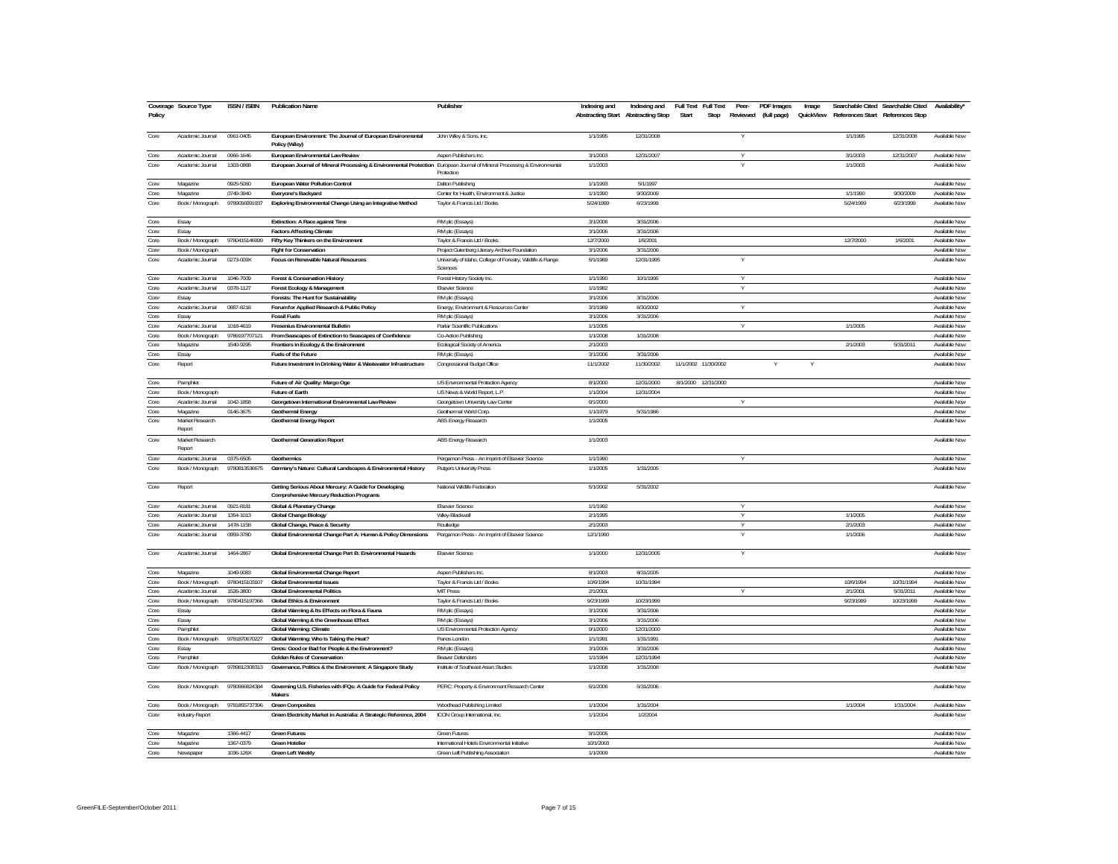| Policy | Coverage Source Type      | <b>ISSN/ISBN</b> | <b>Publication Name</b>                                                                                                  | Publisher                                                              | Indexing and | Indexing and Full Text Full Text<br>Abstracting Start Abstracting Stop | Start                | Stop | Peer-<br>Reviewed | <b>PDF</b> Images<br>(full page) | Image<br>QuickView |           | Searchable Cited Searchable Cited<br>References Start References Stop | Availability*        |
|--------|---------------------------|------------------|--------------------------------------------------------------------------------------------------------------------------|------------------------------------------------------------------------|--------------|------------------------------------------------------------------------|----------------------|------|-------------------|----------------------------------|--------------------|-----------|-----------------------------------------------------------------------|----------------------|
| Core   | Academic Journal          | 0961-0405        | European Environment: The Journal of European Environmental<br>Policy (Wiley)                                            | John Wiley & Sons, Inc.                                                | 1/1/1995     | 12/31/2008                                                             |                      |      |                   |                                  |                    | 1/1/1995  | 12/31/2008                                                            | Available Now        |
| Core   | Academic Journal          | 0966-1646        | European Environmental Law Review                                                                                        | Aspen Publishers Inc.                                                  | 3/1/2003     | 12/31/2007                                                             |                      |      | $\vee$            |                                  |                    | 3/1/2003  | 12/31/2007                                                            | Available Now        |
| Core   | Academic Journal          | 1303-0868        | European Journal of Mineral Processing & Environmental Protection European Journal of Mineral Processing & Environmental | Protection                                                             | 1/1/2003     |                                                                        |                      |      |                   |                                  |                    | 1/1/2003  |                                                                       | Available Now        |
| Core   | Magazine                  | 0925-5060        | European Water Pollution Control                                                                                         | Dalton Publishing                                                      | 1/1/1993     | 5/1/1997                                                               |                      |      |                   |                                  |                    |           |                                                                       | Available Now        |
| Core   | Magazine                  | 0749-3940        | Everyone's Backyard                                                                                                      | Center for Health, Environment & Justice                               | 1/1/1990     | 9/30/2009                                                              |                      |      |                   |                                  |                    | 1/1/1990  | 9/30/2009                                                             | Available Now        |
| Core   | Book / Monograph          | 9789056991937    | Exploring Environmental Change Using an Integrative Method                                                               | Taylor & Francis Ltd / Books                                           | 5/24/1999    | 6/23/1999                                                              |                      |      |                   |                                  |                    | 5/24/1999 | 6/23/1999                                                             | Available Now        |
| Core   | Essay                     |                  | Extinction: A Race against Time                                                                                          | RM plc (Essays)                                                        | 3/1/2006     | 3/31/2006                                                              |                      |      |                   |                                  |                    |           |                                                                       | Available Now        |
| Core   | Essay                     |                  | <b>Factors Affecting Climate</b>                                                                                         | RM plc (Essays)                                                        | 3/1/2006     | 3/31/2006                                                              |                      |      |                   |                                  |                    |           |                                                                       | Available Now        |
| Core   | Book / Monograph          | 9780415146999    | Fifty Key Thinkers on the Environment                                                                                    | Taylor & Francis Ltd / Books                                           | 12/7/2000    | 1/6/2001                                                               |                      |      |                   |                                  |                    | 12/7/2000 | 1/6/2001                                                              | Available Now        |
| Core   | Book / Monograph          |                  | <b>Fight for Conservation</b>                                                                                            | Project Gutenberg Literary Archive Foundation                          | 3/1/2006     | 3/31/2006                                                              |                      |      |                   |                                  |                    |           |                                                                       | Available Now        |
| Core   | Academic Journal          | 0273-009X        | Focus on Renewable Natural Resources                                                                                     | University of Idaho, College of Forestry, Wildlife & Range<br>Sciences | 5/1/1989     | 12/31/1995                                                             |                      |      |                   |                                  |                    |           |                                                                       | Available Now        |
| Core   | Academic Journal          | 1046-7009        | Forest & Conservation History                                                                                            | Forest History Society Inc.                                            | 1/1/1990     | 10/1/1995                                                              |                      |      | $\vee$            |                                  |                    |           |                                                                       | Available Now        |
| Core   | Academic Journal          | 0378-1127        | Forest Ecology & Management                                                                                              | <b>Elsevier Science</b>                                                | 1/1/1982     |                                                                        |                      |      | V                 |                                  |                    |           |                                                                       | Available Now        |
| Core   | Essay                     |                  | Forests: The Hunt for Sustainability                                                                                     | RM plc (Essays)                                                        | 3/1/2006     | 3/31/2006                                                              |                      |      |                   |                                  |                    |           |                                                                       | Available Now        |
| Core   | Academic Journal          | 0887-8218        | Forum for Applied Research & Public Policy                                                                               | Energy, Environment & Resources Center                                 | 3/1/1989     | 6/30/2002                                                              |                      |      | v                 |                                  |                    |           |                                                                       | Available Now        |
| Core   | Essay                     |                  | <b>Fossil Fuels</b>                                                                                                      | RM plc (Essays)                                                        | 3/1/2006     | 3/31/2006                                                              |                      |      |                   |                                  |                    |           |                                                                       | Available Now        |
| Core   | Academic Journal          | 1018-4619        | Fresenius Environmental Bulletin                                                                                         | Parlar Scientific Publications                                         | 1/1/2005     |                                                                        |                      |      |                   |                                  |                    | 1/1/2005  |                                                                       | Available Now        |
| Core   | Book / Monograph          | 9789197707121    | From Seascapes of Extinction to Seascapes of Confidence                                                                  | Co-Action Publishing                                                   | 1/1/2008     | 1/31/2008                                                              |                      |      |                   |                                  |                    |           |                                                                       | Available Now        |
| Core   | Magazine                  | 1540-9295        | Frontiers in Ecology & the Environment                                                                                   | Ecological Society of America                                          | 2/1/2003     |                                                                        |                      |      |                   |                                  |                    | 2/1/2003  | 5/31/2011                                                             | Available Now        |
| Core   | Essay                     |                  | Fuels of the Future                                                                                                      | RM plc (Essays)                                                        | 3/1/2006     | 3/31/2006                                                              |                      |      |                   |                                  |                    |           |                                                                       | Available Now        |
| Core   | Report                    |                  | Future Investment in Drinking Water & Wastewater Infrastructure                                                          | Congressional Budget Office                                            | 11/1/2002    | 11/30/2002                                                             | 11/1/2002 11/30/2002 |      |                   |                                  |                    |           |                                                                       | Available Now        |
| Core   | Pamphlet                  |                  | Future of Air Quality: Margo Oge                                                                                         | US Environmental Protection Agency                                     | 8/1/2000     | 12/31/2000                                                             | 8/1/2000 12/31/2000  |      |                   |                                  |                    |           |                                                                       | Available Now        |
| Core   | Book / Monograph          |                  | Future of Earth                                                                                                          | US News & World Report, L.P.                                           | 1/1/2004     | 12/31/2004                                                             |                      |      |                   |                                  |                    |           |                                                                       | Available Now        |
| Core   | Academic Journal          | 1042-1858        | Georgetown International Environmental Law Review                                                                        | Georgetown University Law Center                                       | 9/1/2000     |                                                                        |                      |      |                   |                                  |                    |           |                                                                       | Available Now        |
| Core   | Magazine                  | 0146-3675        | <b>Geothermal Energy</b>                                                                                                 | Geothermal World Corp.                                                 | 1/1/1979     | 5/31/1986                                                              |                      |      |                   |                                  |                    |           |                                                                       | Available Now        |
| Core   | Market Research<br>Renort |                  | Geothermal Energy Report                                                                                                 | ABS Energy Research                                                    | 1/1/2005     |                                                                        |                      |      |                   |                                  |                    |           |                                                                       | Available Now        |
| Core   | Market Research<br>Report |                  | <b>Geothermal Generation Report</b>                                                                                      | ABS Energy Research                                                    | 1/1/2003     |                                                                        |                      |      |                   |                                  |                    |           |                                                                       | Available Now        |
| Core   | Academic Journal          | 0375-6505        | Geothermics                                                                                                              | Pergamon Press - An Imprint of Elsevier Science                        | 1/1/1990     |                                                                        |                      |      |                   |                                  |                    |           |                                                                       | Available Now        |
| Core   | Book / Monograph          | 9780813536675    | Germany's Nature: Cultural Landscapes & Environmental History                                                            | <b>Rutgers University Press</b>                                        | 1/1/2005     | 1/31/2005                                                              |                      |      |                   |                                  |                    |           |                                                                       | Available Now        |
| Core   | Report                    |                  | Getting Serious About Mercury: A Guide for Developing<br><b>Comprehensive Mercury Reduction Programs</b>                 | National Wildlife Federation                                           | 5/1/2002     | 5/31/2002                                                              |                      |      |                   |                                  |                    |           |                                                                       | Available Now        |
| Core   | Academic Journal          | 0921-8181        | Global & Planetary Change                                                                                                | Elsevier Science                                                       | 1/1/1992     |                                                                        |                      |      |                   |                                  |                    |           |                                                                       | Available Now        |
| Core   | Academic Journal          | 1354-1013        | <b>Global Change Biology</b>                                                                                             | Wiley-Blackwell                                                        | 2/1/1995     |                                                                        |                      |      | Y                 |                                  |                    | 1/1/2005  |                                                                       | Available Now        |
| Core   | Academic Journal          | 1478-1158        | Global Change, Peace & Security                                                                                          | Routledge                                                              | 2/1/2003     |                                                                        |                      |      | $\vee$            |                                  |                    | 2/1/2003  |                                                                       | Available Now        |
| Core   | Academic Journal          | 0959-3780        | Global Environmental Change Part A: Human & Policy Dimensions                                                            | Pergamon Press - An Imprint of Elsevier Science                        | 12/1/1990    |                                                                        |                      |      |                   |                                  |                    | 1/1/2006  |                                                                       | Available Now        |
| Core   | Academic Journal          | 1464-2867        | Global Environmental Change Part B: Environmental Hazards                                                                | <b>Elsevier Science</b>                                                | 1/1/2000     | 12/31/2005                                                             |                      |      |                   |                                  |                    |           |                                                                       | Available Now        |
| Core   | Magazine                  | 1049-9083        | Global Environmental Change Report                                                                                       | Aspen Publishers Inc.                                                  | 8/1/2003     | 8/31/2005                                                              |                      |      |                   |                                  |                    |           |                                                                       | Available Now        |
| Core   | Book / Monograph          | 9780415103107    | <b>Global Environmental Issues</b>                                                                                       | Taylor & Francis Ltd / Books                                           | 10/6/1994    | 10/31/1994                                                             |                      |      |                   |                                  |                    | 10/6/1994 | 10/31/1994                                                            | Available Now        |
| Core   | Academic Journal          | 1526-3800        | <b>Global Environmental Politics</b>                                                                                     | <b>MIT Press</b>                                                       | 2/1/2001     |                                                                        |                      |      |                   |                                  |                    | 2/1/2001  | 5/31/2011                                                             | Available Now        |
| Core   | Book / Monograph          | 9780415197366    | <b>Global Ethics &amp; Environment</b>                                                                                   | Taylor & Francis Ltd / Books                                           | 9/23/1999    | 10/23/1999                                                             |                      |      |                   |                                  |                    | 9/23/1999 | 10/23/1999                                                            | Available Now        |
| Core   | Essay                     |                  | Global Warming & Its Effects on Flora & Fauna                                                                            | RM plc (Essays)                                                        | 3/1/2006     | 3/31/2006                                                              |                      |      |                   |                                  |                    |           |                                                                       | Available Now        |
| Core   | Essay                     |                  | Global Warming & the Greenhouse Effect                                                                                   | RM plc (Essays)                                                        | 3/1/2006     | 3/31/2006                                                              |                      |      |                   |                                  |                    |           |                                                                       | Available Now        |
| Core   | Pamphlet                  |                  | Global Warming: Climate                                                                                                  | US Environmental Protection Agency                                     | 9/1/2000     | 12/31/2000                                                             |                      |      |                   |                                  |                    |           |                                                                       | Available Now        |
| Core   | Book / Monograph          | 9781870670227    | Global Warming: Who Is Taking the Heat?                                                                                  | Panos Londor                                                           | 1/1/1991     | 1/31/1991                                                              |                      |      |                   |                                  |                    |           |                                                                       | Available Now        |
| Core   | Essay                     |                  | Gmos: Good or Bad for People & the Environment?                                                                          | RM plc (Essays)                                                        | 3/1/2006     | 3/31/2006                                                              |                      |      |                   |                                  |                    |           |                                                                       | Available Now        |
| Core   | Pamphlet                  |                  | <b>Golden Rules of Conservation</b>                                                                                      | <b>Beaver Defenders</b>                                                | 1/1/1994     | 12/31/1994                                                             |                      |      |                   |                                  |                    |           |                                                                       | Available Now        |
| Core   | Book / Monograph          | 9789812308313    | Governance, Politics & the Environment: A Singapore Study                                                                | Institute of Southeast Asian Studies                                   | 1/1/2008     | 1/31/2008                                                              |                      |      |                   |                                  |                    |           |                                                                       | Available Now        |
| Core   | Book / Monograph          | 9780966824384    | Governing U.S. Fisheries with IFQs: A Guide for Federal Policy<br>Maker                                                  | PERC: Property & Environment Research Center                           | 5/1/2006     | 5/31/2006                                                              |                      |      |                   |                                  |                    |           |                                                                       | Available Now        |
| Core   | Book / Monograph          | 9781855737396    | <b>Green Composites</b>                                                                                                  | Woodhead Publishing Limited                                            | 1/1/2004     | 1/31/2004                                                              |                      |      |                   |                                  |                    | 1/1/2004  | 1/31/2004                                                             | Available Now        |
| Core   | <b>Industry Report</b>    |                  | Green Electricity Market in Australia: A Strategic Reference, 2004                                                       | ICON Group International, Inc.                                         | 1/1/2004     | 1/2/2004                                                               |                      |      |                   |                                  |                    |           |                                                                       | Available Now        |
| Core   | Magazine                  | 1366-4417        | <b>Green Futures</b>                                                                                                     | Green Future:                                                          | 9/1/2005     |                                                                        |                      |      |                   |                                  |                    |           |                                                                       | Available Now        |
| Core   | Magazine                  | 1367-0379        | <b>Green Hotelier</b>                                                                                                    | International Hotels Environmental Initiative                          | 10/1/2003    |                                                                        |                      |      |                   |                                  |                    |           |                                                                       | Available Now        |
| Core   | Newspaper                 | 1036-126X        | <b>Green Left Weekly</b>                                                                                                 | Green Left Publishing Association                                      | 1/1/2009     |                                                                        |                      |      |                   |                                  |                    |           |                                                                       | <b>Available Now</b> |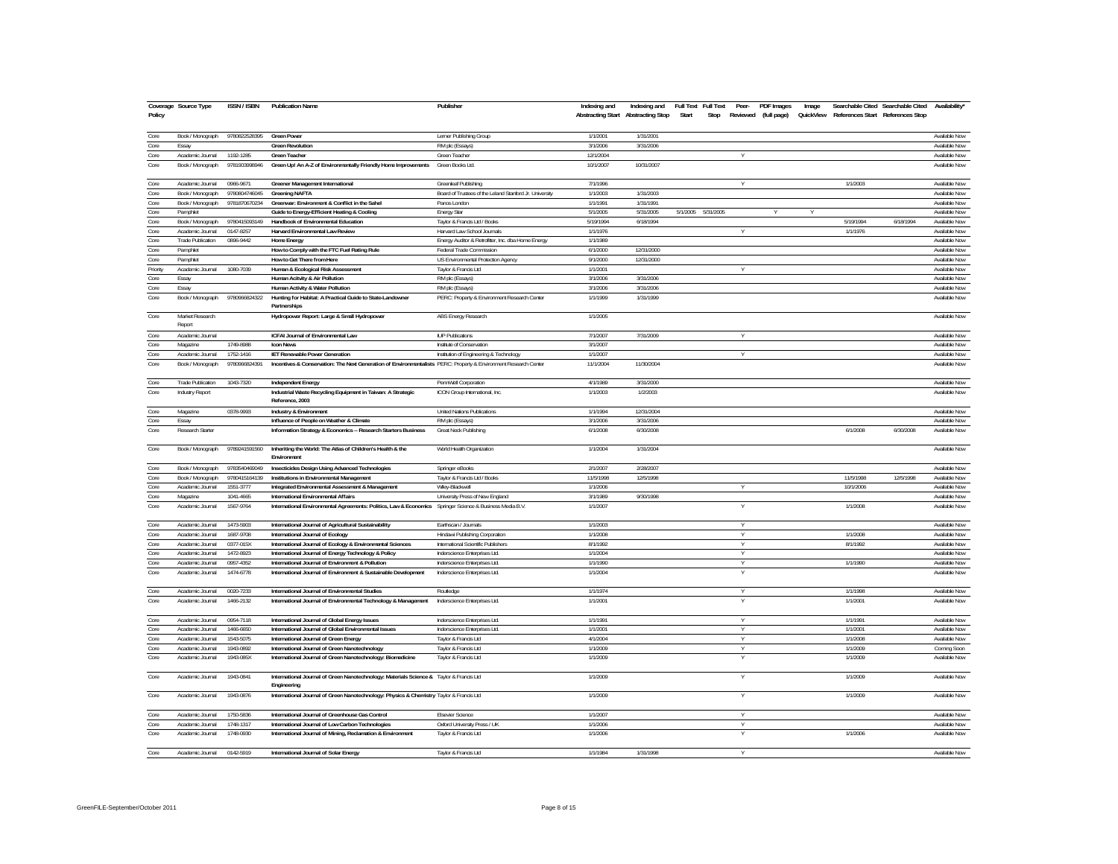| Policy   | Coverage Source Type      | <b>ISSN / ISBN</b> | <b>Publication Name</b>                                                                                          | Publisher                                               | Indexing and | Indexing and<br>Abstracting Start Abstracting Stop | Full Text Full Text<br>Peer-<br>Stop<br>Start<br>Reviewed (full page) | PDF Images<br>Image | QuickView References Start References Stop | Searchable Cited Searchable Cited | Availability*        |
|----------|---------------------------|--------------------|------------------------------------------------------------------------------------------------------------------|---------------------------------------------------------|--------------|----------------------------------------------------|-----------------------------------------------------------------------|---------------------|--------------------------------------------|-----------------------------------|----------------------|
| Core     | Book / Monograph          | 9780822528395      | <b>Green Power</b>                                                                                               | Lerner Publishing Group                                 | 1/1/2001     | 1/31/2001                                          |                                                                       |                     |                                            |                                   | Available Now        |
| Core     | Essay                     |                    | <b>Green Revolution</b>                                                                                          | RM plc (Essays)                                         | 3/1/2006     | 3/31/2006                                          |                                                                       |                     |                                            |                                   | Available Now        |
| Core     | Academic Journal          | 1192-1285          | <b>Green Teacher</b>                                                                                             | Green Teacher                                           | 12/1/2004    |                                                    | Y                                                                     |                     |                                            |                                   | Available Now        |
| Core     | Book / Monograph          | 9781903998946      | Green Up! An A-Z of Environmentally Friendly Home Improvements                                                   | Green Books Ltd.                                        | 10/1/2007    | 10/31/2007                                         |                                                                       |                     |                                            |                                   | Available Now        |
| Core     | Academic Journal          | 0966-9671          | Greener Management International                                                                                 | <b>Greenleaf Publishing</b>                             | 7/1/1996     |                                                    | V                                                                     |                     | 1/1/2003                                   |                                   | Available Now        |
| Core     | Book / Monograph          | 9780804746045      | <b>Greening NAFTA</b>                                                                                            | Board of Trustees of the Leland Stanford Jr. University | 1/1/2003     | 1/31/2003                                          |                                                                       |                     |                                            |                                   | Available Now        |
| Core     | Book / Monograph          | 9781870670234      | Greenwar: Environment & Conflict in the Sahel                                                                    | Panos London                                            | 1/1/1991     | 1/31/1991                                          |                                                                       |                     |                                            |                                   | Available Now        |
| Core     | Pamphlet                  |                    | Guide to Energy-Efficient Heating & Cooling                                                                      | <b>Energy Star</b>                                      | 5/1/2005     | 5/31/2005                                          | 5/1/2005 5/31/2005                                                    |                     |                                            |                                   | Available Now        |
| Core     | Book / Monograph          | 9780415093149      | Handbook of Environmental Education                                                                              | Taylor & Francis Ltd / Books                            | 5/19/1994    | 6/18/1994                                          |                                                                       |                     | 5/19/1994                                  | 6/18/1994                         | Available Now        |
| Core     | Academic Journal          | 0147-8257          | Harvard Environmental Law Review                                                                                 | Harvard Law School Journals                             | 1/1/1976     |                                                    | Υ                                                                     |                     | 1/1/1976                                   |                                   | <b>Available Now</b> |
| Core     | <b>Trade Publication</b>  | 0896-9442          | Home Energy                                                                                                      | Energy Auditor & Retrofitter, Inc. dba Home Energy      | 1/1/1989     |                                                    |                                                                       |                     |                                            |                                   | Available Now        |
| Core     | Pamphlet                  |                    | How to Comply with the FTC Fuel Rating Rule                                                                      | Federal Trade Commission                                | 6/1/2000     | 12/31/2000                                         |                                                                       |                     |                                            |                                   | Available Now        |
| Core     | Pamphlet                  |                    | How to Get There from Here                                                                                       | US Environmental Protection Agency                      | 9/1/2000     | 12/31/2000                                         |                                                                       |                     |                                            |                                   | Available Now        |
| Priority | Academic Journal          | 1080-7039          | Human & Ecological Risk Assessment                                                                               | Taylor & Francis Ltd                                    | 1/1/2001     |                                                    |                                                                       |                     |                                            |                                   | Available Now        |
| Core     | Essay                     |                    | Human Acitvity & Air Pollution                                                                                   | RM plc (Essays)                                         | 3/1/2006     | 3/31/2006                                          |                                                                       |                     |                                            |                                   | Available Now        |
| Core     | Essay                     |                    | Human Activity & Water Pollution                                                                                 | RM plc (Essays)                                         | 3/1/2006     | 3/31/2006                                          |                                                                       |                     |                                            |                                   | Available Now        |
| Core     | Book / Monograph          | 9780966824322      | Hunting for Habitat: A Practical Guide to State-Landowner<br>Partnerships                                        | PERC: Property & Environment Research Center            | 1/1/1999     | 1/31/1999                                          |                                                                       |                     |                                            |                                   | Available Now        |
| Core     | Market Research<br>Report |                    | Hydropower Report: Large & Small Hydropower                                                                      | ABS Energy Research                                     | 1/1/2005     |                                                    |                                                                       |                     |                                            |                                   | Available Now        |
| Core     | Academic Journal          |                    | <b>ICFAI Journal of Environmental Law</b>                                                                        | <b>IUP Publications</b>                                 | 7/1/2007     | 7/31/2009                                          | v                                                                     |                     |                                            |                                   | Available Now        |
| Core     | Magazine                  | 1749-8988          | <b>Icon News</b>                                                                                                 | Institute of Conservation                               | 3/1/2007     |                                                    |                                                                       |                     |                                            |                                   | Available Now        |
| Core     | Academic Journal          | 1752-1416          | <b>IET Renewable Power Generation</b>                                                                            | Institution of Engineering & Technology                 | 1/1/2007     |                                                    | $\overline{V}$                                                        |                     |                                            |                                   | Available Now        |
| Core     |                           | 9780966824391      |                                                                                                                  |                                                         |              |                                                    |                                                                       |                     |                                            |                                   |                      |
|          | Book / Monograph          |                    | Incentives & Conservation: The Next Generation of Environmentalists PERC: Property & Environment Research Center |                                                         | 11/1/2004    | 11/30/2004                                         |                                                                       |                     |                                            |                                   | Available Now        |
| Core     | <b>Trade Publication</b>  | 1043-7320          | <b>Independent Energy</b>                                                                                        | PennWell Corporation                                    | 4/1/1989     | 3/31/2000                                          |                                                                       |                     |                                            |                                   | Available Now        |
| Core     | Industry Report           |                    | Industrial Waste Recycling Equipment in Taiwan: A Strategic<br>Reference, 2003                                   | ICON Group International, Inc.                          | 1/1/2003     | 1/2/2003                                           |                                                                       |                     |                                            |                                   | Available Now        |
| Core     | Magazine                  | 0378-9993          | Industry & Environment                                                                                           | <b>United Nations Publications</b>                      | 1/1/1994     | 12/31/2004                                         |                                                                       |                     |                                            |                                   | Available Now        |
| Core     | Essay                     |                    | Influence of People on Weather & Climate                                                                         | RM plc (Essays)                                         | 3/1/2006     | 3/31/2006                                          |                                                                       |                     |                                            |                                   | Available Now        |
| Core     | Research Starter          |                    | Information Strategy & Economics -- Research Starters Business                                                   | Great Neck Publishing                                   | 6/1/2008     | 6/30/2008                                          |                                                                       |                     | 6/1/2008                                   | 6/30/2008                         | Available Now        |
| Core     | Book / Monograph          | 9789241591560      | Inheriting the World: The Atlas of Children's Health & the<br>Environment                                        | World Health Organization                               | 1/1/2004     | 1/31/2004                                          |                                                                       |                     |                                            |                                   | Available Now        |
| Core     | Book / Monograph          | 9783540469049      | Insecticides Design Using Advanced Technologies                                                                  | Springer eBooks                                         | 2/1/2007     | 2/28/2007                                          |                                                                       |                     |                                            |                                   | Available Now        |
| Core     | Book / Monograph          | 9780415164139      | Institutions in Environmental Management                                                                         | Taylor & Francis Ltd / Books                            | 11/5/1998    | 12/5/1998                                          |                                                                       |                     | 11/5/1998                                  | 12/5/1998                         | Available Now        |
| Core     | Academic Journal          | 1551-3777          | Integrated Environmental Assessment & Management                                                                 | Wiley-Blackwell                                         | 1/1/2006     |                                                    | Υ                                                                     |                     | 10/1/2006                                  |                                   | Available Now        |
| Core     | Magazine                  | 1041-4665          | International Environmental Affairs                                                                              | University Press of New England                         | 3/1/1989     | 9/30/1998                                          |                                                                       |                     |                                            |                                   | Available Now        |
| Core     | Academic Journal          | 1567-9764          | International Environmental Agreements: Politics, Law & Economics Springer Science & Business Media B.V.         |                                                         | 1/1/2007     |                                                    | $\vee$                                                                |                     | 1/1/2008                                   |                                   | Available Now        |
| Core     | Academic Journal          | 1473-5903          | International Journal of Agricultural Sustainability                                                             | Earthscan / Journals                                    | 1/1/2003     |                                                    | Υ                                                                     |                     |                                            |                                   | Available Now        |
| Core     | Academic Journal          | 1687-9708          | International Journal of Ecology                                                                                 | Hindawi Publishing Corporation                          | 1/1/2008     |                                                    | $\vee$                                                                |                     | 1/1/2008                                   |                                   | Available Now        |
| Core     | Academic Journal          | 0377-015X          | International Journal of Ecology & Environmental Sciences                                                        | International Scientific Publishers                     | 8/1/1992     |                                                    | Y                                                                     |                     | 8/1/1992                                   |                                   | Available Now        |
| Core     | Academic Journal          | 1472-8923          | International Journal of Energy Technology & Policy                                                              | Inderscience Enterprises Ltd.                           | 1/1/2004     |                                                    | Y                                                                     |                     |                                            |                                   | Available Now        |
| Core     | Academic Journal          | 0957-4352          | International Journal of Environment & Pollution                                                                 | Inderscience Enterprises Ltd                            | 1/1/1990     |                                                    | Y                                                                     |                     | 1/1/1990                                   |                                   | Available Now        |
| Core     | Academic Journal          | 1474-6778          | International Journal of Environment & Sustainable Development                                                   | Inderscience Enterprises Ltd.                           | 1/1/2004     |                                                    |                                                                       |                     |                                            |                                   | Available Now        |
| Core     | Academic Journal          | 0020-7233          | International Journal of Environmental Studies                                                                   | Routledge                                               | 1/1/1974     |                                                    | V                                                                     |                     | 1/1/1998                                   |                                   | Available Now        |
| Core     | Academic Journal          | 1466-2132          | International Journal of Environmental Technology & Management                                                   | Inderscience Enterprises Ltd.                           | 1/1/2001     |                                                    | Υ                                                                     |                     | 1/1/2001                                   |                                   | Available Now        |
| Core     | Academic Journal          | 0954-7118          | International Journal of Global Energy Issues                                                                    | Inderscience Enterprises Ltd.                           | 1/1/1991     |                                                    | $\overline{V}$                                                        |                     | 1/1/1991                                   |                                   | Available Now        |
| Core     | Academic Journal          | 1466-6650          | International Journal of Global Environmental Issues                                                             | Inderscience Enterprises Ltd.                           | 1/1/2001     |                                                    | Y                                                                     |                     | 1/1/2001                                   |                                   | Available Now        |
| Core     | Academic Journal          | 1543-5075          | International Journal of Green Energy                                                                            | Taylor & Francis Ltd                                    | 4/1/2004     |                                                    | Y                                                                     |                     | 1/1/2008                                   |                                   | Available Now        |
| Core     | Academic Journal          | 1943-0892          | International Journal of Green Nanotechnology                                                                    | Taylor & Francis Ltd                                    | 1/1/2009     |                                                    | Y                                                                     |                     | 1/1/2009                                   |                                   | Coming Soon          |
| Core     | Academic Journal          | 1943-085X          | International Journal of Green Nanotechnology: Biomedicine                                                       | Taylor & Francis Ltd                                    | 1/1/2009     |                                                    |                                                                       |                     | 1/1/2009                                   |                                   | Available Now        |
| Core     | Academic Journal          | 1943-0841          | International Journal of Green Nanotechnology: Materials Science & Taylor & Francis Ltd<br>Engineering           |                                                         | 1/1/2009     |                                                    | Y                                                                     |                     | 1/1/2009                                   |                                   | Available Now        |
| Core     | Academic Journal          | 1943-0876          | International Journal of Green Nanotechnology: Physics & Chemistry Taylor & Francis Ltd                          |                                                         | 1/1/2009     |                                                    |                                                                       |                     | 1/1/2009                                   |                                   | Available Now        |
| Core     | Academic Journal          | 1750-5836          | International Journal of Greenhouse Gas Control                                                                  | <b>Elsevier Science</b>                                 | 1/1/2007     |                                                    | $\vee$                                                                |                     |                                            |                                   | Available Now        |
| Core     | Academic Journal          | 1748-1317          | International Journal of Low Carbon Technologies                                                                 | Oxford University Press / UK                            | 1/1/2006     |                                                    | Y                                                                     |                     |                                            |                                   | Available Now        |
| Core     | Academic Journal          | 1748-0930          | International Journal of Mining, Reclamation & Environment                                                       | Taylor & Francis Ltd                                    | 1/1/2006     |                                                    | Y                                                                     |                     | 1/1/2006                                   |                                   | Available Now        |
| Core     | Academic Journal          | 0142-5919          | International Journal of Solar Energy                                                                            | Tavlor & Francis Ltd                                    | 1/1/1984     | 1/31/1998                                          |                                                                       |                     |                                            |                                   | Available Now        |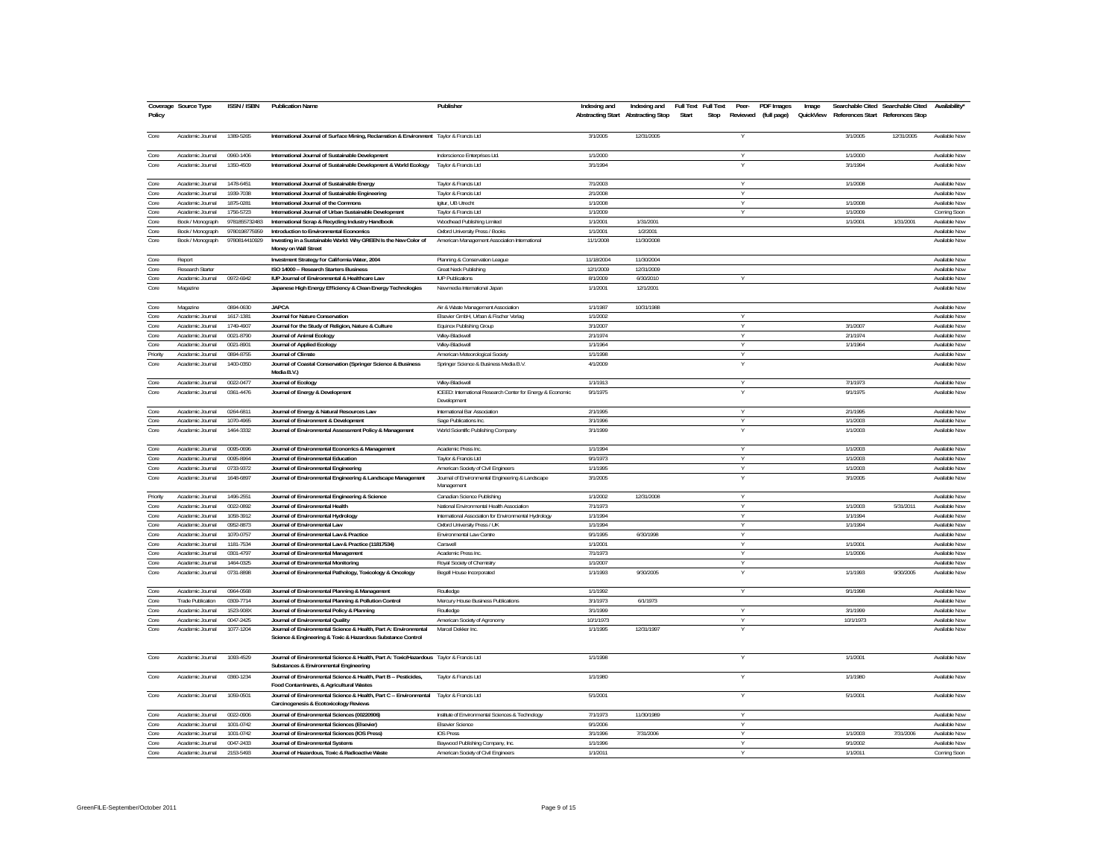|              | Coverage Source Type                 | ISSN / ISBN   | <b>Publication Name</b>                                                                                                           | Publisher                                                  | Indexing and | Indexing and                       |       | Full Text Full Text | Peer-          | PDF Images           | Image     |           | Searchable Cited Searchable Cited | <b>Availability</b>  |
|--------------|--------------------------------------|---------------|-----------------------------------------------------------------------------------------------------------------------------------|------------------------------------------------------------|--------------|------------------------------------|-------|---------------------|----------------|----------------------|-----------|-----------|-----------------------------------|----------------------|
| Policy       |                                      |               |                                                                                                                                   |                                                            |              | Abstracting Start Abstracting Stop | Start | Stop                |                | Reviewed (full page) | QuickView |           | References Start References Stop  |                      |
|              |                                      |               |                                                                                                                                   |                                                            |              |                                    |       |                     |                |                      |           |           |                                   |                      |
| Core         | Academic Journal                     | 1389-5265     | International Journal of Surface Mining, Reclamation & Environment Taylor & Francis Ltd                                           |                                                            | 3/1/2005     | 12/31/2005                         |       |                     | Υ              |                      |           | 3/1/2005  | 12/31/2005                        | Available Now        |
|              |                                      |               |                                                                                                                                   |                                                            |              |                                    |       |                     |                |                      |           |           |                                   |                      |
| Core         | Academic Journal                     | 0960-1406     | International Journal of Sustainable Development                                                                                  | Inderscience Enterprises Ltd.                              | 1/1/2000     |                                    |       |                     |                |                      |           | 1/1/2000  |                                   | Available Now        |
|              |                                      | 1350-4509     |                                                                                                                                   |                                                            | 3/1/1994     |                                    |       |                     |                |                      |           | 3/1/1994  |                                   | Available Now        |
| Core         | Academic Journal                     |               | International Journal of Sustainable Development & World Ecology                                                                  | Taylor & Francis Ltd                                       |              |                                    |       |                     |                |                      |           |           |                                   |                      |
|              |                                      | 1478-6451     |                                                                                                                                   |                                                            | 7/1/2003     |                                    |       |                     |                |                      |           | 1/1/2008  |                                   | Available Now        |
| Core<br>Core | Academic Journal<br>Academic Journal | 1939-7038     | International Journal of Sustainable Energy<br>International Journal of Sustainable Engineering                                   | Taylor & Francis Ltd<br>Taylor & Francis Ltd               | 2/1/2008     |                                    |       |                     |                |                      |           |           |                                   | Available Now        |
|              |                                      |               |                                                                                                                                   |                                                            |              |                                    |       |                     | Y              |                      |           |           |                                   |                      |
| Core         | Academic Journal                     | 1875-0281     | International Journal of the Commons                                                                                              | laitur. UB Utrecht                                         | 1/1/2008     |                                    |       |                     | Υ              |                      |           | 1/1/2008  |                                   | Available Now        |
| Core         | Academic Journal                     | 1756-5723     | International Journal of Urban Sustainable Development                                                                            | Taylor & Francis Ltd                                       | 1/1/2009     |                                    |       |                     | Y              |                      |           | 1/1/2009  |                                   | Coming Soon          |
| Core         | Book / Monograph                     | 9781855732483 | International Scrap & Recycling Industry Handbook                                                                                 | Woodhead Publishing Limited                                | 1/1/2001     | 1/31/2001                          |       |                     |                |                      |           | 1/1/2001  | 1/31/2001                         | Available Now        |
| Core         | Book / Monograph                     | 9780198775959 | Introduction to Environmental Economics                                                                                           | Oxford University Press / Books                            | 1/1/2001     | 1/2/2001                           |       |                     |                |                      |           |           |                                   | <b>Available Now</b> |
| Core         | Book / Monograph                     | 9780814410929 | Investing in a Sustainable World: Why GREEN Is the New Color of<br>Money on Wall Street                                           | American Management Association International              | 11/1/2008    | 11/30/2008                         |       |                     |                |                      |           |           |                                   | Available Now        |
| Core         | Report                               |               | Investment Strategy for California Water, 2004                                                                                    | Planning & Conservation League                             | 11/18/2004   | 11/30/2004                         |       |                     |                |                      |           |           |                                   | Available Now        |
| Core         | Research Starter                     |               | ISO 14000 -- Research Starters Business                                                                                           | Great Neck Publishing                                      | 12/1/2009    | 12/31/2009                         |       |                     |                |                      |           |           |                                   | Available Now        |
| Core         | Academic Journal                     | 0972-6942     | IUP Journal of Environmental & Healthcare Law                                                                                     | <b>ILIP Publications</b>                                   | 8/1/2009     | 6/30/2010                          |       |                     |                |                      |           |           |                                   | Available Now        |
| Core         | Magazine                             |               | Japanese High Energy Efficiency & Clean Energy Technologies                                                                       | Newmedia International Japan                               | 1/1/2001     | 12/1/2001                          |       |                     |                |                      |           |           |                                   | Available Now        |
|              |                                      |               |                                                                                                                                   |                                                            |              |                                    |       |                     |                |                      |           |           |                                   |                      |
| Core         | Magazine                             | 0894-0630     | <b>JAPCA</b>                                                                                                                      | Air & Waste Management Association                         | 1/1/1987     | 10/31/1988                         |       |                     |                |                      |           |           |                                   | Available Now        |
| Core         | Academic Journal                     | 1617-1381     | Journal for Nature Conservation                                                                                                   | Elsevier GmbH, Urban & Fischer Verlag                      | 1/1/2002     |                                    |       |                     | Y              |                      |           |           |                                   | Available Now        |
| Core         | Academic Journal                     | 1749-4907     | Journal for the Study of Religion, Nature & Culture                                                                               | Equinox Publishing Group                                   | 3/1/2007     |                                    |       |                     |                |                      |           | 3/1/2007  |                                   | Available Now        |
| Core         | Academic Journal                     | 0021-8790     | Journal of Animal Ecology                                                                                                         | Wiley-Blackwell                                            | 2/1/1974     |                                    |       |                     | $\overline{Y}$ |                      |           | 2/1/1974  |                                   | Available Now        |
| Core         | Academic Journal                     | 0021-8901     |                                                                                                                                   | Wiley-Blackwell                                            | 1/1/1964     |                                    |       |                     | Y              |                      |           | 1/1/1964  |                                   | <b>Available Now</b> |
|              |                                      |               | Journal of Applied Ecology                                                                                                        |                                                            | 1/1/1998     |                                    |       |                     |                |                      |           |           |                                   | Available Now        |
| Priority     | Academic Journal                     | 0894-8755     | Journal of Climate                                                                                                                | American Meteorological Society                            |              |                                    |       |                     |                |                      |           |           |                                   |                      |
| Core         | Academic Journal                     | 1400-0350     | Journal of Coastal Conservation (Springer Science & Business<br>Media B.V.                                                        | Springer Science & Business Media B.V.                     | 4/1/2009     |                                    |       |                     | Y              |                      |           |           |                                   | Available Now        |
| Core         | Academic Journal                     | 0022-0477     | Journal of Ecology                                                                                                                | Wiley-Blackwell                                            | 1/1/1913     |                                    |       |                     | Y              |                      |           | 7/1/1973  |                                   | Available Now        |
| Core         | Academic Journal                     | 0361-4476     | Journal of Energy & Development                                                                                                   | ICEED: International Research Center for Energy & Economic | 9/1/1975     |                                    |       |                     |                |                      |           | 9/1/1975  |                                   | Available Now        |
|              |                                      |               |                                                                                                                                   | Development                                                |              |                                    |       |                     |                |                      |           |           |                                   |                      |
| Core         | Academic Journal                     | 0264-6811     | Journal of Energy & Natural Resources Law                                                                                         | International Bar Association                              | 2/1/1995     |                                    |       |                     | Y              |                      |           | 2/1/1995  |                                   | Available Now        |
| Core         | Academic Journal                     | 1070-4965     | Journal of Environment & Development                                                                                              | Sage Publications Inc.                                     | 3/1/1996     |                                    |       |                     | Y              |                      |           | 1/1/2003  |                                   | Available Now        |
| Core         | Academic Journal                     | 1464-3332     | Journal of Environmental Assessment Policy & Management                                                                           | World Scientific Publishing Company                        | 3/1/1999     |                                    |       |                     |                |                      |           | 1/1/2003  |                                   | Available Now        |
|              |                                      |               |                                                                                                                                   |                                                            |              |                                    |       |                     |                |                      |           |           |                                   |                      |
| Core         | Academic Journal                     | 0095-0696     | Journal of Environmental Economics & Management                                                                                   | Academic Press Inc.                                        | 1/1/1994     |                                    |       |                     | $\overline{V}$ |                      |           | 1/1/2003  |                                   | Available Now        |
| Core         | Academic Journal                     | 0095-8964     | Journal of Environmental Education                                                                                                | Taylor & Francis Ltd                                       | 9/1/1973     |                                    |       |                     | Y              |                      |           | 1/1/2003  |                                   | Available Now        |
| Core         | Academic Journal                     | 0733-9372     | Journal of Environmental Engineering                                                                                              | American Society of Civil Engineers                        | 1/1/1995     |                                    |       |                     |                |                      |           | 1/1/2003  |                                   | Available Now        |
| Core         | Academic Journal                     | 1648-6897     | Journal of Environmental Engineering & Landscape Management                                                                       | Journal of Environmental Engineering & Landscape           | 3/1/2005     |                                    |       |                     | Y              |                      |           | 3/1/2005  |                                   | Available Now        |
|              |                                      |               |                                                                                                                                   | Management                                                 |              |                                    |       |                     |                |                      |           |           |                                   |                      |
| Priority     | Academic Journal                     | 1496-2551     | Journal of Environmental Engineering & Science                                                                                    | Canadian Science Publishing                                | 1/1/2002     | 12/31/2008                         |       |                     | Y              |                      |           |           |                                   | Available Now        |
| Core         | Academic Journa                      | 0022-0892     | Journal of Environmental Health                                                                                                   | National Environmental Health Association                  | 7/1/1973     |                                    |       |                     | Y              |                      |           | 1/1/2003  | 5/31/2011                         | Available Now        |
|              |                                      | 1058-3912     |                                                                                                                                   |                                                            |              |                                    |       |                     | Y              |                      |           | 1/1/1994  |                                   |                      |
| Core         | Academic Journal                     |               | Journal of Environmental Hydrology                                                                                                | International Association for Environmental Hydrology      | 1/1/1994     |                                    |       |                     |                |                      |           |           |                                   | Available Now        |
| Core<br>Core | Academic Journal                     | 0952-8873     | Journal of Environmental Law                                                                                                      | Oxford University Press / UK                               | 1/1/1994     |                                    |       |                     | Y              |                      |           | 1/1/1994  |                                   | Available Now        |
|              | Academic Journal                     | 1070-0757     | Journal of Environmental Law & Practice                                                                                           | Environmental Law Centre                                   | 9/1/1995     | 6/30/1998                          |       |                     |                |                      |           |           |                                   | Available Now        |
| Core         | Academic Journal                     | 1181-7534     | Journal of Environmental Law & Practice (11817534)                                                                                | Carswel                                                    | 1/1/2001     |                                    |       |                     | V              |                      |           | 1/1/2001  |                                   | Available Now        |
| Core         | Academic Journal                     | 0301-4797     | Journal of Environmental Management                                                                                               | Academic Press Inc.                                        | 7/1/1973     |                                    |       |                     | Y              |                      |           | 1/1/2006  |                                   | Available Now        |
| Core         | Academic Journal                     | 1464-0325     | Journal of Environmental Monitoring                                                                                               | Royal Society of Chemistry                                 | 1/1/2007     |                                    |       |                     | $\overline{V}$ |                      |           |           |                                   | Available Now        |
| Core         | Academic Journal                     | 0731-8898     | Journal of Environmental Pathology, Toxicology & Oncology                                                                         | Begell House Incorporated                                  | 1/1/1993     | 9/30/2005                          |       |                     |                |                      |           | 1/1/1993  | 9/30/2005                         | Available Now        |
|              |                                      |               |                                                                                                                                   |                                                            |              |                                    |       |                     |                |                      |           |           |                                   |                      |
| Core         | Academic Journal                     | 0964-0568     | Journal of Environmental Planning & Management                                                                                    | Routledge                                                  | 1/1/1992     |                                    |       |                     | Y              |                      |           | 9/1/1998  |                                   | Available Now        |
| Core         | <b>Trade Publication</b>             | 0309-7714     | Journal of Environmental Planning & Pollution Control                                                                             | Mercury House Business Publications                        | 3/1/1973     | 6/1/1973                           |       |                     |                |                      |           |           |                                   | Available Now        |
| Core         | Academic Journal                     | 1523-908X     | Journal of Environmental Policy & Planning                                                                                        | Routledge                                                  | 3/1/1999     |                                    |       |                     | Y              |                      |           | 3/1/1999  |                                   | Available Now        |
| Core         | Academic Journal                     | 0047-2425     | Journal of Environmental Quality                                                                                                  | American Society of Agronomy                               | 10/1/1973    |                                    |       |                     | V              |                      |           | 10/1/1973 |                                   | Available Now        |
| Core         | Academic Journal                     | 1077-1204     | Journal of Environmental Science & Health, Part A: Environmental                                                                  | Marcel Dekker Inc.                                         | 1/1/1995     | 12/31/1997                         |       |                     |                |                      |           |           |                                   | Available Now        |
|              |                                      |               | Science & Engineering & Toxic & Hazardous Substance Control                                                                       |                                                            |              |                                    |       |                     |                |                      |           |           |                                   |                      |
| Core         | Academic Journal                     | 1093-4529     | Journal of Environmental Science & Health, Part A: Toxic/Hazardous Taylor & Francis Ltd                                           |                                                            | 1/1/1998     |                                    |       |                     | V              |                      |           | 1/1/2001  |                                   | Available Now        |
|              |                                      |               | Substances & Environmental Engineering                                                                                            |                                                            |              |                                    |       |                     |                |                      |           |           |                                   |                      |
| Core         | Academic Journal                     | 0360-1234     | Journal of Environmental Science & Health, Part B -- Pesticides,<br>Food Contaminants, & Agricultural Wastes                      | Taylor & Francis Ltd                                       | 1/1/1980     |                                    |       |                     | Ϋ              |                      |           | 1/1/1980  |                                   | Available Now        |
| Core         | Academic Journal                     | 1059-0501     | Journal of Environmental Science & Health, Part C -- Environmental Taylor & Francis Ltd<br>Carcinogenesis & Ecotoxicology Reviews |                                                            | 5/1/2001     |                                    |       |                     |                |                      |           | 5/1/2001  |                                   | Available Now        |
| Core         | Academic Journal                     | 0022-0906     | Journal of Environmental Sciences (00220906)                                                                                      | Institute of Environmental Sciences & Technology           | 7/1/1973     | 11/30/1989                         |       |                     |                |                      |           |           |                                   | Available Now        |
| Core         | Academic Journa                      | 1001-0742     | Journal of Environmental Sciences (Elsevier)                                                                                      |                                                            | 9/1/2006     |                                    |       |                     | Y              |                      |           |           |                                   | Available Now        |
| Core         | Academic Journal                     | 1001-0742     | Journal of Environmental Sciences (IOS Press)                                                                                     | <b>Elsevier Science</b><br><b>IOS Press</b>                | 3/1/1996     | 7/31/2006                          |       |                     | Y              |                      |           | 1/1/2003  | 7/31/2006                         | Available Now        |
|              |                                      |               |                                                                                                                                   |                                                            |              |                                    |       |                     |                |                      |           |           |                                   |                      |
| Core         | Academic Journal                     | 0047-2433     | Journal of Environmental Systems                                                                                                  | Baywood Publishing Company, Inc.                           | 1/1/1996     |                                    |       |                     | Y              |                      |           | 9/1/2002  |                                   | Available Now        |
| Core         | Academic Journal                     | 2153-5493     | Journal of Hazardous, Toxic & Radioactive Waste                                                                                   | American Society of Civil Engineers                        | 1/1/2011     |                                    |       |                     |                |                      |           | 1/1/2011  |                                   | Coming Soon          |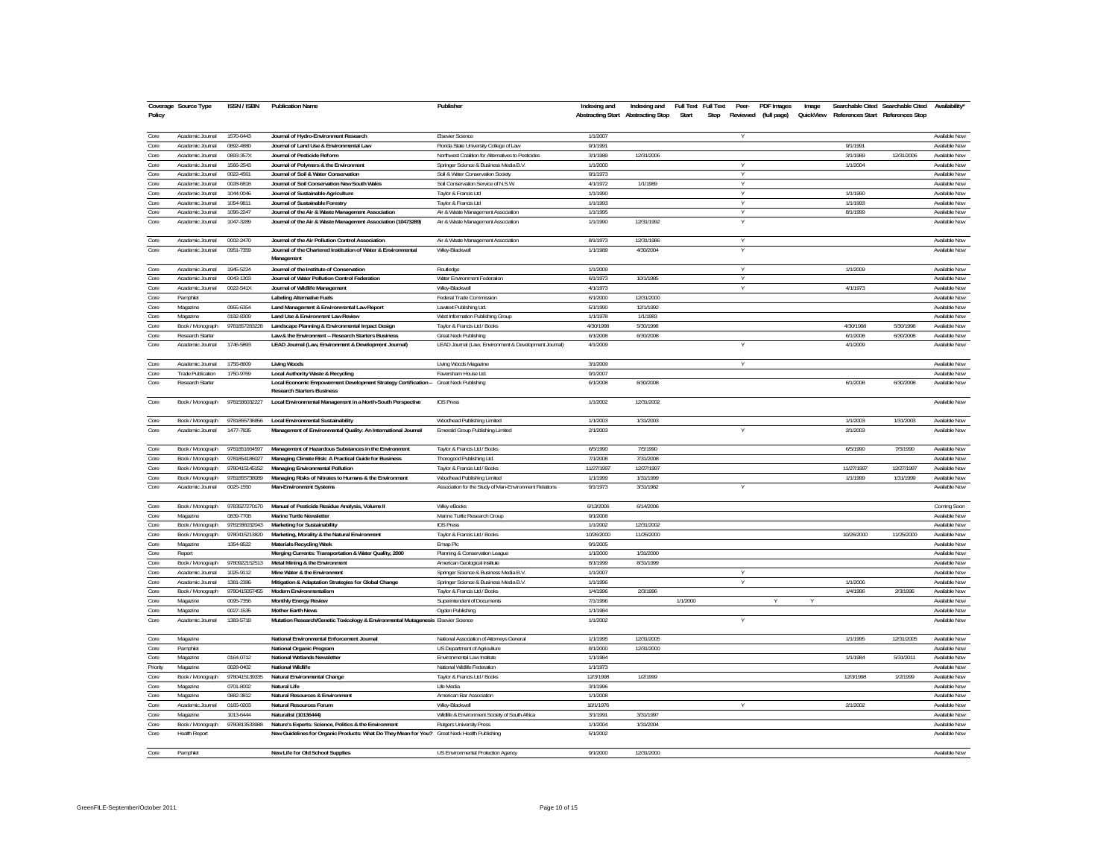| Policy       | Coverage Source Type                 | <b>ISSN / ISBN</b>         | <b>Publication Name</b>                                                                                      | Publisher                                              | Indexing and          | Indexing and<br>Abstracting Start Abstracting Stop | <b>Full Text</b><br>Start | <b>Full Text</b><br>Peer-<br>Stop | PDF Images<br>Reviewed (full page) | Image<br>QuickView |            | Searchable Cited Searchable Cited<br>References Start References Stop | Availability'                  |
|--------------|--------------------------------------|----------------------------|--------------------------------------------------------------------------------------------------------------|--------------------------------------------------------|-----------------------|----------------------------------------------------|---------------------------|-----------------------------------|------------------------------------|--------------------|------------|-----------------------------------------------------------------------|--------------------------------|
| Core         | Academic Journal                     | 1570-6443                  | Journal of Hydro-Environment Research                                                                        | <b>Elsevier Science</b>                                | 1/1/2007              |                                                    |                           | V                                 |                                    |                    |            |                                                                       | Available Now                  |
| Core         | Academic Journa                      | 0892-4880                  | Journal of Land Use & Environmental Law                                                                      | Florida State University College of Law                | 9/1/1991              |                                                    |                           |                                   |                                    |                    | 9/1/1991   |                                                                       | Available Now                  |
| Core         | Academic Journal                     | 0893-357X                  | Journal of Pesticide Reform                                                                                  | Northwest Coalition for Alternatives to Pesticides     | 3/1/1989              | 12/31/2006                                         |                           |                                   |                                    |                    | 3/1/1989   | 12/31/2006                                                            | Available Now                  |
| Core         | Academic Journal                     | 1566-2543                  | Journal of Polymers & the Environment                                                                        | Springer Science & Business Media B.V.                 | 1/1/2000              |                                                    |                           | V                                 |                                    |                    | 1/1/2004   |                                                                       | Available Now                  |
| Core         | Academic Journal                     | 0022-4561                  | Journal of Soil & Water Conservation                                                                         | Soil & Water Conservation Society                      | 9/1/1973              |                                                    |                           | $\vee$                            |                                    |                    |            |                                                                       | Available Now                  |
| Core         | Academic Journal                     | 0028-6818                  | Journal of Soil Conservation New South Wales                                                                 | Soil Conservation Service of N.S.W                     | 4/1/1972              | 1/1/1989                                           |                           |                                   |                                    |                    |            |                                                                       | Available Now                  |
| Core         | Academic Journal                     | 1044-0046                  | Journal of Sustainable Agriculture                                                                           | Taylor & Francis Ltd                                   | 1/1/1990              |                                                    |                           | $\vee$                            |                                    |                    | 1/1/1990   |                                                                       | Available Now                  |
| Core         | Academic Journal                     | 1054-9811                  | Journal of Sustainable Forestry                                                                              | Taylor & Francis Ltd                                   | 1/1/1993              |                                                    |                           | Y                                 |                                    |                    | 1/1/1993   |                                                                       | Available Now                  |
| Core         | Academic Journal                     | 1096-2247                  | Journal of the Air & Waste Management Association                                                            | Air & Waste Management Association                     | 1/1/1995              |                                                    |                           | Y                                 |                                    |                    | 8/1/1999   |                                                                       | Available Now                  |
| Core         | Academic Journal                     | 1047-3289                  | Journal of the Air & Waste Management Association (10473289)                                                 | Air & Waste Management Association                     | 1/1/1990              | 12/31/1992                                         |                           | V                                 |                                    |                    |            |                                                                       | Available Now                  |
| Core         | Academic Journal                     | 0002-2470                  | Journal of the Air Pollution Control Association                                                             | Air & Waste Management Association                     | 8/1/1973              | 12/31/1986                                         |                           | Y                                 |                                    |                    |            |                                                                       | Available Now                  |
| Core         | Academic Journal                     | 0951-7359                  | Journal of the Chartered Institution of Water & Environmental<br>Management                                  | Wiley-Blackwell                                        | 1/1/1989              | 4/30/2004                                          |                           |                                   |                                    |                    |            |                                                                       | Available Now                  |
| Core         | Academic Journal                     | 1945-5224                  | Journal of the Institute of Conservation                                                                     | Routledge                                              | 1/1/2009              |                                                    |                           | $\vee$                            |                                    |                    | 1/1/2009   |                                                                       | Available Now                  |
| Core         | Academic Journal                     | 0043-1303                  | Journal of Water Pollution Control Federation                                                                | Water Environment Federation                           | 6/1/1973              | 10/1/1985                                          |                           | Y<br>$\vee$                       |                                    |                    |            |                                                                       | Available Now                  |
| Core         | Academic Journal                     | 0022-541X                  | Journal of Wildlife Management                                                                               | Wilev-Blackwel                                         | 4/1/1973              |                                                    |                           |                                   |                                    |                    | 4/1/1973   |                                                                       | Available Now                  |
| Core         | Pamphlet                             |                            | Labeling Alternative Fuels                                                                                   | Federal Trade Commission                               | 6/1/2000              | 12/31/2000                                         |                           |                                   |                                    |                    |            |                                                                       | Available Now                  |
| Core<br>Core | Magazine                             | 0955-6354                  | Land Management & Environmental Law Report                                                                   | Lawtext Publishing Ltd.                                | 5/1/1990              | 12/1/1992                                          |                           |                                   |                                    |                    |            |                                                                       | Available Now<br>Available Now |
| Core         | Magazine                             | 0192-8309<br>9781857283228 | Land Use & Environment Law Review                                                                            | West Information Publishing Group                      | 1/1/1978<br>4/30/1998 | 1/1/1983<br>5/30/1998                              |                           |                                   |                                    |                    | 4/30/1998  | 5/30/1998                                                             | Available Now                  |
| Core         | Book / Monograph<br>Research Starter |                            | Landscape Planning & Environmental Impact Design                                                             | Taylor & Francis Ltd / Books<br>Great Neck Publishing  | 6/1/2008              | 6/30/2008                                          |                           |                                   |                                    |                    | 6/1/2008   | 6/30/2008                                                             | Available Now                  |
| Core         | Academic Journal                     | 1746-5893                  | Law & the Environment -- Research Starters Business<br>LEAD Journal (Law, Environment & Development Journal) | LEAD Journal (Law, Environment & Development Journal)  | 4/1/2009              |                                                    |                           |                                   |                                    |                    | 4/1/2009   |                                                                       | Available Now                  |
| Core         | Academic Journal                     | 1756-8609                  |                                                                                                              |                                                        | 3/1/2009              |                                                    |                           |                                   |                                    |                    |            |                                                                       | Available Now                  |
| Core         | Trade Publication                    | 1750-9769                  | <b>Living Woods</b><br>Local Authority Waste & Recycling                                                     | Living Woods Magazine<br>Faversham House Ltd.          | 9/1/2007              |                                                    |                           |                                   |                                    |                    |            |                                                                       | Available Now                  |
| Core         | Research Starter                     |                            | Local Economic Empowerment Development Strategy Certification -- Great Neck Publishing                       |                                                        | 6/1/2008              | 6/30/2008                                          |                           |                                   |                                    |                    | 6/1/2008   | 6/30/2008                                                             | Available Now                  |
| Core         | Book / Monograph                     | 9781586032227              | <b>Research Starters Business</b><br>Local Environmental Management in a North-South Perspective             | <b>IOS Press</b>                                       | 1/1/2002              | 12/31/2002                                         |                           |                                   |                                    |                    |            |                                                                       | Available Now                  |
| Core         | Book / Monograph                     | 9781855736856              | Local Environmental Sustainability                                                                           | Woodhead Publishing Limited                            | 1/1/2003              | 1/31/2003                                          |                           |                                   |                                    |                    | 1/1/2003   | 1/31/2003                                                             | Available Now                  |
| Core         | Academic Journal                     | 1477-7835                  | Management of Environmental Quality: An International Journal                                                | Emerald Group Publishing Limited                       | 2/1/2003              |                                                    |                           | Y                                 |                                    |                    | 2/1/2003   |                                                                       | Available Now                  |
|              |                                      |                            |                                                                                                              |                                                        |                       |                                                    |                           |                                   |                                    |                    |            |                                                                       |                                |
| Core         | Book / Monograph                     | 9781851664597              | Management of Hazardous Substances in the Environment                                                        | Taylor & Francis Ltd / Books                           | 6/5/1990              | 7/5/1990                                           |                           |                                   |                                    |                    | 6/5/1990   | 7/5/1990                                                              | Available Now                  |
| Core         | Book / Monograph                     | 9781854186027              | Managing Climate Risk: A Practical Guide for Business                                                        | Thorogood Publishing Ltd.                              | 7/1/2008              | 7/31/2008                                          |                           |                                   |                                    |                    |            |                                                                       | Available Now                  |
| Core         | Book / Monograph                     | 9780415145152              | Managing Environmental Pollution                                                                             | Taylor & Francis Ltd / Books                           | 11/27/1997            | 12/27/1997                                         |                           |                                   |                                    |                    | 11/27/1997 | 12/27/1997                                                            | Available Now                  |
| Core         | Book / Monograph                     | 9781855738089              | Managing Risks of Nitrates to Humans & the Environment                                                       | Woodhead Publishing Limited                            | 1/1/1999              | 1/31/1999                                          |                           |                                   |                                    |                    | 1/1/1999   | 1/31/1999                                                             | Available Now                  |
| Core         | Academic Journal                     | 0025-1550                  | Man-Environment Systems                                                                                      | Association for the Study of Man-Environment Relations | 9/1/1973              | 3/31/1982                                          |                           |                                   |                                    |                    |            |                                                                       | Available Now                  |
| Core         | Book / Monograph                     | 9783527270170              | Manual of Pesticide Residue Analysis, Volume II                                                              | Wiley eBooks                                           | 6/13/2006             | 6/14/2006                                          |                           |                                   |                                    |                    |            |                                                                       | Coming Soon                    |
| Core         | Magazine                             | 0839-7708                  | Marine Turtle Newsletter                                                                                     | Marine Turtle Research Group                           | 9/1/2008              |                                                    |                           |                                   |                                    |                    |            |                                                                       | Available Now                  |
| Core         | Book / Monograph                     | 9781586032043              | Marketing for Sustainability                                                                                 | <b>IOS Press</b>                                       | 1/1/2002              | 12/31/2002                                         |                           |                                   |                                    |                    |            |                                                                       | Available Now                  |
| Core         | Book / Monograph                     | 9780415213820              | Marketing, Morality & the Natural Environment                                                                | Taylor & Francis Ltd / Books                           | 10/26/2000            | 11/25/2000                                         |                           |                                   |                                    |                    | 10/26/2000 | 11/25/2000                                                            | Available Now                  |
| Core         | Magazine                             | 1354-8522                  | <b>Materials Recycling Week</b>                                                                              | Emap Plc                                               | 9/1/2005              |                                                    |                           |                                   |                                    |                    |            |                                                                       | Available Now                  |
| Core         | Report                               |                            | Merging Currents: Transportation & Water Quality, 2000                                                       | Planning & Conservation League                         | 1/1/2000              | 1/31/2000                                          |                           |                                   |                                    |                    |            |                                                                       | Available Now                  |
| Core         | Book / Monograph                     | 9780922152513              | Metal Mining & the Environment                                                                               | American Geological Institute                          | 8/1/1999              | 8/31/1999                                          |                           |                                   |                                    |                    |            |                                                                       | Available Now                  |
| Core         | Academic Journal                     | 1025-9112                  | Mine Water & the Environment                                                                                 | Springer Science & Business Media B.V.                 | 1/1/2007              |                                                    |                           | v                                 |                                    |                    |            |                                                                       | Available Now                  |
| Core         | Academic Journal                     | 1381-2386                  | Mitigation & Adaptation Strategies for Global Change                                                         | Springer Science & Business Media B.V.                 | 1/1/1996              |                                                    |                           |                                   |                                    |                    | 1/1/2006   |                                                                       | Available Now                  |
| Core         | Book / Monograph                     | 9780415057455              | Modern Environmentalism                                                                                      | Taylor & Francis Ltd / Books                           | 1/4/1996              | 2/3/1996                                           |                           |                                   |                                    |                    | 1/4/1996   | 2/3/1996                                                              | Available Now                  |
| Core         | Magazine                             | 0095-7356                  | Monthly Energy Review                                                                                        | Superintendent of Documents                            | 7/1/1996              |                                                    | 1/1/2000                  |                                   |                                    | Y                  |            |                                                                       | Available Now                  |
| Core         | Magazine                             | 0027-1535                  | Mother Earth News                                                                                            | Ogden Publishing                                       | 1/1/1984              |                                                    |                           |                                   |                                    |                    |            |                                                                       | Available Now                  |
| Core         | Academic Journal                     | 1383-5718                  | Mutation Research/Genetic Toxicology & Environmental Mutagenesis Elsevier Science                            |                                                        | 1/1/2002              |                                                    |                           | V                                 |                                    |                    |            |                                                                       | Available Now                  |
| Core         | Magazine                             |                            | National Environmental Enforcement Journal                                                                   | National Association of Attorneys General              | 1/1/1995              | 12/31/2005                                         |                           |                                   |                                    |                    | 1/1/1995   | 12/31/2005                                                            | Available Now                  |
| Core         | Pamphlet                             |                            | National Organic Program                                                                                     | US Department of Agriculture                           | 8/1/2000              | 12/31/2000                                         |                           |                                   |                                    |                    |            |                                                                       | Available Now                  |
| Core         | Magazine                             | 0164-0712                  | National Wetlands Newsletter                                                                                 | Environmental Law Institute                            | 1/1/1984              |                                                    |                           |                                   |                                    |                    | 1/1/1984   | 5/31/2011                                                             | Available Now                  |
| Priority     | Magazine                             | 0028-0402                  | National Wildlife                                                                                            | National Wildlife Federation                           | 1/1/1973              |                                                    |                           |                                   |                                    |                    |            |                                                                       | Available Now                  |
| Core         | Book / Monograph                     | 9780415139335              | Natural Environmental Change                                                                                 | Taylor & Francis Ltd / Books                           | 12/3/1998             | 1/2/1999                                           |                           |                                   |                                    |                    | 12/3/1998  | 1/2/1999                                                              | Available Now                  |
| Core         | Magazine                             | 0701-8002                  | Natural Life                                                                                                 | Life Media                                             | 3/1/1996              |                                                    |                           |                                   |                                    |                    |            |                                                                       | Available Now                  |
| Core         | Magazine                             | 0882-3812                  | Natural Resources & Environment                                                                              | American Bar Association                               | 1/1/2008              |                                                    |                           |                                   |                                    |                    |            |                                                                       | Available Now                  |
| Core         | Academic Journal                     | 0165-0203                  | Natural Resources Forum                                                                                      | Wiley-Blackwell                                        | 10/1/1976             |                                                    |                           | γ                                 |                                    |                    | 2/1/2002   |                                                                       | Available Now                  |
| Core         | Magazine                             | 1013-6444                  | Naturalist (10136444)                                                                                        | Wildlife & Environment Society of South Africa         | 3/1/1991              | 3/31/1997                                          |                           |                                   |                                    |                    |            |                                                                       | Available Now                  |
| Core         | Book / Monograph                     | 9780813533988              | Nature's Experts: Science, Politics & the Environment                                                        | Rutgers University Press                               | 1/1/2004              | 1/31/2004                                          |                           |                                   |                                    |                    |            |                                                                       | Available Now<br>Available Now |
| Core         | <b>Health Report</b>                 |                            | New Guidelines for Organic Products: What Do They Mean for You? Great Neck Health Publishing                 |                                                        | 5/1/2002<br>9/1/2000  |                                                    |                           |                                   |                                    |                    |            |                                                                       |                                |
| Core         | Pamphlet                             |                            | New Life for Old School Supplies                                                                             | US Environmental Protection Agency                     |                       | 12/31/2000                                         |                           |                                   |                                    |                    |            |                                                                       | Available Now                  |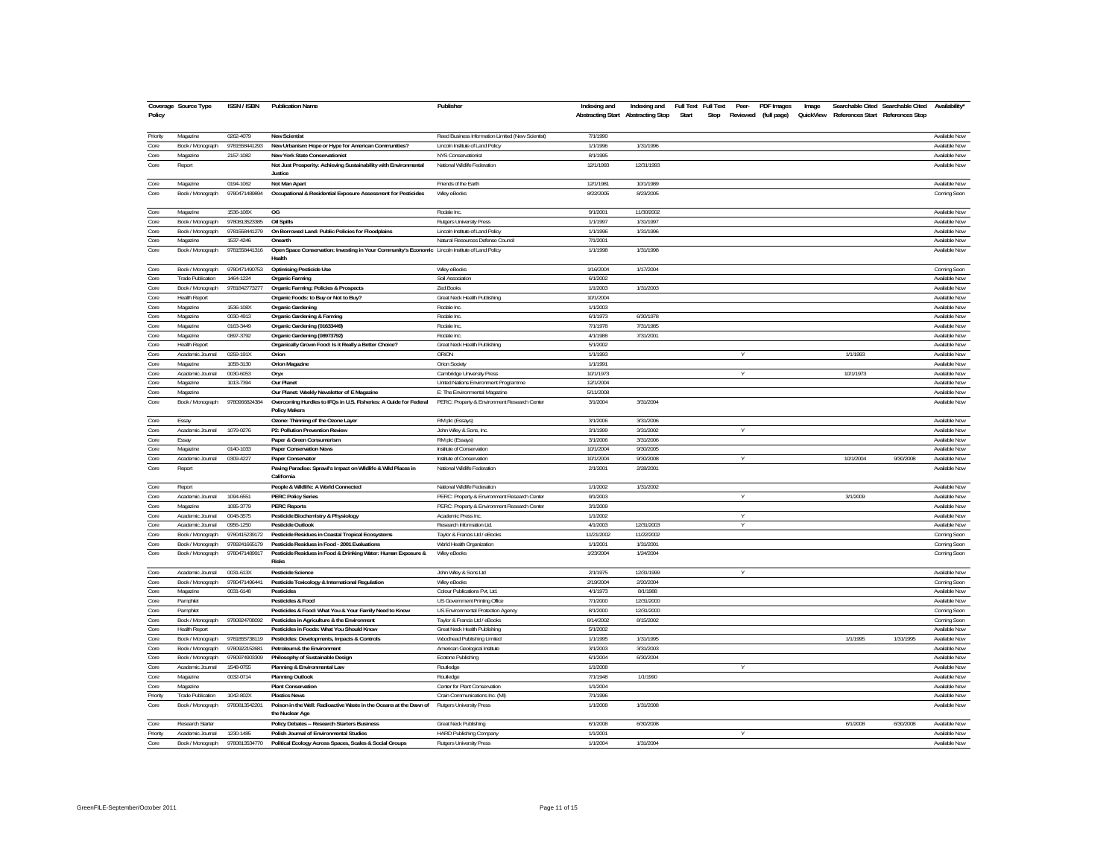| Policy   | Coverage Source Type     | ISSN / ISBN   | <b>Publication Name</b>                                                                                    | Publisher                                         | Indexing and<br>Abstracting Start Abstracting Stop | Indexing and | Full Text Full Text<br>Start<br>Stop | Peer-<br>Reviewed (full page) | PDF Images | Image |           | Searchable Cited Searchable Cited<br>QuickView References Start References Stop | Availability* |
|----------|--------------------------|---------------|------------------------------------------------------------------------------------------------------------|---------------------------------------------------|----------------------------------------------------|--------------|--------------------------------------|-------------------------------|------------|-------|-----------|---------------------------------------------------------------------------------|---------------|
| Priority | Magazine                 | 0262-4079     | <b>New Scientist</b>                                                                                       | Reed Business Information Limited (New Scientist) | 7/1/1990                                           |              |                                      |                               |            |       |           |                                                                                 | Available Now |
| Core     | Book / Monograph         | 9781558441293 | New Urbanism: Hope or Hype for American Communities?                                                       | Lincoln Institute of Land Policy                  | 1/1/1996                                           | 1/31/1996    |                                      |                               |            |       |           |                                                                                 | Available Now |
| Core     | Magazine                 | 2157-1082     | New York State Conservationist                                                                             | NYS Conservationist                               | 8/1/1995                                           |              |                                      |                               |            |       |           |                                                                                 | Available Now |
| Core     | Report                   |               | Not Just Prosperity: Achieving Sustainability with Environmental<br>Justice                                | National Wildlife Federation                      | 12/1/1993                                          | 12/31/1993   |                                      |                               |            |       |           |                                                                                 | Available Now |
| Core     | Magazine                 | 0194-1062     | Not Man Apart                                                                                              | Friends of the Earth                              | 12/1/1981                                          | 10/1/1989    |                                      |                               |            |       |           |                                                                                 | Available Now |
| Core     | Book / Monograph         | 9780471489894 | Occupational & Residential Exposure Assessment for Pesticides                                              | Wiley eBooks                                      | 8/22/2005                                          | 8/23/2005    |                                      |                               |            |       |           |                                                                                 | Coming Soon   |
| Core     | Magazine                 | 1536-108X     | OG                                                                                                         | Rodale Inc.                                       | 9/1/2001                                           | 11/30/2002   |                                      |                               |            |       |           |                                                                                 | Available Now |
| Core     | Book / Monograph         | 9780813523385 | <b>Oil Spills</b>                                                                                          | <b>Rutgers University Press</b>                   | 1/1/1997                                           | 1/31/1997    |                                      |                               |            |       |           |                                                                                 | Available Now |
| Core     | Book / Monograph         | 9781558441279 | On Borrowed Land: Public Policies for Floodplains                                                          | Lincoln Institute of Land Policy                  | 1/1/1996                                           | 1/31/1996    |                                      |                               |            |       |           |                                                                                 | Available Now |
| Core     | Magazine                 | 1537-4246     | Onearth                                                                                                    | Natural Resources Defense Council                 | 7/1/2001                                           |              |                                      |                               |            |       |           |                                                                                 | Available Now |
| Core     | Book / Monograph         | 9781558441316 | Open Space Conservation: Investing in Your Community's Economic Lincoln Institute of Land Policy<br>Health |                                                   | 1/1/1998                                           | 1/31/1998    |                                      |                               |            |       |           |                                                                                 | Available Now |
| Core     | Book / Monograph         | 9780471490753 | <b>Optimising Pesticide Use</b>                                                                            | Wiley eBooks                                      | 1/16/2004                                          | 1/17/2004    |                                      |                               |            |       |           |                                                                                 | Coming Soon   |
| Core     | Trade Publication        | 1464-1224     | Organic Farming                                                                                            | Soil Association                                  | 6/1/2002                                           |              |                                      |                               |            |       |           |                                                                                 | Available Now |
| Core     | Book / Monograph         | 9781842773277 | Organic Farming: Policies & Prospects                                                                      | <b>Zed Books</b>                                  | 1/1/2003                                           | 1/31/2003    |                                      |                               |            |       |           |                                                                                 | Available Now |
| Core     | <b>Health Report</b>     |               | Organic Foods: to Buy or Not to Buy?                                                                       | Great Neck Health Publishing                      | 10/1/2004                                          |              |                                      |                               |            |       |           |                                                                                 | Available Now |
| Core     | Magazine                 | 1536-108X     | Organic Gardening                                                                                          | Rodale Inc.                                       | 1/1/2003                                           |              |                                      |                               |            |       |           |                                                                                 | Available Now |
| Core     | Magazine                 | 0030-4913     | Organic Gardening & Farming                                                                                | Rodale Inc.                                       | 6/1/1973                                           | 6/30/1978    |                                      |                               |            |       |           |                                                                                 | Available Now |
| Core     | Magazine                 | 0163-3449     | Organic Gardening (01633449)                                                                               | Rodale Inc.                                       | 7/1/1978                                           | 7/31/1985    |                                      |                               |            |       |           |                                                                                 | Available Now |
| Core     | Magazine                 | 0897-3792     | Organic Gardening (08973792)                                                                               | Rodale Inc                                        | 4/1/1988                                           | 7/31/2001    |                                      |                               |            |       |           |                                                                                 | Available Now |
| Core     | <b>Health Report</b>     |               | Organically Grown Food: Is it Really a Better Choice?                                                      | Great Neck Health Publishing                      | 5/1/2002                                           |              |                                      |                               |            |       |           |                                                                                 | Available Now |
| Core     | Academic Journal         | 0259-191X     | Orion                                                                                                      | ORION                                             | 1/1/1993                                           |              |                                      | $\vee$                        |            |       | 1/1/1993  |                                                                                 | Available Now |
| Core     | Magazine                 | 1058-3130     | Orion Magazine                                                                                             | Orion Society                                     | 1/1/1991                                           |              |                                      |                               |            |       |           |                                                                                 | Available Now |
| Core     | Academic Journal         | 0030-6053     | Огух                                                                                                       | Cambridge University Press                        | 10/1/1973                                          |              |                                      | Y                             |            |       | 10/1/1973 |                                                                                 | Available Now |
| Core     | Magazine                 | 1013-7394     | Our Planet                                                                                                 | United Nations Environment Programme              | 12/1/2004                                          |              |                                      |                               |            |       |           |                                                                                 | Available Now |
| Core     | Magazine                 |               | Our Planet: Weekly Newsletter of E Magazine                                                                | E: The Environmental Magazine                     | 5/11/2008                                          |              |                                      |                               |            |       |           |                                                                                 | Available Now |
| Core     | Book / Monograph         | 9780966824384 | Overcoming Hurdles to IFQs in U.S. Fisheries: A Guide for Federal<br><b>Policy Makers</b>                  | PERC: Property & Environment Research Center      | 3/1/2004                                           | 3/31/2004    |                                      |                               |            |       |           |                                                                                 | Available Now |
| Core     | Essay                    |               | Ozone: Thinning of the Ozone Layer                                                                         | RM plc (Essays)                                   | 3/1/2006                                           | 3/31/2006    |                                      |                               |            |       |           |                                                                                 | Available Now |
| Core     | Academic Journal         | 1079-0276     | P2: Pollution Prevention Review                                                                            | John Wiley & Sons, Inc.                           | 3/1/1999                                           | 3/31/2002    |                                      | Y                             |            |       |           |                                                                                 | Available Now |
| Core     | Essay                    |               | Paper & Green Consumerism                                                                                  | RM plc (Essays)                                   | 3/1/2006                                           | 3/31/2006    |                                      |                               |            |       |           |                                                                                 | Available Now |
| Core     | Magazine                 | 0140-1033     | Paper Conservation News                                                                                    | Institute of Conservation                         | 10/1/2004                                          | 9/30/2005    |                                      |                               |            |       |           |                                                                                 | Available Now |
| Core     | Academic Journal         | 0309-4227     | Paper Conservator                                                                                          | Institute of Conservation                         | 10/1/2004                                          | 9/30/2008    |                                      | Υ                             |            |       | 10/1/2004 | 9/30/2008                                                                       | Available Now |
| Core     | Report                   |               | Paving Paradise: Sprawl's Impact on Wildlife & Wild Places in<br>California                                | National Wildlife Federation                      | 2/1/2001                                           | 2/28/2001    |                                      |                               |            |       |           |                                                                                 | Available Now |
| Core     | Report                   |               | People & Wildlife: A World Connected                                                                       | National Wildlife Federation                      | 1/1/2002                                           | 1/31/2002    |                                      |                               |            |       |           |                                                                                 | Available Now |
| Core     | Academic Journal         | 1094-6551     | <b>PERC Policy Series</b>                                                                                  | PERC: Property & Environment Research Center      | 9/1/2003                                           |              |                                      | Y                             |            |       | 3/1/2009  |                                                                                 | Available Now |
| Core     | Magazine                 | 1095-3779     | <b>PERC Reports</b>                                                                                        | PERC: Property & Environment Research Center      | 3/1/2009                                           |              |                                      |                               |            |       |           |                                                                                 | Available Now |
| Core     | Academic Journal         | 0048-3575     | Pesticide Biochemistry & Physiology                                                                        | Academic Press Inc                                | 1/1/2002                                           |              |                                      | Υ                             |            |       |           |                                                                                 | Available Now |
| Core     | Academic Journal         | 0956-1250     | Pesticide Outlook                                                                                          | Research Information Ltd                          | 4/1/2003                                           | 12/31/2003   |                                      | v                             |            |       |           |                                                                                 | Available Now |
| Core     | Book / Monograph         | 9780415239172 | Pesticide Residues in Coastal Tropical Ecosystems                                                          | Taylor & Francis Ltd / eBooks                     | 11/21/2002                                         | 11/22/2002   |                                      |                               |            |       |           |                                                                                 | Coming Soon   |
| Core     | Book / Monograph         | 9789241665179 | Pesticide Residues in Food - 2001 Evaluations                                                              | World Health Organization                         | 1/1/2001                                           | 1/31/2001    |                                      |                               |            |       |           |                                                                                 | Coming Soon   |
| Core     | Book / Monograph         | 9780471489917 | Pesticide Residues in Food & Drinking Water: Human Exposure &<br><b>Risks</b>                              | Wiley eBooks                                      | 1/23/2004                                          | 1/24/2004    |                                      |                               |            |       |           |                                                                                 | Coming Soon   |
| Core     | Academic Journal         | 0031-613X     | Pesticide Science                                                                                          | John Wiley & Sons Ltd                             | 2/1/1975                                           | 12/31/1999   |                                      | V                             |            |       |           |                                                                                 | Available Now |
| Core     | Book / Monograph         | 9780471496441 | Pesticide Toxicology & International Regulation                                                            | Wiley eBooks                                      | 2/19/2004                                          | 2/20/2004    |                                      |                               |            |       |           |                                                                                 | Coming Soon   |
| Core     | Magazine                 | 0031-6148     | Pesticides                                                                                                 | Colour Publications Pvt, Ltd.                     | 4/1/1973                                           | 8/1/1988     |                                      |                               |            |       |           |                                                                                 | Available Now |
| Core     | Pamphlet                 |               | Pesticides & Food                                                                                          | US Government Printing Office                     | 7/1/2000                                           | 12/31/2000   |                                      |                               |            |       |           |                                                                                 | Available Now |
| Core     | Pamphle                  |               | Pesticides & Food: What You & Your Family Need to Know                                                     | US Environmental Protection Agency                | 8/1/2000                                           | 12/31/2000   |                                      |                               |            |       |           |                                                                                 | Coming Soon   |
| Core     | Book / Monograph         | 9780824708092 | Pesticides in Agriculture & the Environment                                                                | Taylor & Francis Ltd / eBooks                     | 8/14/2002                                          | 8/15/2002    |                                      |                               |            |       |           |                                                                                 | Coming Soon   |
| Core     | <b>Health Report</b>     |               | Pesticides in Foods: What You Should Know                                                                  | Great Neck Health Publishing                      | 5/1/2002                                           |              |                                      |                               |            |       |           |                                                                                 | Available Now |
| Core     | Book / Monograph         | 9781855738119 | Pesticides: Developments, Impacts & Controls                                                               | Woodhead Publishing Limited                       | 1/1/1995                                           | 1/31/1995    |                                      |                               |            |       | 1/1/1995  | 1/31/1995                                                                       | Available Now |
| Core     | Book / Monograph         | 9780922152681 | Petroleum & the Environment                                                                                | American Geological Institute                     | 3/1/2003                                           | 3/31/2003    |                                      |                               |            |       |           |                                                                                 | Available Now |
| Core     | Book / Monograph         | 9780974903309 | Philosophy of Sustainable Design                                                                           | Ecotone Publishing                                | 6/1/2004                                           | 6/30/2004    |                                      |                               |            |       |           |                                                                                 | Available Now |
| Core     | Academic Journal         | 1548-0755     | Planning & Environmental Law                                                                               | Routledge                                         | 1/1/2008                                           |              |                                      | Y                             |            |       |           |                                                                                 | Available Now |
| Core     | Magazine                 | 0032-0714     | <b>Planning Outlook</b>                                                                                    | Routledge                                         | 7/1/1948                                           | 1/1/1990     |                                      |                               |            |       |           |                                                                                 | Available Now |
| Core     | Magazine                 |               | <b>Plant Conservation</b>                                                                                  | Center for Plant Conservation                     | 1/1/2004                                           |              |                                      |                               |            |       |           |                                                                                 | Available Now |
| Priority | <b>Trade Publication</b> | 1042-802X     | <b>Plastics News</b>                                                                                       | Crain Communications Inc. (MI)                    | 7/1/1996                                           |              |                                      |                               |            |       |           |                                                                                 | Available Now |
| Core     | Book / Monograph         | 9780813542201 | Poison in the Well: Radioactive Waste in the Oceans at the Dawn of<br>the Nuclear Age                      | Rutgers University Press                          | 1/1/2008                                           | 1/31/2008    |                                      |                               |            |       |           |                                                                                 | Available Now |
| Core     | Research Starter         |               | Policy Debates -- Research Starters Business                                                               | Great Neck Publishing                             | 6/1/2008                                           | 6/30/2008    |                                      |                               |            |       | 6/1/2008  | 6/30/2008                                                                       | Available Now |
| Priority | Academic Journal         | 1230-1485     | Polish Journal of Environmental Studies                                                                    | <b>HARD Publishing Company</b>                    | 1/1/2001                                           |              |                                      |                               |            |       |           |                                                                                 | Available Now |
| Core     | Book / Monograph         | 9780813534770 | Political Ecology Across Spaces, Scales & Social Groups                                                    | <b>Rutgers University Press</b>                   | 1/1/2004                                           | 1/31/2004    |                                      |                               |            |       |           |                                                                                 | Available Now |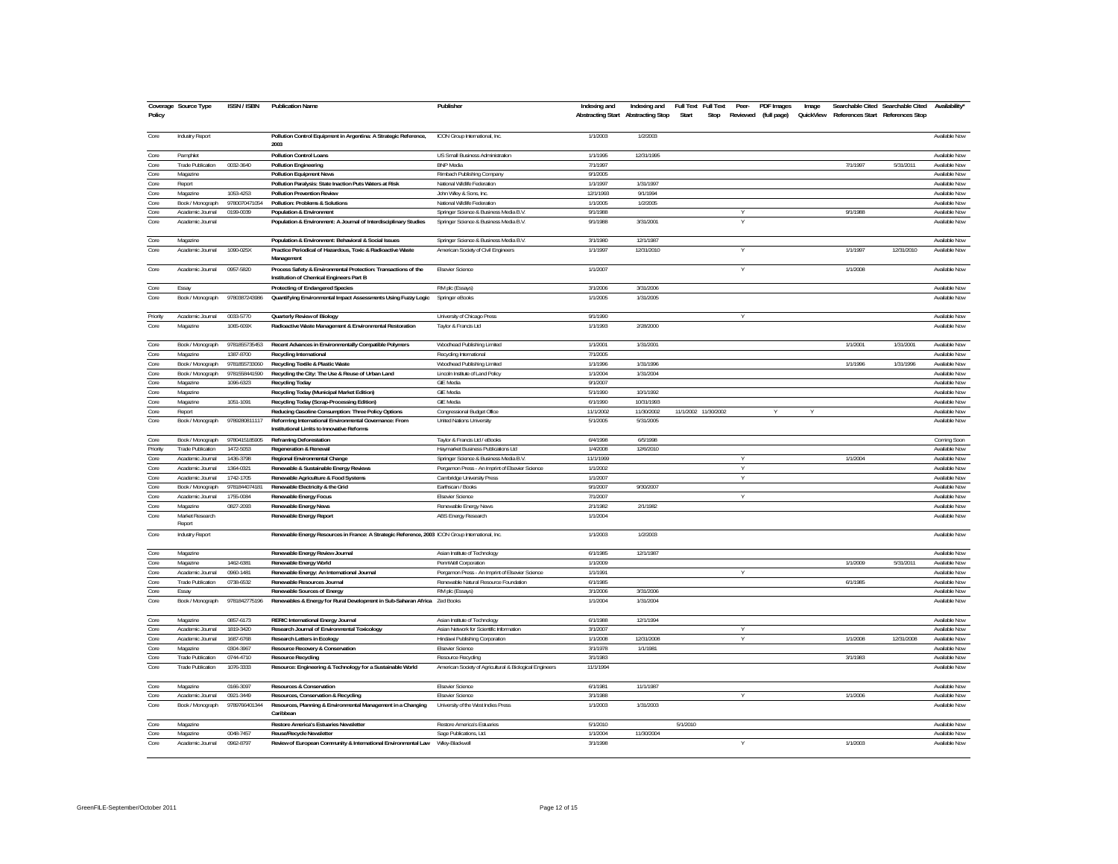|          | Coverage Source Type     | <b>ISSN / ISBN</b> | <b>Publication Name</b>                                                                          | Publisher                                               | Indexing and | Indexing and                              | Full Text Full Text |                      | Peer-        | <b>PDF</b> Images | Image     |          | Searchable Cited Searchable Cited | Availability' |
|----------|--------------------------|--------------------|--------------------------------------------------------------------------------------------------|---------------------------------------------------------|--------------|-------------------------------------------|---------------------|----------------------|--------------|-------------------|-----------|----------|-----------------------------------|---------------|
| Policy   |                          |                    |                                                                                                  |                                                         |              | <b>Abstracting Start Abstracting Stop</b> | Start               | Stop                 | Reviewed     | (full page)       | QuickView |          | References Start References Stop  |               |
|          |                          |                    |                                                                                                  |                                                         |              |                                           |                     |                      |              |                   |           |          |                                   |               |
| Core     | <b>Industry Report</b>   |                    | Pollution Control Equipment in Argentina: A Strategic Reference,                                 | ICON Group International, Inc.                          | 1/1/2003     | 1/2/2003                                  |                     |                      |              |                   |           |          |                                   | Available Now |
|          |                          |                    | 2003                                                                                             |                                                         |              |                                           |                     |                      |              |                   |           |          |                                   |               |
| Core     | Pamphlet                 |                    | <b>Pollution Control Loans</b>                                                                   | US Small Business Administration                        | 1/1/1995     | 12/31/1995                                |                     |                      |              |                   |           |          |                                   | Available Now |
| Core     | Trade Publication        | 0032-3640          | <b>Pollution Engineering</b>                                                                     | <b>BNP</b> Media                                        | 7/1/1997     |                                           |                     |                      |              |                   |           | 7/1/1997 | 5/31/2011                         | Available Now |
| Core     | Magazine                 |                    | <b>Pollution Equipment News</b>                                                                  | Rimbach Publishing Company                              | 9/1/2005     |                                           |                     |                      |              |                   |           |          |                                   | Available Now |
| Core     | Report                   |                    | Pollution Paralysis: State Inaction Puts Waters at Risk                                          | National Wildlife Federation                            | 1/1/1997     | 1/31/1997                                 |                     |                      |              |                   |           |          |                                   | Available Now |
| Core     | Magazine                 | 1053-4253          | <b>Pollution Prevention Review</b>                                                               | John Wiley & Sons, Inc.                                 | 12/1/1993    | 9/1/1994                                  |                     |                      |              |                   |           |          |                                   | Available Now |
| Core     | Book / Monograph         | 9780070471054      | Pollution: Problems & Solutions                                                                  | National Wildlife Federation                            | 1/1/2005     | 1/2/2005                                  |                     |                      |              |                   |           |          |                                   | Available Now |
| Core     | Academic Journal         | 0199-0039          | Population & Environment                                                                         | Springer Science & Business Media B.V.                  | 9/1/1988     |                                           |                     |                      |              |                   |           | 9/1/1988 |                                   | Available Now |
| Core     | Academic Journal         |                    | Population & Environment: A Journal of Interdisciplinary Studies                                 | Springer Science & Business Media B.V.                  | 9/1/1988     | 3/31/2001                                 |                     |                      |              |                   |           |          |                                   | Available Now |
|          |                          |                    |                                                                                                  |                                                         |              |                                           |                     |                      |              |                   |           |          |                                   |               |
| Core     | Magazine                 |                    | Population & Environment: Behavioral & Social Issues                                             | Springer Science & Business Media B.V.                  | 3/1/1980     | 12/1/1987                                 |                     |                      |              |                   |           |          |                                   | Available Now |
| Core     | Academic Journal         | 1090-025X          | Practice Periodical of Hazardous, Toxic & Radioactive Waste                                      | American Society of Civil Engineers                     | 1/1/1997     | 12/31/2010                                |                     |                      |              |                   |           | 1/1/1997 | 12/31/2010                        | Available Now |
|          |                          |                    | Management                                                                                       |                                                         |              |                                           |                     |                      |              |                   |           |          |                                   |               |
| Core     | Academic Journal         | 0957-5820          | Process Safety & Environmental Protection: Transactions of the                                   | <b>Elsevier Science</b>                                 | 1/1/2007     |                                           |                     |                      |              |                   |           | 1/1/2008 |                                   | Available Now |
|          |                          |                    | Institution of Chemical Engineers Part B                                                         |                                                         |              |                                           |                     |                      |              |                   |           |          |                                   |               |
|          |                          |                    |                                                                                                  |                                                         |              | 3/31/2006                                 |                     |                      |              |                   |           |          |                                   | Available Now |
| Core     | Essay                    |                    | Protecting of Endangered Species                                                                 | RM plc (Essays)                                         | 3/1/2006     |                                           |                     |                      |              |                   |           |          |                                   |               |
| Core     | Book / Monograph         | 9780387243986      | Quantifying Environmental Impact Assessments Using Fuzzy Logic                                   | Springer eBooks                                         | 1/1/2005     | 1/31/2005                                 |                     |                      |              |                   |           |          |                                   | Available Now |
|          |                          |                    |                                                                                                  |                                                         |              |                                           |                     |                      |              |                   |           |          |                                   |               |
| Priority | Academic Journal         | 0033-5770          | Quarterly Review of Biology                                                                      | University of Chicago Press                             | 9/1/1990     |                                           |                     |                      |              |                   |           |          |                                   | Available Now |
| Core     | Magazine                 | 1065-609X          | Radioactive Waste Management & Environmental Restoration                                         | Taylor & Francis Ltd                                    | 1/1/1993     | 2/28/2000                                 |                     |                      |              |                   |           |          |                                   | Available Now |
|          |                          |                    |                                                                                                  |                                                         |              |                                           |                     |                      |              |                   |           |          |                                   |               |
| Core     | Book / Monograph         | 9781855735453      | Recent Advances in Environmentally Compatible Polymers                                           | Woodhead Publishing Limited                             | 1/1/2001     | 1/31/2001                                 |                     |                      |              |                   |           | 1/1/2001 | 1/31/2001                         | Available Now |
| Core     | Magazine                 | 1387-8700          | Recycling International                                                                          | Recycling International                                 | 7/1/2005     |                                           |                     |                      |              |                   |           |          |                                   | Available Now |
| Core     | Book / Monograph         | 9781855733060      | Recycling Textile & Plastic Waste                                                                | Woodhead Publishing Limited                             | 1/1/1996     | 1/31/1996                                 |                     |                      |              |                   |           | 1/1/1996 | 1/31/1996                         | Available Now |
| Core     | Book / Monograph         | 9781558441590      | Recycling the City: The Use & Reuse of Urban Land                                                | Lincoln Institute of Land Policy                        | 1/1/2004     | 1/31/2004                                 |                     |                      |              |                   |           |          |                                   | Available Now |
| Core     | Magazine                 | 1096-6323          | Recycling Today                                                                                  | <b>GIE Media</b>                                        | 9/1/2007     |                                           |                     |                      |              |                   |           |          |                                   | Available Now |
| Core     | Magazine                 |                    | Recycling Today (Municipal Market Edition)                                                       | <b>GIE Media</b>                                        | 5/1/1990     | 10/1/1992                                 |                     |                      |              |                   |           |          |                                   | Available Now |
| Core     | Magazine                 | 1051-1091          | Recycling Today (Scrap-Processing Edition)                                                       | <b>GIE Media</b>                                        | 6/1/1990     | 10/31/1993                                |                     |                      |              |                   |           |          |                                   | Available Now |
| Core     | Report                   |                    | Reducing Gasoline Consumption: Three Policy Options                                              | Congressional Budget Office                             | 11/1/2002    | 11/30/2002                                |                     | 11/1/2002 11/30/2002 |              | $\vee$            | $\vee$    |          |                                   | Available Now |
| Core     | Book / Monograph         | 9789280811117      | Reforming International Environmental Governance: From                                           | United Nations University                               | 5/1/2005     | 5/31/2005                                 |                     |                      |              |                   |           |          |                                   | Available Now |
|          |                          |                    | Institutional Limits to Innovative Reforms                                                       |                                                         |              |                                           |                     |                      |              |                   |           |          |                                   |               |
| Core     | Book / Monograph         | 9780415185905      | <b>Reframing Deforestation</b>                                                                   | Taylor & Francis Ltd / eBooks                           | 6/4/1998     | 6/5/1998                                  |                     |                      |              |                   |           |          |                                   | Coming Soon   |
| Priority | <b>Trade Publication</b> | 1472-5053          | <b>Regeneration &amp; Renewal</b>                                                                | Haymarket Business Publications Ltd                     | 1/4/2008     | 12/6/2010                                 |                     |                      |              |                   |           |          |                                   | Available Now |
|          |                          |                    |                                                                                                  |                                                         | 11/1/1999    |                                           |                     |                      |              |                   |           | 1/1/2004 |                                   | Available Now |
| Core     | Academic Journal         | 1436-3798          | Regional Environmental Change                                                                    | Springer Science & Business Media B.\                   |              |                                           |                     |                      |              |                   |           |          |                                   |               |
| Core     | Academic Journal         | 1364-0321          | Renewable & Sustainable Energy Reviews                                                           | Pergamon Press - An Imprint of Elsevier Science         | 1/1/2002     |                                           |                     |                      |              |                   |           |          |                                   | Available Now |
| Core     | Academic Journal         | 1742-1705          | Renewable Agriculture & Food Systems                                                             | Cambridge University Press                              | 1/1/2007     |                                           |                     |                      |              |                   |           |          |                                   | Available Now |
| Core     | Book / Monograph         | 9781844074181      | Renewable Electricity & the Grid                                                                 | Earthscan / Books                                       | 9/1/2007     | 9/30/2007                                 |                     |                      |              |                   |           |          |                                   | Available Now |
| Core     | Academic Journal         | 1755-0084          | Renewable Energy Focus                                                                           | <b>Elsevier Science</b>                                 | 7/1/2007     |                                           |                     |                      |              |                   |           |          |                                   | Available Now |
| Core     | Magazine                 | 0827-2093          | Renewable Energy News                                                                            | Renewable Energy News                                   | 2/1/1982     | 2/1/1982                                  |                     |                      |              |                   |           |          |                                   | Available Now |
| Core     | Market Research          |                    | Renewable Energy Report                                                                          | <b>ABS Energy Research</b>                              | 1/1/2004     |                                           |                     |                      |              |                   |           |          |                                   | Available Now |
|          | Report                   |                    |                                                                                                  |                                                         |              |                                           |                     |                      |              |                   |           |          |                                   |               |
| Core     | Industry Report          |                    | Renewable Energy Resources in France: A Strategic Reference, 2003 ICON Group International, Inc. |                                                         | 1/1/2003     | 1/2/2003                                  |                     |                      |              |                   |           |          |                                   | Available Now |
|          |                          |                    |                                                                                                  |                                                         |              |                                           |                     |                      |              |                   |           |          |                                   |               |
| Core     | Magazine                 |                    | Renewable Energy Review Journal                                                                  | Asian Institute of Technology                           | 6/1/1985     | 12/1/1987                                 |                     |                      |              |                   |           |          |                                   | Available Now |
| Core     | Magazine                 | 1462-6381          | Renewable Energy World                                                                           | PennWell Corporation                                    | 1/1/2009     |                                           |                     |                      |              |                   |           | 1/1/2009 | 5/31/2011                         | Available Now |
| Core     | Academic Journal         | 0960-1481          | Renewable Energy: An International Journal                                                       | Pergamon Press - An Imprint of Elsevier Science         | 1/1/1991     |                                           |                     |                      |              |                   |           |          |                                   | Available Now |
| Core     | Trade Publication        | 0738-6532          | Renewable Resources Journal                                                                      | Renewable Natural Resource Foundation                   | 6/1/1985     |                                           |                     |                      |              |                   |           | 6/1/1985 |                                   | Available Now |
| Core     | Essay                    |                    | Renewable Sources of Energy                                                                      | RM plc (Essays)                                         | 3/1/2006     | 3/31/2006                                 |                     |                      |              |                   |           |          |                                   | Available Now |
| Core     | Book / Monograph         | 9781842775196      | Renewables & Energy for Rural Development in Sub-Saharan Africa Zed Books                        |                                                         | 1/1/2004     | 1/31/2004                                 |                     |                      |              |                   |           |          |                                   | Available Now |
|          |                          |                    |                                                                                                  |                                                         |              |                                           |                     |                      |              |                   |           |          |                                   |               |
| Core     | Magazine                 | 0857-6173          | <b>RERIC International Energy Journal</b>                                                        | Asian Institute of Technology                           | 6/1/1988     | 12/1/1994                                 |                     |                      |              |                   |           |          |                                   | Available Now |
| Core     | Academic Journal         | 1819-3420          | Research Journal of Environmental Toxicology                                                     | Asian Network for Scientific Information                | 3/1/2007     |                                           |                     |                      |              |                   |           |          |                                   | Available Now |
| Core     | Academic Journal         | 1687-6768          | Research Letters in Ecology                                                                      | Hindawi Publishing Corporation                          | 1/1/2008     | 12/31/2008                                |                     |                      | $\mathsf{v}$ |                   |           | 1/1/2008 | 12/31/2008                        | Available Now |
| Core     | Magazine                 | 0304-3967          | Resource Recovery & Conservation                                                                 | <b>Elsevier Science</b>                                 | 3/1/1978     | 1/1/1981                                  |                     |                      |              |                   |           |          |                                   | Available Now |
| Core     | <b>Trade Publication</b> | 0744-4710          | <b>Resource Recycling</b>                                                                        | Resource Recycling                                      | 3/1/1983     |                                           |                     |                      |              |                   |           | 3/1/1983 |                                   | Available Now |
| Core     |                          |                    |                                                                                                  |                                                         |              |                                           |                     |                      |              |                   |           |          |                                   |               |
|          | <b>Trade Publication</b> | 1076-3333          | Resource: Engineering & Technology for a Sustainable World                                       | American Society of Agricultural & Biological Engineers | 11/1/1994    |                                           |                     |                      |              |                   |           |          |                                   | Available Now |
|          |                          |                    |                                                                                                  |                                                         |              |                                           |                     |                      |              |                   |           |          |                                   |               |
| Core     | Magazine                 | 0166-3097          | <b>Resources &amp; Conservation</b>                                                              | <b>Fisevier Science</b>                                 | 6/1/1981     | 11/1/1987                                 |                     |                      |              |                   |           |          |                                   | Available Now |
| Core     | Academic Journal         | 0921-3449          | Resources, Conservation & Recycling                                                              | <b>Elsevier Science</b>                                 | 3/1/1988     |                                           |                     |                      | v            |                   |           | 1/1/2006 |                                   | Available Now |
| Core     | Book / Monograph         | 9789766401344      | Resources, Planning & Environmental Management in a Changing                                     | University of the West Indies Press                     | 1/1/2003     | 1/31/2003                                 |                     |                      |              |                   |           |          |                                   | Available Now |
|          |                          |                    | Caribbear                                                                                        |                                                         |              |                                           |                     |                      |              |                   |           |          |                                   |               |
| Core     | Magazine                 |                    | Restore America's Estuaries Newsletter                                                           | Restore America's Estuaries                             | 5/1/2010     |                                           | 5/1/2010            |                      |              |                   |           |          |                                   | Available Now |
| Core     | Magazine                 | 0048-7457          | Reuse/Recycle Newsletter                                                                         | Sage Publications, Ltd.                                 | 1/1/2004     | 11/30/2004                                |                     |                      |              |                   |           |          |                                   | Available Now |
| Core     | Academic Journal         | 0962-8797          | Review of European Community & International Environmental Law                                   | Wiley-Blackwell                                         | 3/1/1998     |                                           |                     |                      | $\mathsf{v}$ |                   |           | 1/1/2003 |                                   | Available Now |
|          |                          |                    |                                                                                                  |                                                         |              |                                           |                     |                      |              |                   |           |          |                                   |               |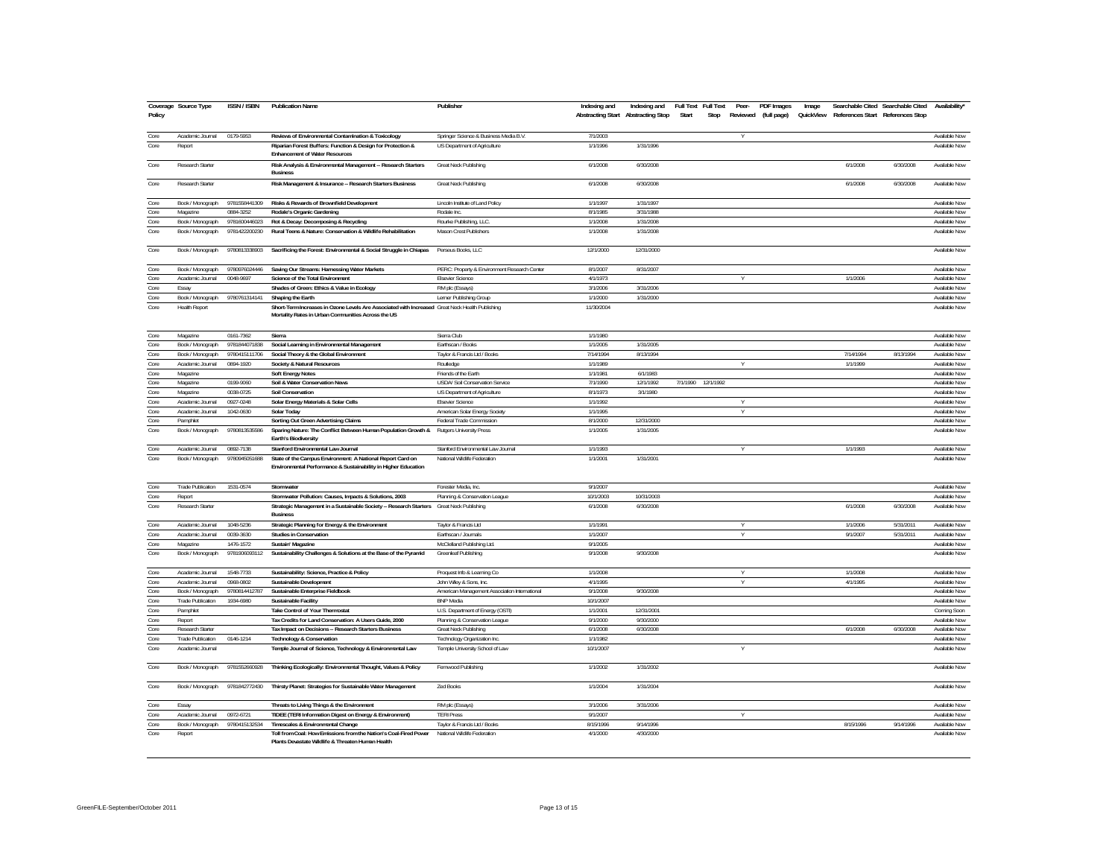| Policy       | Coverage Source Type                  | <b>ISSN/ISBN</b>       | <b>Publication Name</b>                                                                                                                               | Publisher                                                       | Indexing and<br><b>Abstracting Start Abstracting Stop</b> | Indexing and Full Text Full Text | Start | Stop               | Peer- | <b>PDF</b> Images<br>Reviewed (full page) | Image<br>QuickView | References Start References Stop | Searchable Cited Searchable Cited | Availability*                  |
|--------------|---------------------------------------|------------------------|-------------------------------------------------------------------------------------------------------------------------------------------------------|-----------------------------------------------------------------|-----------------------------------------------------------|----------------------------------|-------|--------------------|-------|-------------------------------------------|--------------------|----------------------------------|-----------------------------------|--------------------------------|
| Core         | Academic Journal                      | 0179-5953              | Reviews of Environmental Contamination & Toxicology                                                                                                   | Springer Science & Business Media B.V.                          | 7/1/2003                                                  |                                  |       |                    | Y     |                                           |                    |                                  |                                   | Available Now                  |
| Core         | Report                                |                        | Riparian Forest Buffers: Function & Design for Protection &<br><b>Enhancement of Water Resources</b>                                                  | US Department of Agriculture                                    | 1/1/1996                                                  | 1/31/1996                        |       |                    |       |                                           |                    |                                  |                                   | Available Now                  |
| Core         | Research Starter                      |                        | Risk Analysis & Environmental Management -- Research Starters<br><b>Business</b>                                                                      | Great Neck Publishing                                           | 6/1/2008                                                  | 6/30/2008                        |       |                    |       |                                           |                    | 6/1/2008                         | 6/30/2008                         | Available Now                  |
| Core         | Research Starter                      |                        | Risk Management & Insurance -- Research Starters Business                                                                                             | Great Neck Publishing                                           | 6/1/2008                                                  | 6/30/2008                        |       |                    |       |                                           |                    | 6/1/2008                         | 6/30/2008                         | Available Now                  |
| Core         | Book / Monograph                      | 9781558441309          | Risks & Rewards of Brownfield Development                                                                                                             | Lincoln Institute of Land Policy                                | 1/1/1997                                                  | 1/31/1997                        |       |                    |       |                                           |                    |                                  |                                   | Available Now                  |
| Core         | Magazine                              | 0884-3252              | Rodale's Organic Gardening                                                                                                                            | Rodale Inc.                                                     | 8/1/1985                                                  | 3/31/1988                        |       |                    |       |                                           |                    |                                  |                                   | Available Now                  |
| Core         | Book / Monograph                      | 9781600446023          | Rot & Decay: Decomposing & Recycling                                                                                                                  | Rourke Publishing, LLC.                                         | 1/1/2008                                                  | 1/31/2008                        |       |                    |       |                                           |                    |                                  |                                   | Available Now                  |
| Core         | Book / Monograph                      | 9781422200230          | Rural Teens & Nature: Conservation & Wildlife Rehabilitation                                                                                          | Mason Crest Publishers                                          | 1/1/2008                                                  | 1/31/2008                        |       |                    |       |                                           |                    |                                  |                                   | Available Now                  |
| Core         | Book / Monograph                      | 9780813338903          | Sacrificing the Forest: Environmental & Social Struggle in Chiapas                                                                                    | Perseus Books, LLC                                              | 12/1/2000                                                 | 12/31/2000                       |       |                    |       |                                           |                    |                                  |                                   | Available Now                  |
| Core         | Book / Monograph                      | 9780976024446          | Saving Our Streams: Harnessing Water Markets                                                                                                          | PERC: Property & Environment Research Center                    | 8/1/2007                                                  | 8/31/2007                        |       |                    |       |                                           |                    |                                  |                                   | Available Now                  |
| Core         | Academic Journal                      | 0048-9697              | Science of the Total Environment                                                                                                                      | <b>Fisevier Science</b>                                         | 4/1/1973                                                  |                                  |       |                    |       |                                           |                    | 1/1/2006                         |                                   | Available Now                  |
| Core         | Essay                                 |                        | Shades of Green: Ethics & Value in Ecology                                                                                                            | RM plc (Essays)                                                 | 3/1/2006                                                  | 3/31/2006                        |       |                    |       |                                           |                    |                                  |                                   | Available Now                  |
| Core         | Book / Monograph                      | 9780761314141          | Shaping the Earth                                                                                                                                     | Lerner Publishing Group                                         | 1/1/2000                                                  | 1/31/2000                        |       |                    |       |                                           |                    |                                  |                                   | Available Now                  |
| Core         | <b>Health Report</b>                  |                        | Short-Term Increases in Ozone Levels Are Associated with Increased Great Neck Health Publishing<br>Mortality Rates in Urban Communities Across the US |                                                                 | 11/30/2004                                                |                                  |       |                    |       |                                           |                    |                                  |                                   | Available Now                  |
| Core         | Magazine                              | 0161-7362              | Sierra                                                                                                                                                | Sierra Club                                                     | 1/1/1980                                                  |                                  |       |                    |       |                                           |                    |                                  |                                   | Available Now                  |
| Core         | Book / Monograph                      | 9781844071838          | Social Learning in Environmental Management                                                                                                           | Earthscan / Books                                               | 1/1/2005                                                  | 1/31/2005                        |       |                    |       |                                           |                    |                                  |                                   | Available Now                  |
| Core         | Book / Monograph                      | 9780415111706          | Social Theory & the Global Environment                                                                                                                | Taylor & Francis Ltd / Books                                    | 7/14/1994                                                 | 8/13/1994                        |       |                    |       |                                           |                    | 7/14/1994                        | 8/13/1994                         | Available Now                  |
| Core         | Academic Journal                      | 0894-1920              | Society & Natural Resources                                                                                                                           | Routledge                                                       | 1/1/1989                                                  |                                  |       |                    |       |                                           |                    | 1/1/1999                         |                                   | Available Now                  |
| Core         | Magazine                              |                        | <b>Soft Energy Notes</b>                                                                                                                              | Friends of the Earth                                            | 1/1/1981                                                  | 6/1/1983                         |       |                    |       |                                           |                    |                                  |                                   | Available Now                  |
| Core         | Magazine                              | 0199-9060              | Soil & Water Conservation News                                                                                                                        | USDA/ Soil Conservation Service                                 | 7/1/1990                                                  | 12/1/1992                        |       | 7/1/1990 12/1/1992 |       |                                           |                    |                                  |                                   | Available Now                  |
| Core         | Magazine                              | 0038-0725              | Soil Conservation                                                                                                                                     | US Department of Agriculture                                    | 8/1/1973                                                  | 3/1/1980                         |       |                    |       |                                           |                    |                                  |                                   | Available Now                  |
| Core<br>Core | Academic Journal<br>Academic Journal  | 0927-0248<br>1042-0630 | Solar Energy Materials & Solar Cells<br>Solar Today                                                                                                   | <b>Elsevier Science</b><br>American Solar Energy Society        | 1/1/1992<br>1/1/1995                                      |                                  |       |                    |       |                                           |                    |                                  |                                   | Available Now<br>Available Now |
| Core         | Pamphlet                              |                        | Sorting Out Green Advertising Claims                                                                                                                  | Federal Trade Commission                                        | 8/1/2000                                                  | 12/31/2000                       |       |                    |       |                                           |                    |                                  |                                   | Available Now                  |
| Core         | Book / Monograph                      | 9780813535586          | Sparing Nature: The Conflict Between Human Population Growth &                                                                                        | <b>Rutgers University Press</b>                                 | 1/1/2005                                                  | 1/31/2005                        |       |                    |       |                                           |                    |                                  |                                   | Available Now                  |
|              |                                       |                        | <b>Earth's Biodiversity</b>                                                                                                                           |                                                                 |                                                           |                                  |       |                    |       |                                           |                    |                                  |                                   |                                |
| Core         | Academic Journal                      | 0892-7138              | Stanford Environmental Law Journal                                                                                                                    | Stanford Environmental Law Journal                              | 1/1/1993                                                  |                                  |       |                    | v     |                                           |                    | 1/1/1993                         |                                   | Available Now                  |
| Core         | Book / Monograph                      | 9780945051688          | State of the Campus Environment: A National Report Card on<br>Environmental Performance & Sustainability in Higher Education                          | National Wildlife Federation                                    | 1/1/2001                                                  | 1/31/2001                        |       |                    |       |                                           |                    |                                  |                                   | Available Now                  |
| Core         | <b>Trade Publication</b>              | 1531-0574              | Stormwater                                                                                                                                            | Forester Media, Inc.                                            | 9/1/2007                                                  |                                  |       |                    |       |                                           |                    |                                  |                                   | Available Now                  |
| Core         | Report                                |                        | Stormwater Pollution: Causes, Impacts & Solutions, 2003                                                                                               | Planning & Conservation League                                  | 10/1/2003                                                 | 10/31/2003                       |       |                    |       |                                           |                    |                                  |                                   | Available Now                  |
| Core         | Research Starter                      |                        | Strategic Management in a Sustainable Society -- Research Starters Great Neck Publishing<br><b>Business</b>                                           |                                                                 | 6/1/2008                                                  | 6/30/2008                        |       |                    |       |                                           |                    | 6/1/2008                         | 6/30/2008                         | Available Now                  |
| Core         | Academic Journal                      | 1048-5236              | Strategic Planning for Energy & the Environment                                                                                                       | Taylor & Francis Ltd                                            | 1/1/1991                                                  |                                  |       |                    | V     |                                           |                    | 1/1/2006                         | 5/31/2011                         | Available Now                  |
| Core         | Academic Journal                      | 0039-3630              | <b>Studies in Conservation</b>                                                                                                                        | Earthscan / Journals                                            | 1/1/2007                                                  |                                  |       |                    | Y     |                                           |                    | 9/1/2007                         | 5/31/2011                         | Available Now                  |
| Core         | Magazine                              | 1476-1572              | Sustain' Magazine                                                                                                                                     | McClelland Publishing Ltd.                                      | 9/1/2005                                                  |                                  |       |                    |       |                                           |                    |                                  |                                   | Available Now                  |
| Core         | Book / Monograph                      | 9781906093112          | Sustainability Challenges & Solutions at the Base of the Pyramid                                                                                      | <b>Greenleaf Publishing</b>                                     | 9/1/2008                                                  | 9/30/2008                        |       |                    |       |                                           |                    |                                  |                                   | Available Now                  |
| Core         | Academic Journal                      | 1548-7733              | Sustainability: Science, Practice & Policy                                                                                                            | Proquest Info & Learning Co                                     | 1/1/2008                                                  |                                  |       |                    |       |                                           |                    | 1/1/2008                         |                                   | Available Now                  |
| Core         | Academic Journal                      | 0968-0802              | Sustainable Development                                                                                                                               | John Wiley & Sons, Inc.                                         | 4/1/1995                                                  |                                  |       |                    |       |                                           |                    | 4/1/1995                         |                                   | Available Now                  |
| Core         | Book / Monograph                      | 9780814412787          | Sustainable Enterprise Fieldbook                                                                                                                      | American Management Association International                   | 9/1/2008                                                  | 9/30/2008                        |       |                    |       |                                           |                    |                                  |                                   | Available Now                  |
| Core         | <b>Trade Publication</b>              | 1934-6980              | Sustainable Facility                                                                                                                                  | <b>BNP</b> Media                                                | 10/1/2007                                                 |                                  |       |                    |       |                                           |                    |                                  |                                   | Available Now                  |
| Core         | Pamphlet                              |                        | Take Control of Your Thermostat                                                                                                                       | U.S. Department of Energy (OSTI)                                | 1/1/2001                                                  | 12/31/2001                       |       |                    |       |                                           |                    |                                  |                                   | Coming Soon                    |
| Core         | Report                                |                        | Tax Credits for Land Conservation: A Users Guide, 2000                                                                                                | Planning & Conservation League                                  | 9/1/2000                                                  | 9/30/2000                        |       |                    |       |                                           |                    |                                  |                                   | Available Now                  |
| Core<br>Core | Research Starter<br>Trade Publication |                        | Tax Impact on Decisions -- Research Starters Business                                                                                                 | Great Neck Publishing                                           | 6/1/2008<br>1/1/1982                                      | 6/30/2008                        |       |                    |       |                                           |                    | 6/1/2008                         | 6/30/2008                         | Available Now<br>Available Now |
| Core         | Academic Journal                      | 0146-1214              | <b>Technology &amp; Conservation</b><br>Temple Journal of Science, Technology & Environmental Law                                                     | Technology Organization Inc.<br>Temple University School of Law | 10/1/2007                                                 |                                  |       |                    | V     |                                           |                    |                                  |                                   | Available Now                  |
| Core         | Book / Monograph                      | 9781552660928          | Thinking Ecologically: Environmental Thought, Values & Policy                                                                                         | Fernwood Publishing                                             | 1/1/2002                                                  | 1/31/2002                        |       |                    |       |                                           |                    |                                  |                                   | Available Now                  |
| Core         | Book / Monograph                      | 9781842772430          | Thirsty Planet: Strategies for Sustainable Water Management                                                                                           | Zed Books                                                       | 1/1/2004                                                  | 1/31/2004                        |       |                    |       |                                           |                    |                                  |                                   | Available Now                  |
|              |                                       |                        |                                                                                                                                                       |                                                                 |                                                           |                                  |       |                    |       |                                           |                    |                                  |                                   |                                |
| Core         | Essay                                 |                        | Threats to Living Things & the Environment                                                                                                            | RM plc (Essays)                                                 | 3/1/2006                                                  | 3/31/2006                        |       |                    |       |                                           |                    |                                  |                                   | Available Now                  |
| Core         | Academic Journal                      | 0972-6721              | TIDEE (TERI Information Digest on Energy & Environment)                                                                                               | <b>TERIPress</b>                                                | 9/1/2007                                                  |                                  |       |                    | Y     |                                           |                    |                                  |                                   | Available Now                  |
| Core<br>Core | Book / Monograph                      | 9780415132534          | Timescales & Environmental Change                                                                                                                     | Taylor & Francis Ltd / Books                                    | 8/15/1996<br>4/1/2000                                     | 9/14/1996<br>4/30/2000           |       |                    |       |                                           |                    | 8/15/1996                        | 9/14/1996                         | Available Now<br>Available Now |
|              | Report                                |                        | Toll from Coal: How Emissions from the Nation's Coal-Fired Power<br>Plants Devastate Wildlife & Threaten Human Health                                 | National Wildlife Federation                                    |                                                           |                                  |       |                    |       |                                           |                    |                                  |                                   |                                |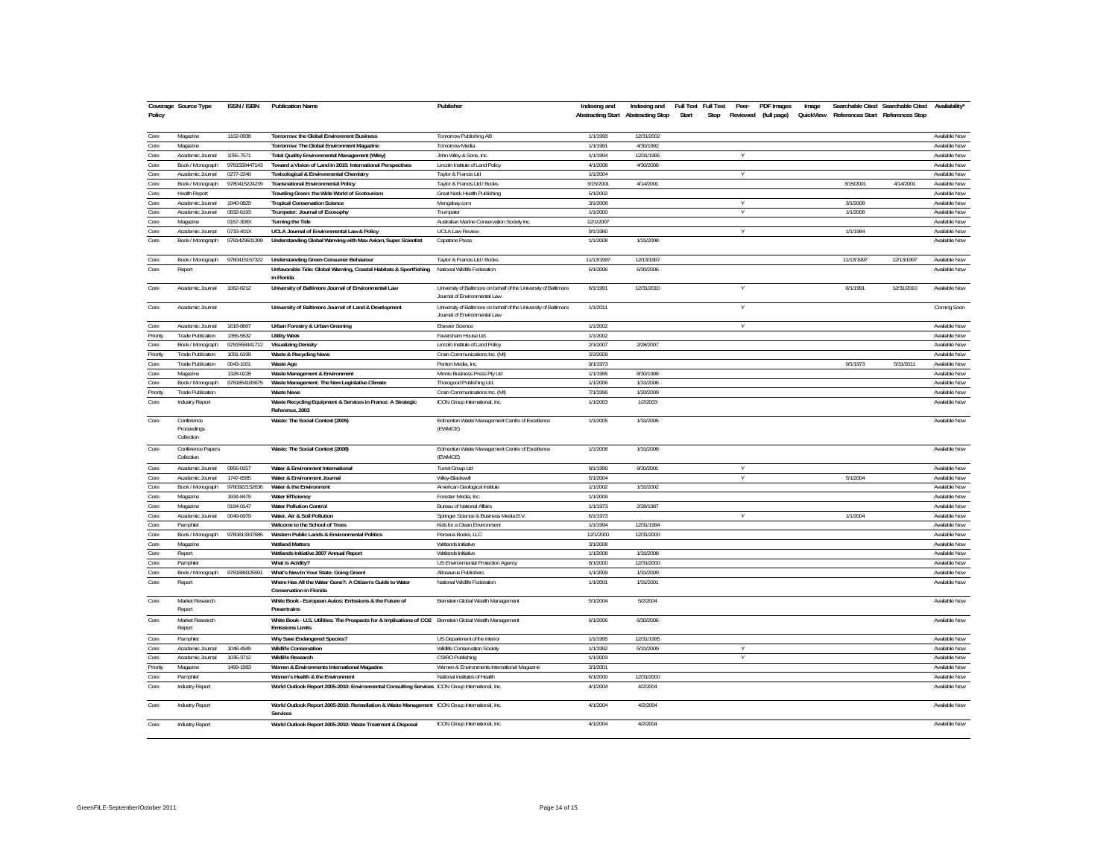| Policy   | Coverage Source Type                    | ISSN / ISBN   | <b>Publication Name</b>                                                                                                            | Publisher                                                                                        | Indexing and | Indexing and<br>Abstracting Start Abstracting Stop | Full Text Full Text<br><b>PDF</b> Images<br>Peer-<br>Start<br>Reviewed (full page)<br>Stop | Image |            | Searchable Cited Searchable Cited<br>QuickView References Start References Stop | Availability' |
|----------|-----------------------------------------|---------------|------------------------------------------------------------------------------------------------------------------------------------|--------------------------------------------------------------------------------------------------|--------------|----------------------------------------------------|--------------------------------------------------------------------------------------------|-------|------------|---------------------------------------------------------------------------------|---------------|
| Core     | Magazine                                | 1102-0938     | Tomorrow: the Global Environment Business                                                                                          | Tomorrow Publishing AB                                                                           | 1/1/1993     | 12/31/2002                                         |                                                                                            |       |            |                                                                                 | Available Now |
| Core     | Magazine                                |               | Tomorrow: The Global Environment Magazine                                                                                          | <b>Tomorrow Media</b>                                                                            | 1/1/1991     | 4/30/1992                                          |                                                                                            |       |            |                                                                                 | Available Now |
| Core     | Academic Journal                        | 1055-7571     | Total Quality Environmental Management (Wiley)                                                                                     | John Wiley & Sons, Inc.                                                                          | 1/1/1994     | 12/31/1995                                         | v                                                                                          |       |            |                                                                                 | Available Now |
| Core     | Book / Monograph                        | 9781558447143 | Toward a Vision of Land in 2015: International Perspectives                                                                        | Lincoln Institute of Land Policy                                                                 | 4/1/2008     | 4/30/2008                                          |                                                                                            |       |            |                                                                                 | Available Now |
| Core     | Academic Journal                        | 0277-2248     | Toxicological & Environmental Chemistry                                                                                            | Taylor & Francis Ltd                                                                             | 1/1/2004     |                                                    | V                                                                                          |       |            |                                                                                 | Available Now |
| Core     | Book / Monograph                        | 9780415224239 | <b>Transnational Environmental Policy</b>                                                                                          | Taylor & Francis Ltd / Books                                                                     | 3/15/2001    | 4/14/2001                                          |                                                                                            |       | 3/15/2001  | 4/14/2001                                                                       | Available Now |
| Core     | <b>Health Report</b>                    |               | Traveling Green: the Wide World of Ecotourism                                                                                      | Great Neck Health Publishing                                                                     | 5/1/2002     |                                                    |                                                                                            |       |            |                                                                                 | Available Now |
| Core     | Academic Journal                        | 1940-0829     | <b>Tropical Conservation Science</b>                                                                                               | Mongabay.com                                                                                     | 3/1/2008     |                                                    | Y                                                                                          |       | 3/1/2008   |                                                                                 | Available Now |
| Core     | Academic Journal                        | 0832-6193     | Trumpeter: Journal of Ecosophy                                                                                                     | Trumpeter                                                                                        | 1/1/2000     |                                                    | $\vee$                                                                                     |       | 1/1/2008   |                                                                                 | Available Now |
| Core     | Magazine                                | 0157-308X     | <b>Turning the Tide</b>                                                                                                            | Australian Marine Conservation Society Inc.                                                      | 12/1/2007    |                                                    |                                                                                            |       |            |                                                                                 | Available Now |
| Core     | Academic Journal                        | 0733-401X     | UCLA Journal of Environmental Law & Policy                                                                                         | <b>UCLA Law Review</b>                                                                           | 9/1/1980     |                                                    | Y                                                                                          |       | 1/1/1984   |                                                                                 | Available Now |
| Core     | Book / Monograph                        | 9781429601399 | Understanding Global Warming with Max Axiom, Super Scientist                                                                       | Capsione Press                                                                                   | 1/1/2008     | 1/31/2008                                          |                                                                                            |       |            |                                                                                 | Available Now |
| Core     | Book / Monograph                        | 9780415157322 | <b>Understanding Green Consumer Behaviour</b>                                                                                      | Taylor & Francis Ltd / Books                                                                     | 11/13/1997   | 12/13/1997                                         |                                                                                            |       | 11/13/1997 | 12/13/1997                                                                      | Available Now |
| Core     | Report                                  |               | Unfavorable Tide: Global Warming, Coastal Habitats & Sportfishing                                                                  | National Wildlife Federation                                                                     | 6/1/2006     | 6/30/2006                                          |                                                                                            |       |            |                                                                                 | Available Now |
|          |                                         |               | in Florida                                                                                                                         |                                                                                                  |              |                                                    |                                                                                            |       |            |                                                                                 |               |
| Core     | Academic Journal                        | 1062-6212     | University of Baltimore Journal of Environmental Law                                                                               | University of Baltimore on behalf of the University of Baltimore<br>Journal of Environmental Law | 6/1/1991     | 12/31/2010                                         |                                                                                            |       | 6/1/1991   | 12/31/2010                                                                      | Available Now |
| Core     | Academic Journal                        |               | University of Baltimore Journal of Land & Development                                                                              | University of Baltimore on behalf of the University of Baltimore<br>Journal of Environmental Law | 1/1/2011     |                                                    | Y                                                                                          |       |            |                                                                                 | Coming Soon   |
| Core     | Academic Journal                        | 1618-8667     | Urban Forestry & Urban Greening                                                                                                    | <b>Elsevier Science</b>                                                                          | 1/1/2002     |                                                    | $\overline{\mathsf{v}}$                                                                    |       |            |                                                                                 | Available Now |
| Priority | <b>Trade Publication</b>                | 1356-5532     | <b>Utility Week</b>                                                                                                                | Faversham House Ltd.                                                                             | 1/1/2002     |                                                    |                                                                                            |       |            |                                                                                 | Available Now |
| Core     | Book / Monograph                        | 9781558441712 | <b>Visualizing Density</b>                                                                                                         | Lincoln Institute of Land Policy                                                                 | 2/1/2007     | 2/28/2007                                          |                                                                                            |       |            |                                                                                 | Available Now |
| Priority | <b>Trade Publication</b>                | 1091-6199     | Waste & Recycling News                                                                                                             | Crain Communications Inc. (MI)                                                                   | 2/2/2009     |                                                    |                                                                                            |       |            |                                                                                 | Available Now |
| Core     | <b>Trade Publication</b>                | 0043-1001     | <b>Waste Age</b>                                                                                                                   | Penton Media, Inc.                                                                               | 9/1/1973     |                                                    |                                                                                            |       | 9/1/1973   | 5/31/2011                                                                       | Available Now |
| Core     | Magazine                                | 1328-0228     | Waste Management & Environment                                                                                                     | Minnis Business Press Pty Ltd                                                                    | 1/1/1995     | 8/30/1998                                          |                                                                                            |       |            |                                                                                 | Available Now |
| Core     | Book / Monograph                        | 9781854183675 | Waste Management: The New Legislative Climate                                                                                      | Thorogood Publishing Ltd.                                                                        | 1/1/2006     | 1/31/2006                                          |                                                                                            |       |            |                                                                                 | Available Now |
| Priority | <b>Trade Publication</b>                |               | <b>Waste News</b>                                                                                                                  | Crain Communications Inc. (MI)                                                                   | 7/1/1996     | 1/20/2009                                          |                                                                                            |       |            |                                                                                 | Available Now |
| Core     | Industry Report                         |               | Waste Recycling Equipment & Services in France: A Strategic<br>Reference, 2003                                                     | ICON Group International, Inc.                                                                   | 1/1/2003     | 1/2/2003                                           |                                                                                            |       |            |                                                                                 | Available Now |
| Core     | Conference<br>Proceedings<br>Collection |               | Waste: The Social Context (2005)                                                                                                   | Edmonton Waste Management Centre of Excellence<br>(EWMCE)                                        | 1/1/2005     | 1/31/2005                                          |                                                                                            |       |            |                                                                                 | Available Now |
| Core     | Conference Papers<br>Collection         |               | Waste: The Social Context (2008)                                                                                                   | Edmonton Waste Management Centre of Excellence<br>(EWMCE)                                        | 1/1/2008     | 1/31/2008                                          |                                                                                            |       |            |                                                                                 | Available Now |
| Core     | Academic Journal                        | 0956-0157     | Water & Environment International                                                                                                  | Turret Group Ltd                                                                                 | 9/1/1999     | 9/30/2001                                          | Y                                                                                          |       |            |                                                                                 | Available Now |
| Core     | Academic Journal                        | 1747-6585     | Water & Environment Journal                                                                                                        | Wiley-Blackwell                                                                                  | 5/1/2004     |                                                    | Y                                                                                          |       | 5/1/2004   |                                                                                 | Available Now |
| Core     | Book / Monograph                        | 9780922152636 | Water & the Environment                                                                                                            | American Geological Institute                                                                    | 1/1/2002     | 1/31/2002                                          |                                                                                            |       |            |                                                                                 | Available Now |
| Core     | Magazine                                | 1934-8479     | <b>Water Efficiency</b>                                                                                                            | Forester Media, Inc.                                                                             | 1/1/2009     |                                                    |                                                                                            |       |            |                                                                                 | Available Now |
| Core     | Magazine                                | 0194-0147     | <b>Water Pollution Control</b>                                                                                                     | Bureau of National Affairs                                                                       | 1/1/1973     | 2/28/1987                                          |                                                                                            |       |            |                                                                                 | Available Now |
| Core     | Academic Journal                        | 0049-6979     | Water, Air & Soil Pollution                                                                                                        | Springer Science & Business Media B.V.                                                           | 6/1/1973     |                                                    | Y                                                                                          |       | 1/1/2004   |                                                                                 | Available Now |
| Core     | Pamphlet                                |               | Welcome to the School of Trees                                                                                                     | Kids for a Clean Environment                                                                     | 1/1/1994     | 12/31/1994                                         |                                                                                            |       |            |                                                                                 | Available Now |
| Core     | Book / Monograph                        | 9780813337685 | Western Public Lands & Environmental Politics                                                                                      | Perseus Books, LLC                                                                               | 12/1/2000    | 12/31/2000                                         |                                                                                            |       |            |                                                                                 | Available Now |
| Core     | Magazine                                |               | <b>Wetland Matters</b>                                                                                                             | Wetlands Initiative                                                                              | 3/1/2008     |                                                    |                                                                                            |       |            |                                                                                 | Available Now |
| Core     | Report                                  |               | Wetlands Initiative 2007 Annual Report                                                                                             | Wetlands Initiative                                                                              | 1/1/2008     | 1/31/2008                                          |                                                                                            |       |            |                                                                                 | Available Now |
| Core     | Pamphlet                                |               | What is Acidity?                                                                                                                   | US Environmental Protection Agency                                                               | 8/1/2000     | 12/31/2000                                         |                                                                                            |       |            |                                                                                 | Available Now |
| Core     | Book / Monograph                        | 9781888325591 | What's New In Your State: Going Green!                                                                                             | Allosaurus Publishers                                                                            | 1/1/2009     | 1/31/2009                                          |                                                                                            |       |            |                                                                                 | Available Now |
| Core     | Report                                  |               | Where Has All the Water Gone?: A Citizen's Guide to Water<br>Conservation in Elorida                                               | National Wildlife Federation                                                                     | 1/1/2001     | 1/31/2001                                          |                                                                                            |       |            |                                                                                 | Available Now |
| Core     | Market Research<br>Report               |               | White Book - European Autos: Emissions & the Future of<br>Powertrains                                                              | Bernstein Global Wealth Management                                                               | 5/1/2004     | 5/2/2004                                           |                                                                                            |       |            |                                                                                 | Available Now |
| Core     | Market Research<br>Report               |               | White Book - U.S. Utilities: The Prospects for & Implications of CO2 Bernstein Global Wealth Management<br><b>Emissions Limits</b> |                                                                                                  | 6/1/2006     | 6/30/2006                                          |                                                                                            |       |            |                                                                                 | Available Now |
| Core     | Pamphlet                                |               | Why Save Endangered Species?                                                                                                       | US Department of the Interior                                                                    | 1/1/1995     | 12/31/1995                                         |                                                                                            |       |            |                                                                                 | Available Now |
| Core     | Academic Journal                        | 1048-4949     | <b>Wildlife Conservation</b>                                                                                                       | <b>Wildlife Conservation Society</b>                                                             | 1/1/1992     | 5/31/2009                                          | Y                                                                                          |       |            |                                                                                 | Available Now |
| Core     | Academic Journal                        | 1035-3712     | <b>Wildlife Research</b>                                                                                                           | CSIRO Publishing                                                                                 | 1/1/2003     |                                                    | Y                                                                                          |       |            |                                                                                 | Available Now |
| Priority | Magazine                                | 1499-1993     | Women & Environments International Magazine                                                                                        | Women & Environments International Magazine                                                      | 3/1/2001     |                                                    |                                                                                            |       |            |                                                                                 | Available Now |
| Core     | Pamphlet                                |               | Women's Health & the Environment                                                                                                   | National Institutes of Health                                                                    | 6/1/2000     | 12/31/2000                                         |                                                                                            |       |            |                                                                                 | Available Now |
| Core     | Industry Report                         |               | World Outlook Report 2005-2010: Environmental Consulting Services ICON Group International, Inc.                                   |                                                                                                  | 4/1/2004     | 4/2/2004                                           |                                                                                            |       |            |                                                                                 | Available Now |
|          |                                         |               |                                                                                                                                    |                                                                                                  |              |                                                    |                                                                                            |       |            |                                                                                 |               |
| Core     | Industry Report                         |               | World Outlook Report 2005-2010: Remediation & Waste Management ICON Group International, Inc.<br>Services                          |                                                                                                  | 4/1/2004     | 4/2/2004                                           |                                                                                            |       |            |                                                                                 | Available Now |
| Core     | Industry Report                         |               | World Outlook Report 2005-2010: Waste Treatment & Disposal                                                                         | ICON Group International, Inc.                                                                   | 4/1/2004     | 4/2/2004                                           |                                                                                            |       |            |                                                                                 | Available Now |